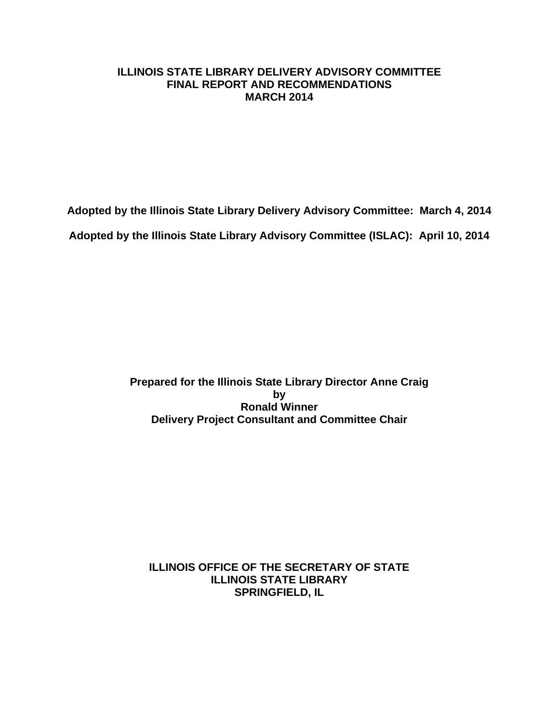#### **ILLINOIS STATE LIBRARY DELIVERY ADVISORY COMMITTEE FINAL REPORT AND RECOMMENDATIONS MARCH 2014**

**Adopted by the Illinois State Library Delivery Advisory Committee: March 4, 2014**

**Adopted by the Illinois State Library Advisory Committee (ISLAC): April 10, 2014**

**Prepared for the Illinois State Library Director Anne Craig by Ronald Winner Delivery Project Consultant and Committee Chair**

**ILLINOIS OFFICE OF THE SECRETARY OF STATE ILLINOIS STATE LIBRARY SPRINGFIELD, IL**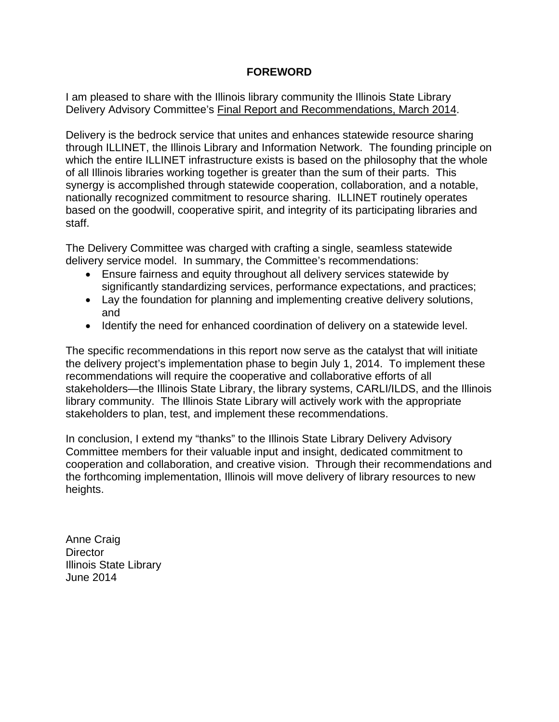#### **FOREWORD**

I am pleased to share with the Illinois library community the Illinois State Library Delivery Advisory Committee's Final Report and Recommendations, March 2014.

Delivery is the bedrock service that unites and enhances statewide resource sharing through ILLINET, the Illinois Library and Information Network. The founding principle on which the entire ILLINET infrastructure exists is based on the philosophy that the whole of all Illinois libraries working together is greater than the sum of their parts. This synergy is accomplished through statewide cooperation, collaboration, and a notable, nationally recognized commitment to resource sharing. ILLINET routinely operates based on the goodwill, cooperative spirit, and integrity of its participating libraries and staff.

The Delivery Committee was charged with crafting a single, seamless statewide delivery service model. In summary, the Committee's recommendations:

- Ensure fairness and equity throughout all delivery services statewide by significantly standardizing services, performance expectations, and practices;
- Lay the foundation for planning and implementing creative delivery solutions, and
- Identify the need for enhanced coordination of delivery on a statewide level.

The specific recommendations in this report now serve as the catalyst that will initiate the delivery project's implementation phase to begin July 1, 2014. To implement these recommendations will require the cooperative and collaborative efforts of all stakeholders—the Illinois State Library, the library systems, CARLI/ILDS, and the Illinois library community. The Illinois State Library will actively work with the appropriate stakeholders to plan, test, and implement these recommendations.

In conclusion, I extend my "thanks" to the Illinois State Library Delivery Advisory Committee members for their valuable input and insight, dedicated commitment to cooperation and collaboration, and creative vision. Through their recommendations and the forthcoming implementation, Illinois will move delivery of library resources to new heights.

Anne Craig **Director** Illinois State Library June 2014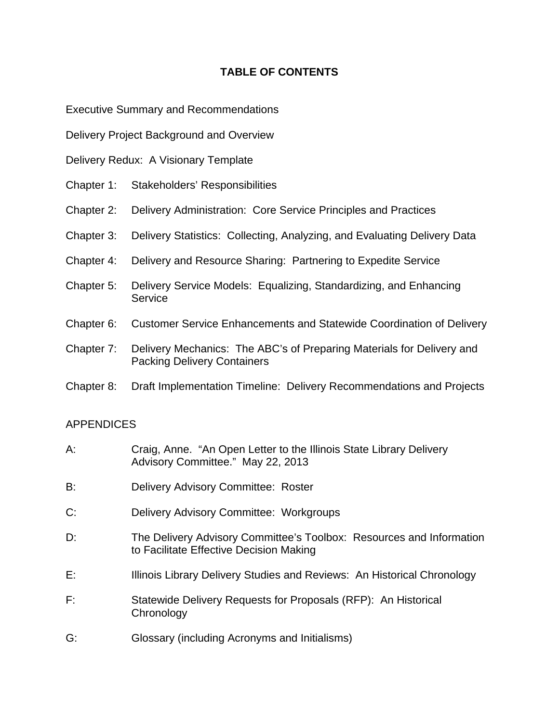#### **TABLE OF CONTENTS**

[Executive Summary and Recommendations](#page-3-0)

- [Delivery Project Background and Overview](#page-17-0)
- [Delivery Redux: A Visionary Template](#page-23-0)
- [Chapter 1: Stakeholders'](#page-25-0) Responsibilities
- [Chapter 2: Delivery Administration: Core Service Principles and Practices](#page-30-0)
- [Chapter 3: Delivery Statistics: Collecting, Analyzing, and Evaluating Delivery Data](#page-35-0)
- [Chapter 4: Delivery and Resource Sharing: Partnering to Expedite Service](#page-38-0)
- [Chapter 5: Delivery Service Models: Equalizing, Standardizing, and Enhancing](#page-41-0)  **Service**
- [Chapter 6: Customer Service Enhancements and Statewide Coordination of Delivery](#page-46-0)
- [Chapter 7: Delivery Mechanics: The ABC's of Preparing Materials for Delivery and](#page-48-0) Packing Delivery Containers
- [Chapter 8: Draft Implementation Timeline: Delivery Recommendations and Projects](#page-54-0)

### APPENDICES

- A: [Craig, Anne. "An Open Letter to the Illinois State Library Delivery](#page-55-0)  Advisory Committee." May 22, 2013
- B: [Delivery Advisory Committee: Roster](#page-58-0)
- C: [Delivery Advisory Committee: Workgroups](#page-60-0)
- [D: The Delivery Advisory Committee's Toolbox: Resources and Information](#page-62-0)  to Facilitate Effective Decision Making
- E: [Illinois Library Delivery Studies and Reviews: An Historical Chronology](#page-65-0)
- F: [Statewide Delivery Requests for Proposals \(RFP\): An Historical](#page-71-0)  **Chronology**
- G: Glossary [\(including Acronyms and Initialisms\)](#page-72-0)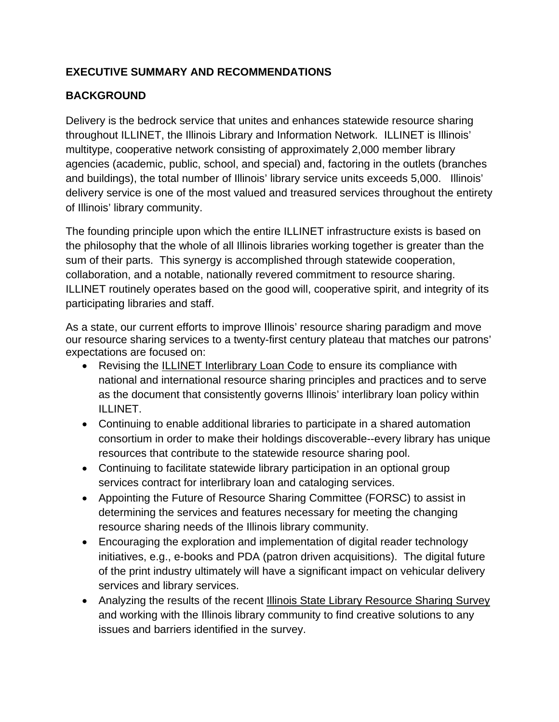## <span id="page-3-0"></span>**EXECUTIVE SUMMARY AND RECOMMENDATIONS**

## **BACKGROUND**

Delivery is the bedrock service that unites and enhances statewide resource sharing throughout ILLINET, the Illinois Library and Information Network. ILLINET is Illinois' multitype, cooperative network consisting of approximately 2,000 member library agencies (academic, public, school, and special) and, factoring in the outlets (branches and buildings), the total number of Illinois' library service units exceeds 5,000. Illinois' delivery service is one of the most valued and treasured services throughout the entirety of Illinois' library community.

The founding principle upon which the entire ILLINET infrastructure exists is based on the philosophy that the whole of all Illinois libraries working together is greater than the sum of their parts. This synergy is accomplished through statewide cooperation, collaboration, and a notable, nationally revered commitment to resource sharing. ILLINET routinely operates based on the good will, cooperative spirit, and integrity of its participating libraries and staff.

As a state, our current efforts to improve Illinois' resource sharing paradigm and move our resource sharing services to a twenty-first century plateau that matches our patrons' expectations are focused on:

- Revising the **ILLINET** Interlibrary Loan Code to ensure its compliance with national and international resource sharing principles and practices and to serve as the document that consistently governs Illinois' interlibrary loan policy within ILLINET.
- Continuing to enable additional libraries to participate in a shared automation consortium in order to make their holdings discoverable--every library has unique resources that contribute to the statewide resource sharing pool.
- Continuing to facilitate statewide library participation in an optional group services contract for interlibrary loan and cataloging services.
- Appointing the Future of Resource Sharing Committee (FORSC) to assist in determining the services and features necessary for meeting the changing resource sharing needs of the Illinois library community.
- Encouraging the exploration and implementation of digital reader technology initiatives, e.g., e-books and PDA (patron driven acquisitions). The digital future of the print industry ultimately will have a significant impact on vehicular delivery services and library services.
- Analyzing the results of the recent Illinois State Library Resource Sharing Survey and working with the Illinois library community to find creative solutions to any issues and barriers identified in the survey.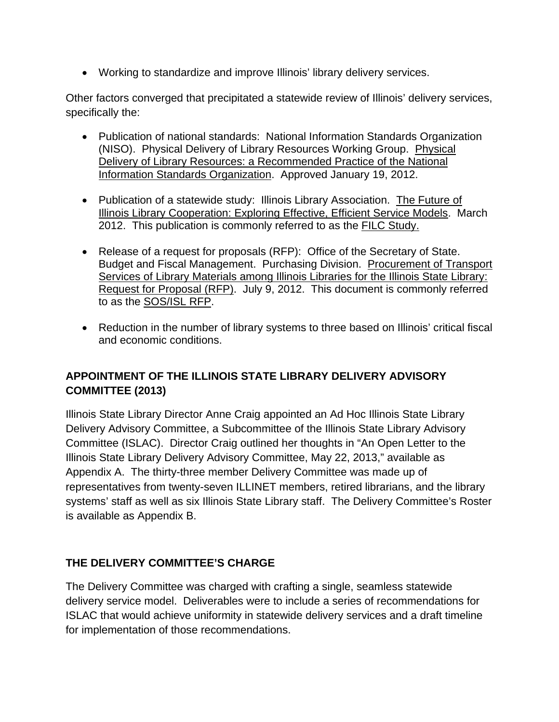• Working to standardize and improve Illinois' library delivery services.

Other factors converged that precipitated a statewide review of Illinois' delivery services, specifically the:

- Publication of national standards: National Information Standards Organization (NISO). Physical Delivery of Library Resources Working Group. Physical Delivery of Library Resources: a Recommended Practice of the National Information Standards Organization. Approved January 19, 2012.
- Publication of a statewide study: Illinois Library Association. The Future of Illinois Library Cooperation: Exploring Effective, Efficient Service Models. March 2012. This publication is commonly referred to as the FILC Study.
- Release of a request for proposals (RFP): Office of the Secretary of State. Budget and Fiscal Management. Purchasing Division. Procurement of Transport Services of Library Materials among Illinois Libraries for the Illinois State Library: Request for Proposal (RFP). July 9, 2012. This document is commonly referred to as the SOS/ISL RFP.
- Reduction in the number of library systems to three based on Illinois' critical fiscal and economic conditions.

## **APPOINTMENT OF THE ILLINOIS STATE LIBRARY DELIVERY ADVISORY COMMITTEE (2013)**

Illinois State Library Director Anne Craig appointed an Ad Hoc Illinois State Library Delivery Advisory Committee, a Subcommittee of the Illinois State Library Advisory Committee (ISLAC). Director Craig outlined her thoughts in "An Open Letter to the Illinois State Library Delivery Advisory Committee, May 22, 2013," available as Appendix A. The thirty-three member Delivery Committee was made up of representatives from twenty-seven ILLINET members, retired librarians, and the library systems' staff as well as six Illinois State Library staff. The Delivery Committee's Roster is available as Appendix B.

## **THE DELIVERY COMMITTEE'S CHARGE**

The Delivery Committee was charged with crafting a single, seamless statewide delivery service model. Deliverables were to include a series of recommendations for ISLAC that would achieve uniformity in statewide delivery services and a draft timeline for implementation of those recommendations.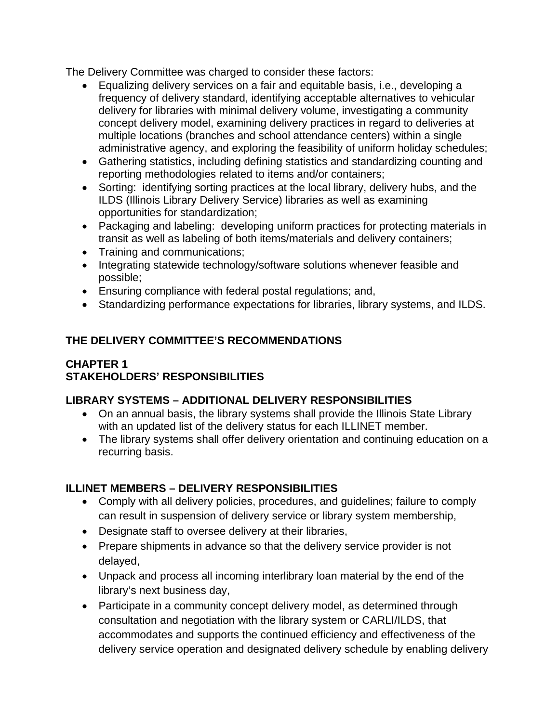The Delivery Committee was charged to consider these factors:

- Equalizing delivery services on a fair and equitable basis, i.e., developing a frequency of delivery standard, identifying acceptable alternatives to vehicular delivery for libraries with minimal delivery volume, investigating a community concept delivery model, examining delivery practices in regard to deliveries at multiple locations (branches and school attendance centers) within a single administrative agency, and exploring the feasibility of uniform holiday schedules;
- Gathering statistics, including defining statistics and standardizing counting and reporting methodologies related to items and/or containers;
- Sorting: identifying sorting practices at the local library, delivery hubs, and the ILDS (Illinois Library Delivery Service) libraries as well as examining opportunities for standardization;
- Packaging and labeling: developing uniform practices for protecting materials in transit as well as labeling of both items/materials and delivery containers;
- Training and communications:
- Integrating statewide technology/software solutions whenever feasible and possible;
- Ensuring compliance with federal postal regulations; and,
- Standardizing performance expectations for libraries, library systems, and ILDS.

## **THE DELIVERY COMMITTEE'S RECOMMENDATIONS**

## **CHAPTER 1 STAKEHOLDERS' RESPONSIBILITIES**

### **LIBRARY SYSTEMS – ADDITIONAL DELIVERY RESPONSIBILITIES**

- On an annual basis, the library systems shall provide the Illinois State Library with an updated list of the delivery status for each ILLINET member.
- The library systems shall offer delivery orientation and continuing education on a recurring basis.

### **ILLINET MEMBERS – DELIVERY RESPONSIBILITIES**

- Comply with all delivery policies, procedures, and guidelines; failure to comply can result in suspension of delivery service or library system membership,
- Designate staff to oversee delivery at their libraries,
- Prepare shipments in advance so that the delivery service provider is not delayed,
- Unpack and process all incoming interlibrary loan material by the end of the library's next business day,
- Participate in a community concept delivery model, as determined through consultation and negotiation with the library system or CARLI/ILDS, that accommodates and supports the continued efficiency and effectiveness of the delivery service operation and designated delivery schedule by enabling delivery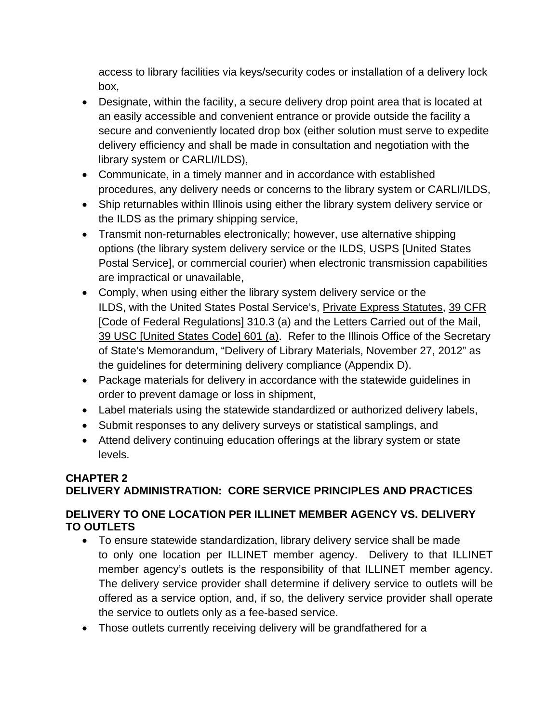access to library facilities via keys/security codes or installation of a delivery lock box,

- Designate, within the facility, a secure delivery drop point area that is located at an easily accessible and convenient entrance or provide outside the facility a secure and conveniently located drop box (either solution must serve to expedite delivery efficiency and shall be made in consultation and negotiation with the library system or CARLI/ILDS),
- Communicate, in a timely manner and in accordance with established procedures, any delivery needs or concerns to the library system or CARLI/ILDS,
- Ship returnables within Illinois using either the library system delivery service or the ILDS as the primary shipping service,
- Transmit non-returnables electronically; however, use alternative shipping options (the library system delivery service or the ILDS, USPS [United States Postal Service], or commercial courier) when electronic transmission capabilities are impractical or unavailable,
- Comply, when using either the library system delivery service or the ILDS, with the United States Postal Service's, Private Express Statutes, 39 CFR [Code of Federal Regulations] 310.3 (a) and the Letters Carried out of the Mail, 39 USC [United States Code] 601 (a). Refer to the Illinois Office of the Secretary of State's Memorandum, "Delivery of Library Materials, November 27, 2012" as the guidelines for determining delivery compliance (Appendix D).
- Package materials for delivery in accordance with the statewide guidelines in order to prevent damage or loss in shipment,
- Label materials using the statewide standardized or authorized delivery labels,
- Submit responses to any delivery surveys or statistical samplings, and
- Attend delivery continuing education offerings at the library system or state levels.

## **CHAPTER 2 DELIVERY ADMINISTRATION: CORE SERVICE PRINCIPLES AND PRACTICES**

## **DELIVERY TO ONE LOCATION PER ILLINET MEMBER AGENCY VS. DELIVERY TO OUTLETS**

- To ensure statewide standardization, library delivery service shall be made to only one location per ILLINET member agency. Delivery to that ILLINET member agency's outlets is the responsibility of that ILLINET member agency. The delivery service provider shall determine if delivery service to outlets will be offered as a service option, and, if so, the delivery service provider shall operate the service to outlets only as a fee-based service.
- Those outlets currently receiving delivery will be grandfathered for a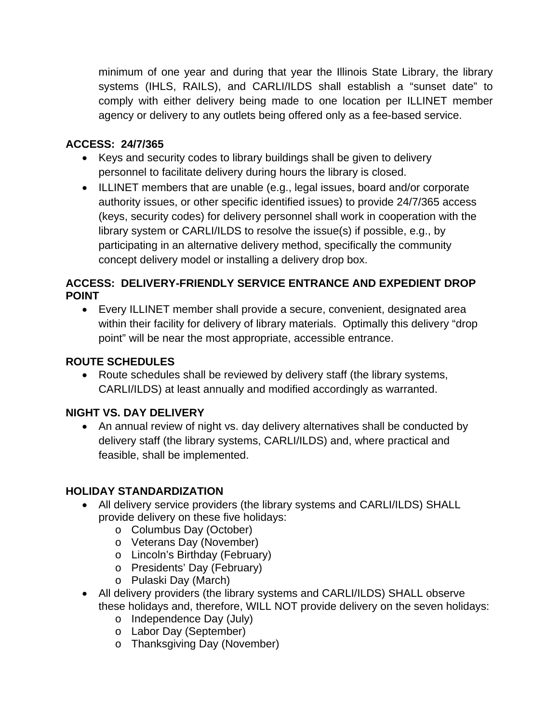minimum of one year and during that year the Illinois State Library, the library systems (IHLS, RAILS), and CARLI/ILDS shall establish a "sunset date" to comply with either delivery being made to one location per ILLINET member agency or delivery to any outlets being offered only as a fee-based service.

## **ACCESS: 24/7/365**

- Keys and security codes to library buildings shall be given to delivery personnel to facilitate delivery during hours the library is closed.
- ILLINET members that are unable (e.g., legal issues, board and/or corporate authority issues, or other specific identified issues) to provide 24/7/365 access (keys, security codes) for delivery personnel shall work in cooperation with the library system or CARLI/ILDS to resolve the issue(s) if possible, e.g., by participating in an alternative delivery method, specifically the community concept delivery model or installing a delivery drop box.

### **ACCESS: DELIVERY-FRIENDLY SERVICE ENTRANCE AND EXPEDIENT DROP POINT**

• Every ILLINET member shall provide a secure, convenient, designated area within their facility for delivery of library materials. Optimally this delivery "drop point" will be near the most appropriate, accessible entrance.

### **ROUTE SCHEDULES**

• Route schedules shall be reviewed by delivery staff (the library systems, CARLI/ILDS) at least annually and modified accordingly as warranted.

## **NIGHT VS. DAY DELIVERY**

• An annual review of night vs. day delivery alternatives shall be conducted by delivery staff (the library systems, CARLI/ILDS) and, where practical and feasible, shall be implemented.

### **HOLIDAY STANDARDIZATION**

- All delivery service providers (the library systems and CARLI/ILDS) SHALL provide delivery on these five holidays:
	- o Columbus Day (October)
	- o Veterans Day (November)
	- o Lincoln's Birthday (February)
	- o Presidents' Day (February)
	- o Pulaski Day (March)
- All delivery providers (the library systems and CARLI/ILDS) SHALL observe these holidays and, therefore, WILL NOT provide delivery on the seven holidays:
	- o Independence Day (July)
	- o Labor Day (September)
	- o Thanksgiving Day (November)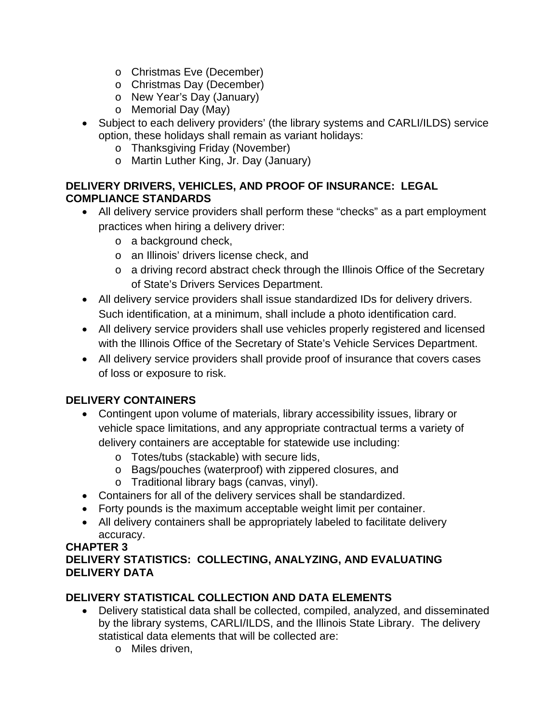- o Christmas Eve (December)
- o Christmas Day (December)
- o New Year's Day (January)
- o Memorial Day (May)
- Subject to each delivery providers' (the library systems and CARLI/ILDS) service option, these holidays shall remain as variant holidays:
	- o Thanksgiving Friday (November)
	- o Martin Luther King, Jr. Day (January)

## **DELIVERY DRIVERS, VEHICLES, AND PROOF OF INSURANCE: LEGAL COMPLIANCE STANDARDS**

- All delivery service providers shall perform these "checks" as a part employment practices when hiring a delivery driver:
	- o a background check,
	- o an Illinois' drivers license check, and
	- o a driving record abstract check through the Illinois Office of the Secretary of State's Drivers Services Department.
- All delivery service providers shall issue standardized IDs for delivery drivers. Such identification, at a minimum, shall include a photo identification card.
- All delivery service providers shall use vehicles properly registered and licensed with the Illinois Office of the Secretary of State's Vehicle Services Department.
- All delivery service providers shall provide proof of insurance that covers cases of loss or exposure to risk.

## **DELIVERY CONTAINERS**

- Contingent upon volume of materials, library accessibility issues, library or vehicle space limitations, and any appropriate contractual terms a variety of delivery containers are acceptable for statewide use including:
	- o Totes/tubs (stackable) with secure lids,
	- o Bags/pouches (waterproof) with zippered closures, and
	- o Traditional library bags (canvas, vinyl).
- Containers for all of the delivery services shall be standardized.
- Forty pounds is the maximum acceptable weight limit per container.
- All delivery containers shall be appropriately labeled to facilitate delivery accuracy.

#### **CHAPTER 3 DELIVERY STATISTICS: COLLECTING, ANALYZING, AND EVALUATING DELIVERY DATA**

# **DELIVERY STATISTICAL COLLECTION AND DATA ELEMENTS**

- Delivery statistical data shall be collected, compiled, analyzed, and disseminated by the library systems, CARLI/ILDS, and the Illinois State Library. The delivery statistical data elements that will be collected are:
	- o Miles driven,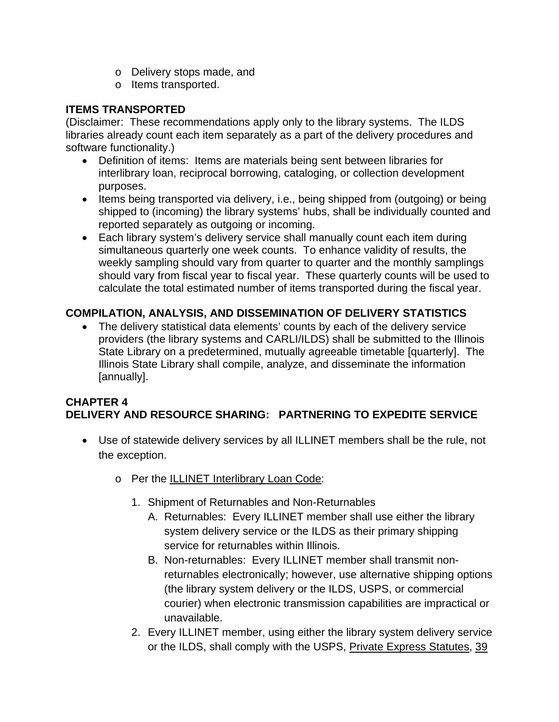- o Delivery stops made, and
- o Items transported.

### **ITEMS TRANSPORTED**

(Disclaimer: These recommendations apply only to the library systems. The ILDS libraries already count each item separately as a part of the delivery procedures and software functionality.)

- Definition of items: Items are materials being sent between libraries for interlibrary loan, reciprocal borrowing, cataloging, or collection development purposes.
- Items being transported via delivery, i.e., being shipped from (outgoing) or being shipped to (incoming) the library systems' hubs, shall be individually counted and reported separately as outgoing or incoming.
- Each library system's delivery service shall manually count each item during simultaneous quarterly one week counts. To enhance validity of results, the weekly sampling should vary from quarter to quarter and the monthly samplings should vary from fiscal year to fiscal year. These quarterly counts will be used to calculate the total estimated number of items transported during the fiscal year.

## **COMPILATION, ANALYSIS, AND DISSEMINATION OF DELIVERY STATISTICS**

The delivery statistical data elements' counts by each of the delivery service providers (the library systems and CARLI/ILDS) shall be submitted to the Illinois State Library on a predetermined, mutually agreeable timetable [quarterly]. The Illinois State Library shall compile, analyze, and disseminate the information [annually].

### **CHAPTER 4 DELIVERY AND RESOURCE SHARING: PARTNERING TO EXPEDITE SERVICE**

- Use of statewide delivery services by all ILLINET members shall be the rule, not the exception.
	- o Per the ILLINET Interlibrary Loan Code:
		- 1. Shipment of Returnables and Non-Returnables
			- A. Returnables: Every ILLINET member shall use either the library system delivery service or the ILDS as their primary shipping service for returnables within Illinois.
			- B. Non-returnables: Every ILLINET member shall transmit nonreturnables electronically; however, use alternative shipping options (the library system delivery or the ILDS, USPS, or commercial courier) when electronic transmission capabilities are impractical or unavailable.
		- 2. Every ILLINET member, using either the library system delivery service or the ILDS, shall comply with the USPS, Private Express Statutes, 39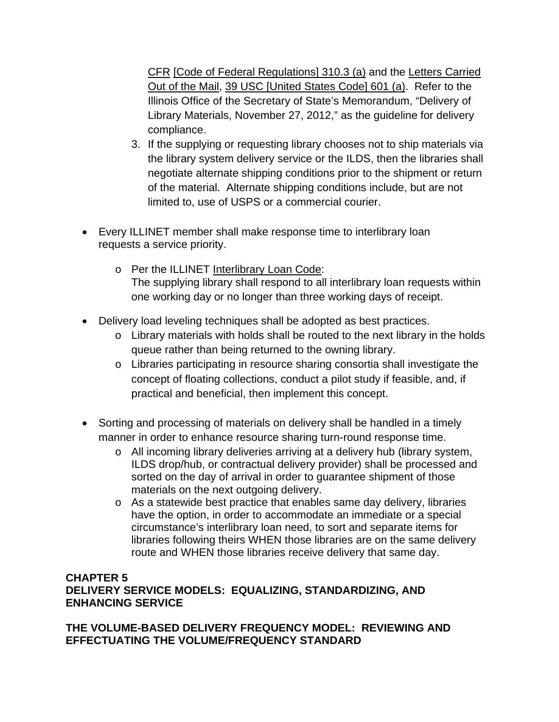CFR [Code of Federal Regulations] 310.3 (a) and the Letters Carried Out of the Mail, 39 USC [United States Code] 601 (a). Refer to the Illinois Office of the Secretary of State's Memorandum, "Delivery of Library Materials, November 27, 2012," as the guideline for delivery compliance.

- 3. If the supplying or requesting library chooses not to ship materials via the library system delivery service or the ILDS, then the libraries shall negotiate alternate shipping conditions prior to the shipment or return of the material. Alternate shipping conditions include, but are not limited to, use of USPS or a commercial courier.
- Every ILLINET member shall make response time to interlibrary loan requests a service priority.
	- o Per the ILLINET Interlibrary Loan Code: The supplying library shall respond to all interlibrary loan requests within one working day or no longer than three working days of receipt.
- Delivery load leveling techniques shall be adopted as best practices.
	- o Library materials with holds shall be routed to the next library in the holds queue rather than being returned to the owning library.
	- o Libraries participating in resource sharing consortia shall investigate the concept of floating collections, conduct a pilot study if feasible, and, if practical and beneficial, then implement this concept.
- Sorting and processing of materials on delivery shall be handled in a timely manner in order to enhance resource sharing turn-round response time.
	- o All incoming library deliveries arriving at a delivery hub (library system, ILDS drop/hub, or contractual delivery provider) shall be processed and sorted on the day of arrival in order to guarantee shipment of those materials on the next outgoing delivery.
	- o As a statewide best practice that enables same day delivery, libraries have the option, in order to accommodate an immediate or a special circumstance's interlibrary loan need, to sort and separate items for libraries following theirs WHEN those libraries are on the same delivery route and WHEN those libraries receive delivery that same day.

#### **CHAPTER 5 DELIVERY SERVICE MODELS: EQUALIZING, STANDARDIZING, AND ENHANCING SERVICE**

**THE VOLUME-BASED DELIVERY FREQUENCY MODEL: REVIEWING AND EFFECTUATING THE VOLUME/FREQUENCY STANDARD**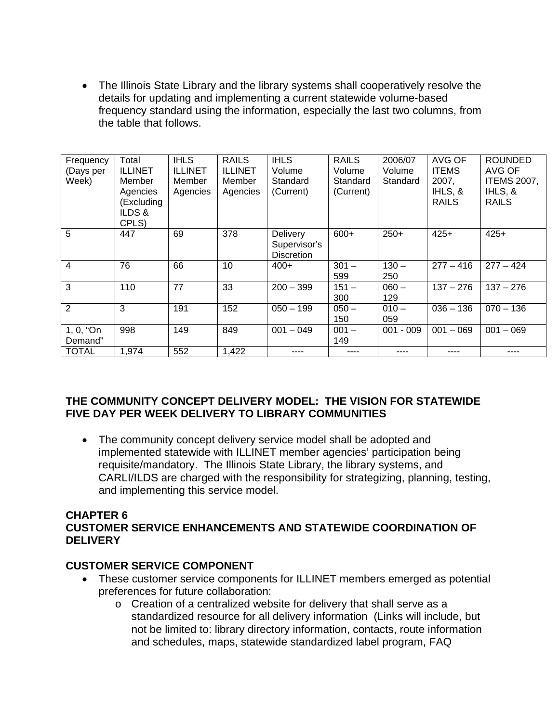• The Illinois State Library and the library systems shall cooperatively resolve the details for updating and implementing a current statewide volume-based frequency standard using the information, especially the last two columns, from the table that follows.

| Frequency<br>(Days per<br>Week) | Total<br><b>ILLINET</b><br>Member<br>Agencies<br>(Excluding<br>ILDS&<br>CPLS) | <b>IHLS</b><br><b>ILLINET</b><br>Member<br>Agencies | <b>RAILS</b><br><b>ILLINET</b><br>Member<br>Agencies | <b>IHLS</b><br>Volume<br>Standard<br>(Current) | <b>RAILS</b><br>Volume<br>Standard<br>(Current) | 2006/07<br>Volume<br>Standard | AVG OF<br><b>ITEMS</b><br>2007,<br>IHLS, &<br><b>RAILS</b> | <b>ROUNDED</b><br>AVG OF<br><b>ITEMS 2007,</b><br>IHLS, &<br><b>RAILS</b> |
|---------------------------------|-------------------------------------------------------------------------------|-----------------------------------------------------|------------------------------------------------------|------------------------------------------------|-------------------------------------------------|-------------------------------|------------------------------------------------------------|---------------------------------------------------------------------------|
| 5                               | 447                                                                           | 69                                                  | 378                                                  | Delivery<br>Supervisor's<br><b>Discretion</b>  | $600+$                                          | $250+$                        | $425+$                                                     | $425+$                                                                    |
| 4                               | 76                                                                            | 66                                                  | 10                                                   | $400+$                                         | $301 -$<br>599                                  | $130 -$<br>250                | $277 - 416$                                                | $277 - 424$                                                               |
| 3                               | 110                                                                           | 77                                                  | 33                                                   | $200 - 399$                                    | $151 -$<br>300                                  | $060 -$<br>129                | $137 - 276$                                                | $137 - 276$                                                               |
| $\overline{2}$                  | 3                                                                             | 191                                                 | 152                                                  | $050 - 199$                                    | $050 -$<br>150                                  | $010 -$<br>059                | $036 - 136$                                                | $070 - 136$                                                               |
| 1, 0, "On<br>Demand"            | 998                                                                           | 149                                                 | 849                                                  | $001 - 049$                                    | $001 -$<br>149                                  | $001 - 009$                   | $001 - 069$                                                | $001 - 069$                                                               |
| <b>TOTAL</b>                    | 1,974                                                                         | 552                                                 | 1,422                                                |                                                |                                                 |                               |                                                            |                                                                           |

### **THE COMMUNITY CONCEPT DELIVERY MODEL: THE VISION FOR STATEWIDE FIVE DAY PER WEEK DELIVERY TO LIBRARY COMMUNITIES**

• The community concept delivery service model shall be adopted and implemented statewide with ILLINET member agencies' participation being requisite/mandatory. The Illinois State Library, the library systems, and CARLI/ILDS are charged with the responsibility for strategizing, planning, testing, and implementing this service model.

#### **CHAPTER 6 CUSTOMER SERVICE ENHANCEMENTS AND STATEWIDE COORDINATION OF DELIVERY**

### **CUSTOMER SERVICE COMPONENT**

- These customer service components for ILLINET members emerged as potential preferences for future collaboration:
	- o Creation of a centralized website for delivery that shall serve as a standardized resource for all delivery information (Links will include, but not be limited to: library directory information, contacts, route information and schedules, maps, statewide standardized label program, FAQ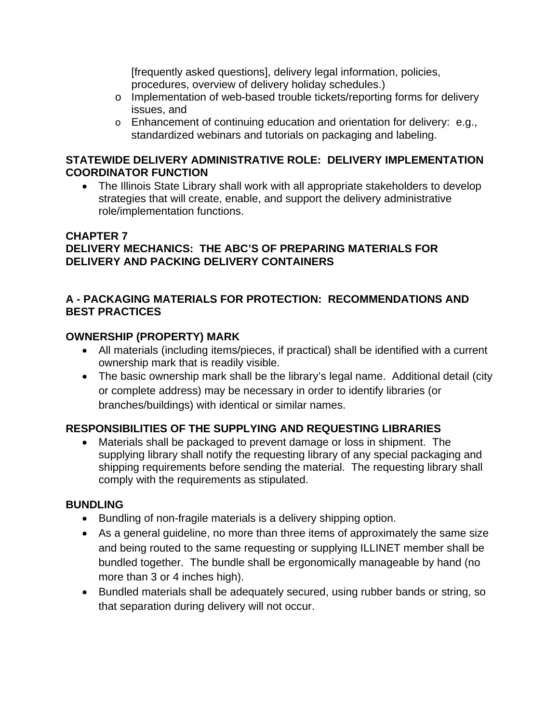[frequently asked questions], delivery legal information, policies, procedures, overview of delivery holiday schedules.)

- o Implementation of web-based trouble tickets/reporting forms for delivery issues, and
- o Enhancement of continuing education and orientation for delivery: e.g., standardized webinars and tutorials on packaging and labeling.

#### **STATEWIDE DELIVERY ADMINISTRATIVE ROLE: DELIVERY IMPLEMENTATION COORDINATOR FUNCTION**

• The Illinois State Library shall work with all appropriate stakeholders to develop strategies that will create, enable, and support the delivery administrative role/implementation functions.

### **CHAPTER 7 DELIVERY MECHANICS: THE ABC'S OF PREPARING MATERIALS FOR DELIVERY AND PACKING DELIVERY CONTAINERS**

## **A - PACKAGING MATERIALS FOR PROTECTION: RECOMMENDATIONS AND BEST PRACTICES**

## **OWNERSHIP (PROPERTY) MARK**

- All materials (including items/pieces, if practical) shall be identified with a current ownership mark that is readily visible.
- The basic ownership mark shall be the library's legal name. Additional detail (city or complete address) may be necessary in order to identify libraries (or branches/buildings) with identical or similar names.

## **RESPONSIBILITIES OF THE SUPPLYING AND REQUESTING LIBRARIES**

• Materials shall be packaged to prevent damage or loss in shipment. The supplying library shall notify the requesting library of any special packaging and shipping requirements before sending the material. The requesting library shall comply with the requirements as stipulated.

### **BUNDLING**

- Bundling of non-fragile materials is a delivery shipping option.
- As a general guideline, no more than three items of approximately the same size and being routed to the same requesting or supplying ILLINET member shall be bundled together. The bundle shall be ergonomically manageable by hand (no more than 3 or 4 inches high).
- Bundled materials shall be adequately secured, using rubber bands or string, so that separation during delivery will not occur.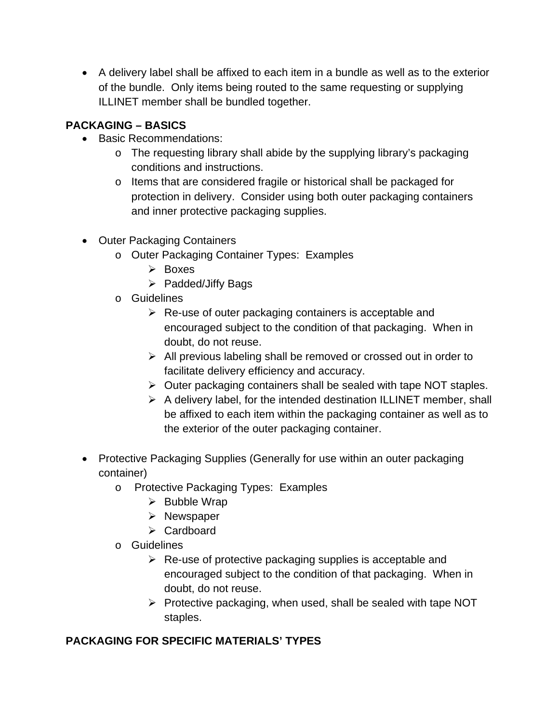• A delivery label shall be affixed to each item in a bundle as well as to the exterior of the bundle. Only items being routed to the same requesting or supplying ILLINET member shall be bundled together.

## **PACKAGING – BASICS**

- Basic Recommendations:
	- o The requesting library shall abide by the supplying library's packaging conditions and instructions.
	- o Items that are considered fragile or historical shall be packaged for protection in delivery. Consider using both outer packaging containers and inner protective packaging supplies.
- Outer Packaging Containers
	- o Outer Packaging Container Types: Examples
		- $\triangleright$  Boxes
		- $\triangleright$  Padded/Jiffy Bags
	- o Guidelines
		- $\triangleright$  Re-use of outer packaging containers is acceptable and encouraged subject to the condition of that packaging. When in doubt, do not reuse.
		- $\triangleright$  All previous labeling shall be removed or crossed out in order to facilitate delivery efficiency and accuracy.
		- $\triangleright$  Outer packaging containers shall be sealed with tape NOT staples.
		- $\triangleright$  A delivery label, for the intended destination ILLINET member, shall be affixed to each item within the packaging container as well as to the exterior of the outer packaging container.
- Protective Packaging Supplies (Generally for use within an outer packaging container)
	- o Protective Packaging Types: Examples
		- $\triangleright$  Bubble Wrap
		- $\triangleright$  Newspaper
		- **≻** Cardboard
	- o Guidelines
		- $\triangleright$  Re-use of protective packaging supplies is acceptable and encouraged subject to the condition of that packaging. When in doubt, do not reuse.
		- $\triangleright$  Protective packaging, when used, shall be sealed with tape NOT staples.

## **PACKAGING FOR SPECIFIC MATERIALS' TYPES**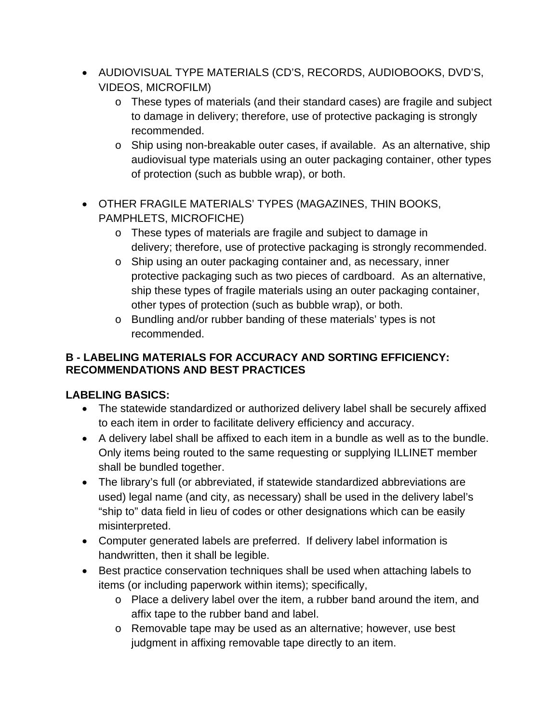- AUDIOVISUAL TYPE MATERIALS (CD'S, RECORDS, AUDIOBOOKS, DVD'S, VIDEOS, MICROFILM)
	- o These types of materials (and their standard cases) are fragile and subject to damage in delivery; therefore, use of protective packaging is strongly recommended.
	- o Ship using non-breakable outer cases, if available. As an alternative, ship audiovisual type materials using an outer packaging container, other types of protection (such as bubble wrap), or both.
- OTHER FRAGILE MATERIALS' TYPES (MAGAZINES, THIN BOOKS, PAMPHLETS, MICROFICHE)
	- o These types of materials are fragile and subject to damage in delivery; therefore, use of protective packaging is strongly recommended.
	- o Ship using an outer packaging container and, as necessary, inner protective packaging such as two pieces of cardboard. As an alternative, ship these types of fragile materials using an outer packaging container, other types of protection (such as bubble wrap), or both.
	- o Bundling and/or rubber banding of these materials' types is not recommended.

## **B - LABELING MATERIALS FOR ACCURACY AND SORTING EFFICIENCY: RECOMMENDATIONS AND BEST PRACTICES**

# **LABELING BASICS:**

- The statewide standardized or authorized delivery label shall be securely affixed to each item in order to facilitate delivery efficiency and accuracy.
- A delivery label shall be affixed to each item in a bundle as well as to the bundle. Only items being routed to the same requesting or supplying ILLINET member shall be bundled together.
- The library's full (or abbreviated, if statewide standardized abbreviations are used) legal name (and city, as necessary) shall be used in the delivery label's "ship to" data field in lieu of codes or other designations which can be easily misinterpreted.
- Computer generated labels are preferred. If delivery label information is handwritten, then it shall be legible.
- Best practice conservation techniques shall be used when attaching labels to items (or including paperwork within items); specifically,
	- o Place a delivery label over the item, a rubber band around the item, and affix tape to the rubber band and label.
	- o Removable tape may be used as an alternative; however, use best judgment in affixing removable tape directly to an item.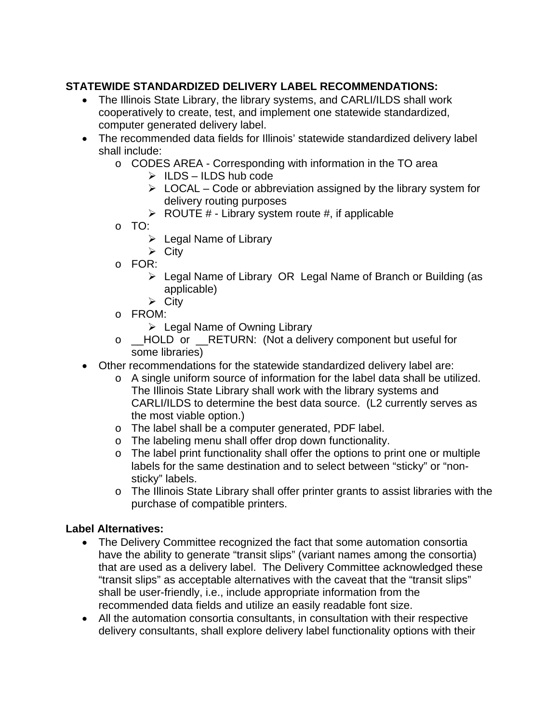## **STATEWIDE STANDARDIZED DELIVERY LABEL RECOMMENDATIONS:**

- The Illinois State Library, the library systems, and CARLI/ILDS shall work cooperatively to create, test, and implement one statewide standardized, computer generated delivery label.
- The recommended data fields for Illinois' statewide standardized delivery label shall include:
	- o CODES AREA Corresponding with information in the TO area
		- $\triangleright$  ILDS ILDS hub code
		- $\triangleright$  LOCAL Code or abbreviation assigned by the library system for delivery routing purposes
		- $\triangleright$  ROUTE # Library system route #, if applicable
	- o TO:
		- $\triangleright$  Legal Name of Library
		- $\triangleright$  City
	- o FOR:
		- Legal Name of Library OR Legal Name of Branch or Building (as applicable)
		- $\triangleright$  City
	- o FROM:
		- $\triangleright$  Legal Name of Owning Library
	- o \_\_HOLD or \_\_RETURN: (Not a delivery component but useful for some libraries)
- Other recommendations for the statewide standardized delivery label are:
	- o A single uniform source of information for the label data shall be utilized. The Illinois State Library shall work with the library systems and CARLI/ILDS to determine the best data source. (L2 currently serves as the most viable option.)
	- o The label shall be a computer generated, PDF label.
	- o The labeling menu shall offer drop down functionality.
	- o The label print functionality shall offer the options to print one or multiple labels for the same destination and to select between "sticky" or "nonsticky" labels.
	- o The Illinois State Library shall offer printer grants to assist libraries with the purchase of compatible printers.

### **Label Alternatives:**

- The Delivery Committee recognized the fact that some automation consortia have the ability to generate "transit slips" (variant names among the consortia) that are used as a delivery label. The Delivery Committee acknowledged these "transit slips" as acceptable alternatives with the caveat that the "transit slips" shall be user-friendly, i.e., include appropriate information from the recommended data fields and utilize an easily readable font size.
- All the automation consortia consultants, in consultation with their respective delivery consultants, shall explore delivery label functionality options with their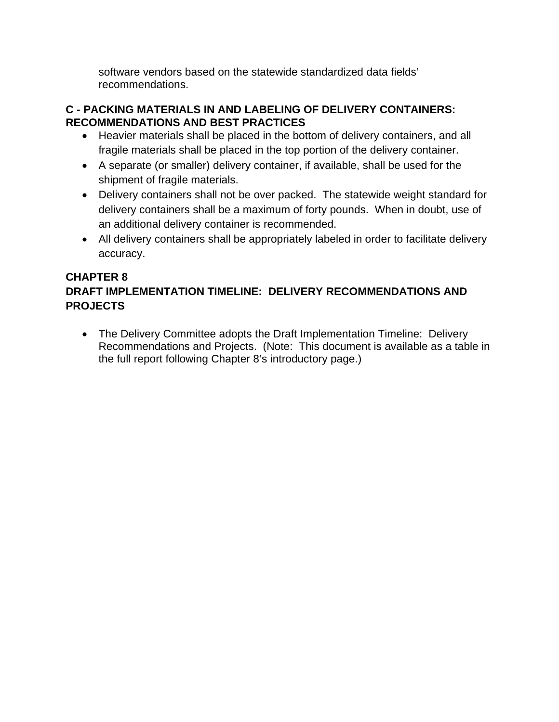software vendors based on the statewide standardized data fields' recommendations.

## **C - PACKING MATERIALS IN AND LABELING OF DELIVERY CONTAINERS: RECOMMENDATIONS AND BEST PRACTICES**

- Heavier materials shall be placed in the bottom of delivery containers, and all fragile materials shall be placed in the top portion of the delivery container.
- A separate (or smaller) delivery container, if available, shall be used for the shipment of fragile materials.
- Delivery containers shall not be over packed. The statewide weight standard for delivery containers shall be a maximum of forty pounds. When in doubt, use of an additional delivery container is recommended.
- All delivery containers shall be appropriately labeled in order to facilitate delivery accuracy.

## **CHAPTER 8 DRAFT IMPLEMENTATION TIMELINE: DELIVERY RECOMMENDATIONS AND PROJECTS**

• The Delivery Committee adopts the Draft Implementation Timeline: Delivery Recommendations and Projects. (Note: This document is available as a table in the full report following Chapter 8's introductory page.)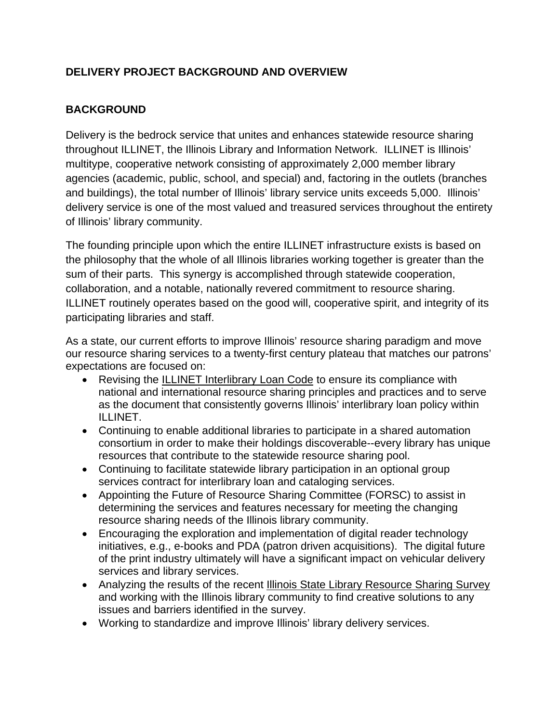## <span id="page-17-0"></span>**DELIVERY PROJECT BACKGROUND AND OVERVIEW**

## **BACKGROUND**

Delivery is the bedrock service that unites and enhances statewide resource sharing throughout ILLINET, the Illinois Library and Information Network. ILLINET is Illinois' multitype, cooperative network consisting of approximately 2,000 member library agencies (academic, public, school, and special) and, factoring in the outlets (branches and buildings), the total number of Illinois' library service units exceeds 5,000. Illinois' delivery service is one of the most valued and treasured services throughout the entirety of Illinois' library community.

The founding principle upon which the entire ILLINET infrastructure exists is based on the philosophy that the whole of all Illinois libraries working together is greater than the sum of their parts. This synergy is accomplished through statewide cooperation, collaboration, and a notable, nationally revered commitment to resource sharing. ILLINET routinely operates based on the good will, cooperative spirit, and integrity of its participating libraries and staff.

As a state, our current efforts to improve Illinois' resource sharing paradigm and move our resource sharing services to a twenty-first century plateau that matches our patrons' expectations are focused on:

- Revising the ILLINET Interlibrary Loan Code to ensure its compliance with national and international resource sharing principles and practices and to serve as the document that consistently governs Illinois' interlibrary loan policy within ILLINET.
- Continuing to enable additional libraries to participate in a shared automation consortium in order to make their holdings discoverable--every library has unique resources that contribute to the statewide resource sharing pool.
- Continuing to facilitate statewide library participation in an optional group services contract for interlibrary loan and cataloging services.
- Appointing the Future of Resource Sharing Committee (FORSC) to assist in determining the services and features necessary for meeting the changing resource sharing needs of the Illinois library community.
- Encouraging the exploration and implementation of digital reader technology initiatives, e.g., e-books and PDA (patron driven acquisitions). The digital future of the print industry ultimately will have a significant impact on vehicular delivery services and library services.
- Analyzing the results of the recent Illinois State Library Resource Sharing Survey and working with the Illinois library community to find creative solutions to any issues and barriers identified in the survey.
- Working to standardize and improve Illinois' library delivery services.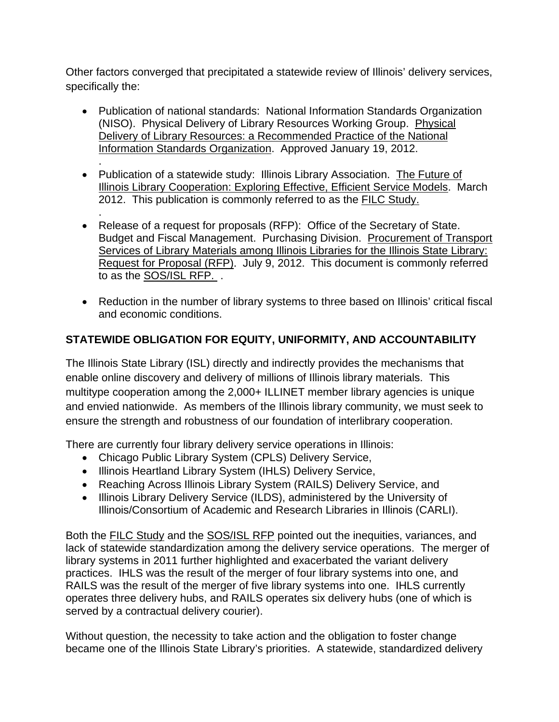Other factors converged that precipitated a statewide review of Illinois' delivery services, specifically the:

- Publication of national standards: National Information Standards Organization (NISO). Physical Delivery of Library Resources Working Group. Physical Delivery of Library Resources: a Recommended Practice of the National Information Standards Organization. Approved January 19, 2012.
- . • Publication of a statewide study: Illinois Library Association. The Future of Illinois Library Cooperation: Exploring Effective, Efficient Service Models. March 2012. This publication is commonly referred to as the FILC Study.
- . • Release of a request for proposals (RFP): Office of the Secretary of State. Budget and Fiscal Management. Purchasing Division. Procurement of Transport Services of Library Materials among Illinois Libraries for the Illinois State Library: Request for Proposal (RFP). July 9, 2012. This document is commonly referred to as the SOS/ISL RFP. .
- Reduction in the number of library systems to three based on Illinois' critical fiscal and economic conditions.

## **STATEWIDE OBLIGATION FOR EQUITY, UNIFORMITY, AND ACCOUNTABILITY**

The Illinois State Library (ISL) directly and indirectly provides the mechanisms that enable online discovery and delivery of millions of Illinois library materials. This multitype cooperation among the 2,000+ ILLINET member library agencies is unique and envied nationwide. As members of the Illinois library community, we must seek to ensure the strength and robustness of our foundation of interlibrary cooperation.

There are currently four library delivery service operations in Illinois:

- Chicago Public Library System (CPLS) Delivery Service,
- Illinois Heartland Library System (IHLS) Delivery Service,
- Reaching Across Illinois Library System (RAILS) Delivery Service, and
- Illinois Library Delivery Service (ILDS), administered by the University of Illinois/Consortium of Academic and Research Libraries in Illinois (CARLI).

Both the FILC Study and the SOS/ISL RFP pointed out the inequities, variances, and lack of statewide standardization among the delivery service operations. The merger of library systems in 2011 further highlighted and exacerbated the variant delivery practices. IHLS was the result of the merger of four library systems into one, and RAILS was the result of the merger of five library systems into one. IHLS currently operates three delivery hubs, and RAILS operates six delivery hubs (one of which is served by a contractual delivery courier).

Without question, the necessity to take action and the obligation to foster change became one of the Illinois State Library's priorities. A statewide, standardized delivery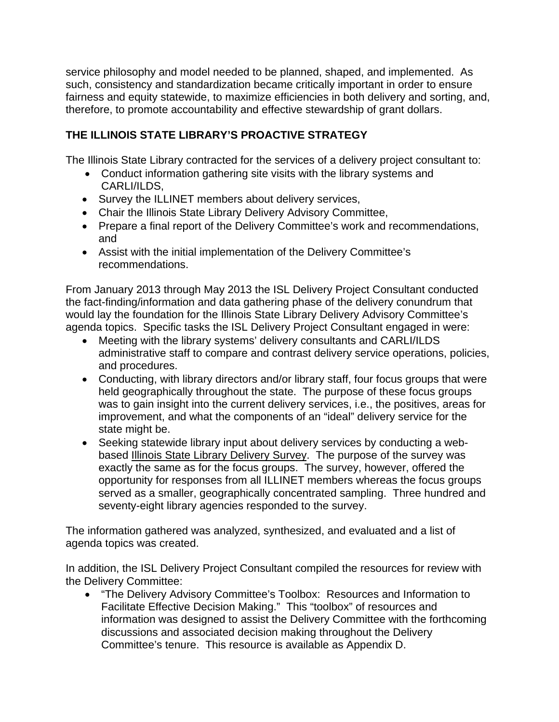service philosophy and model needed to be planned, shaped, and implemented. As such, consistency and standardization became critically important in order to ensure fairness and equity statewide, to maximize efficiencies in both delivery and sorting, and, therefore, to promote accountability and effective stewardship of grant dollars.

## **THE ILLINOIS STATE LIBRARY'S PROACTIVE STRATEGY**

The Illinois State Library contracted for the services of a delivery project consultant to:

- Conduct information gathering site visits with the library systems and CARLI/ILDS,
- Survey the ILLINET members about delivery services,
- Chair the Illinois State Library Delivery Advisory Committee,
- Prepare a final report of the Delivery Committee's work and recommendations, and
- Assist with the initial implementation of the Delivery Committee's recommendations.

From January 2013 through May 2013 the ISL Delivery Project Consultant conducted the fact-finding/information and data gathering phase of the delivery conundrum that would lay the foundation for the Illinois State Library Delivery Advisory Committee's agenda topics. Specific tasks the ISL Delivery Project Consultant engaged in were:

- Meeting with the library systems' delivery consultants and CARLI/ILDS administrative staff to compare and contrast delivery service operations, policies, and procedures.
- Conducting, with library directors and/or library staff, four focus groups that were held geographically throughout the state. The purpose of these focus groups was to gain insight into the current delivery services, i.e., the positives, areas for improvement, and what the components of an "ideal" delivery service for the state might be.
- Seeking statewide library input about delivery services by conducting a webbased **Illinois State Library Delivery Survey**. The purpose of the survey was exactly the same as for the focus groups. The survey, however, offered the opportunity for responses from all ILLINET members whereas the focus groups served as a smaller, geographically concentrated sampling. Three hundred and seventy-eight library agencies responded to the survey.

The information gathered was analyzed, synthesized, and evaluated and a list of agenda topics was created.

In addition, the ISL Delivery Project Consultant compiled the resources for review with the Delivery Committee:

• "The Delivery Advisory Committee's Toolbox: Resources and Information to Facilitate Effective Decision Making." This "toolbox" of resources and information was designed to assist the Delivery Committee with the forthcoming discussions and associated decision making throughout the Delivery Committee's tenure. This resource is available as Appendix D.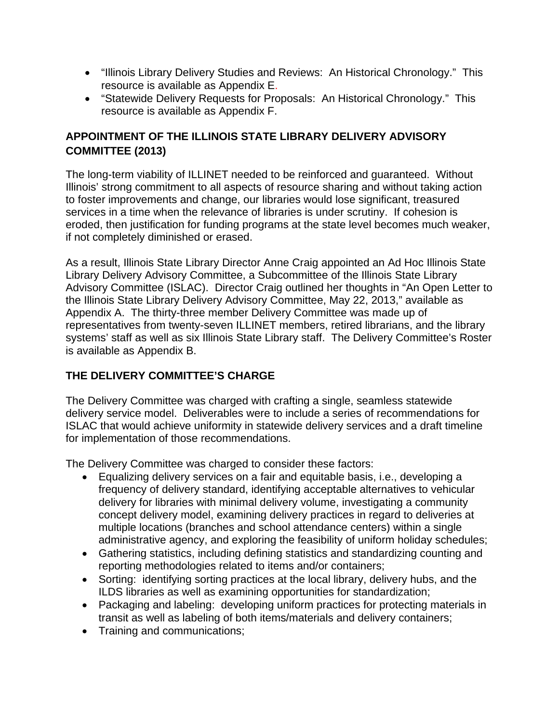- "Illinois Library Delivery Studies and Reviews: An Historical Chronology." This resource is available as Appendix E.
- "Statewide Delivery Requests for Proposals: An Historical Chronology." This resource is available as Appendix F.

## **APPOINTMENT OF THE ILLINOIS STATE LIBRARY DELIVERY ADVISORY COMMITTEE (2013)**

The long-term viability of ILLINET needed to be reinforced and guaranteed. Without Illinois' strong commitment to all aspects of resource sharing and without taking action to foster improvements and change, our libraries would lose significant, treasured services in a time when the relevance of libraries is under scrutiny. If cohesion is eroded, then justification for funding programs at the state level becomes much weaker, if not completely diminished or erased.

As a result, Illinois State Library Director Anne Craig appointed an Ad Hoc Illinois State Library Delivery Advisory Committee, a Subcommittee of the Illinois State Library Advisory Committee (ISLAC). Director Craig outlined her thoughts in "An Open Letter to the Illinois State Library Delivery Advisory Committee, May 22, 2013," available as Appendix A. The thirty-three member Delivery Committee was made up of representatives from twenty-seven ILLINET members, retired librarians, and the library systems' staff as well as six Illinois State Library staff. The Delivery Committee's Roster is available as Appendix B.

## **THE DELIVERY COMMITTEE'S CHARGE**

The Delivery Committee was charged with crafting a single, seamless statewide delivery service model. Deliverables were to include a series of recommendations for ISLAC that would achieve uniformity in statewide delivery services and a draft timeline for implementation of those recommendations.

The Delivery Committee was charged to consider these factors:

- Equalizing delivery services on a fair and equitable basis, i.e., developing a frequency of delivery standard, identifying acceptable alternatives to vehicular delivery for libraries with minimal delivery volume, investigating a community concept delivery model, examining delivery practices in regard to deliveries at multiple locations (branches and school attendance centers) within a single administrative agency, and exploring the feasibility of uniform holiday schedules;
- Gathering statistics, including defining statistics and standardizing counting and reporting methodologies related to items and/or containers;
- Sorting: identifying sorting practices at the local library, delivery hubs, and the ILDS libraries as well as examining opportunities for standardization;
- Packaging and labeling: developing uniform practices for protecting materials in transit as well as labeling of both items/materials and delivery containers;
- Training and communications;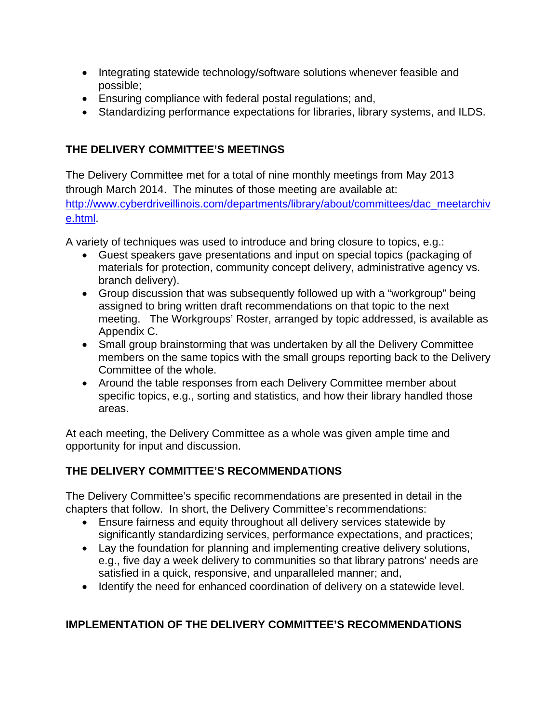- Integrating statewide technology/software solutions whenever feasible and possible;
- Ensuring compliance with federal postal regulations; and,
- Standardizing performance expectations for libraries, library systems, and ILDS.

## **THE DELIVERY COMMITTEE'S MEETINGS**

The Delivery Committee met for a total of nine monthly meetings from May 2013 through March 2014. The minutes of those meeting are available at: [http://www.cyberdriveillinois.com/departments/library/about/committees/dac\\_meetarchiv](http://www.cyberdriveillinois.com/departments/library/about/committees/dac_meetarchive.html) [e.html.](http://www.cyberdriveillinois.com/departments/library/about/committees/dac_meetarchive.html)

A variety of techniques was used to introduce and bring closure to topics, e.g.:

- Guest speakers gave presentations and input on special topics (packaging of materials for protection, community concept delivery, administrative agency vs. branch delivery).
- Group discussion that was subsequently followed up with a "workgroup" being assigned to bring written draft recommendations on that topic to the next meeting. The Workgroups' Roster, arranged by topic addressed, is available as Appendix C.
- Small group brainstorming that was undertaken by all the Delivery Committee members on the same topics with the small groups reporting back to the Delivery Committee of the whole.
- Around the table responses from each Delivery Committee member about specific topics, e.g., sorting and statistics, and how their library handled those areas.

At each meeting, the Delivery Committee as a whole was given ample time and opportunity for input and discussion.

## **THE DELIVERY COMMITTEE'S RECOMMENDATIONS**

The Delivery Committee's specific recommendations are presented in detail in the chapters that follow. In short, the Delivery Committee's recommendations:

- Ensure fairness and equity throughout all delivery services statewide by significantly standardizing services, performance expectations, and practices;
- Lay the foundation for planning and implementing creative delivery solutions, e.g., five day a week delivery to communities so that library patrons' needs are satisfied in a quick, responsive, and unparalleled manner; and,
- Identify the need for enhanced coordination of delivery on a statewide level.

## **IMPLEMENTATION OF THE DELIVERY COMMITTEE'S RECOMMENDATIONS**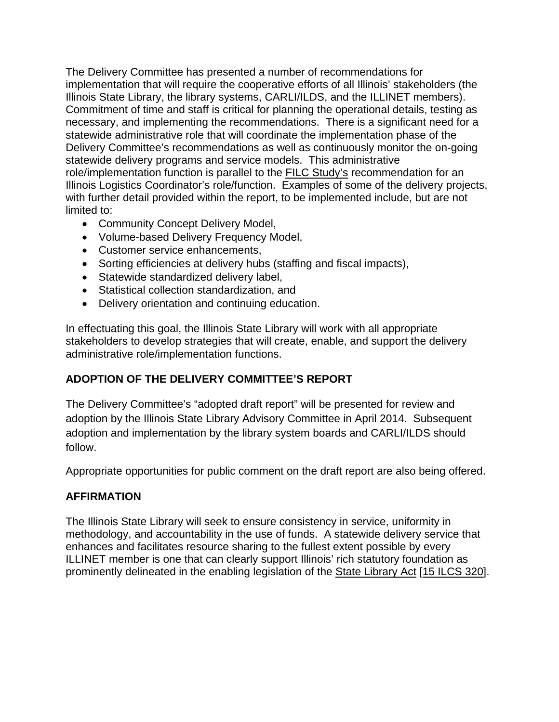The Delivery Committee has presented a number of recommendations for implementation that will require the cooperative efforts of all Illinois' stakeholders (the Illinois State Library, the library systems, CARLI/ILDS, and the ILLINET members). Commitment of time and staff is critical for planning the operational details, testing as necessary, and implementing the recommendations. There is a significant need for a statewide administrative role that will coordinate the implementation phase of the Delivery Committee's recommendations as well as continuously monitor the on-going statewide delivery programs and service models. This administrative role/implementation function is parallel to the FILC Study's recommendation for an Illinois Logistics Coordinator's role/function. Examples of some of the delivery projects, with further detail provided within the report, to be implemented include, but are not limited to:

- Community Concept Delivery Model,
- Volume-based Delivery Frequency Model,
- Customer service enhancements,
- Sorting efficiencies at delivery hubs (staffing and fiscal impacts),
- Statewide standardized delivery label,
- Statistical collection standardization, and
- Delivery orientation and continuing education.

In effectuating this goal, the Illinois State Library will work with all appropriate stakeholders to develop strategies that will create, enable, and support the delivery administrative role/implementation functions.

### **ADOPTION OF THE DELIVERY COMMITTEE'S REPORT**

The Delivery Committee's "adopted draft report" will be presented for review and adoption by the Illinois State Library Advisory Committee in April 2014. Subsequent adoption and implementation by the library system boards and CARLI/ILDS should follow.

Appropriate opportunities for public comment on the draft report are also being offered.

### **AFFIRMATION**

The Illinois State Library will seek to ensure consistency in service, uniformity in methodology, and accountability in the use of funds. A statewide delivery service that enhances and facilitates resource sharing to the fullest extent possible by every ILLINET member is one that can clearly support Illinois' rich statutory foundation as prominently delineated in the enabling legislation of the State Library Act [15 ILCS 320].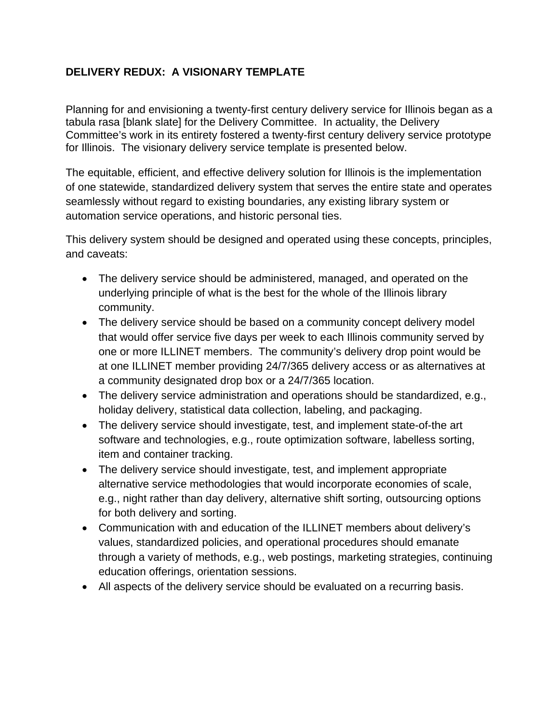## <span id="page-23-0"></span>**DELIVERY REDUX: A VISIONARY TEMPLATE**

Planning for and envisioning a twenty-first century delivery service for Illinois began as a tabula rasa [blank slate] for the Delivery Committee. In actuality, the Delivery Committee's work in its entirety fostered a twenty-first century delivery service prototype for Illinois. The visionary delivery service template is presented below.

The equitable, efficient, and effective delivery solution for Illinois is the implementation of one statewide, standardized delivery system that serves the entire state and operates seamlessly without regard to existing boundaries, any existing library system or automation service operations, and historic personal ties.

This delivery system should be designed and operated using these concepts, principles, and caveats:

- The delivery service should be administered, managed, and operated on the underlying principle of what is the best for the whole of the Illinois library community.
- The delivery service should be based on a community concept delivery model that would offer service five days per week to each Illinois community served by one or more ILLINET members. The community's delivery drop point would be at one ILLINET member providing 24/7/365 delivery access or as alternatives at a community designated drop box or a 24/7/365 location.
- The delivery service administration and operations should be standardized, e.g., holiday delivery, statistical data collection, labeling, and packaging.
- The delivery service should investigate, test, and implement state-of-the art software and technologies, e.g., route optimization software, labelless sorting, item and container tracking.
- The delivery service should investigate, test, and implement appropriate alternative service methodologies that would incorporate economies of scale, e.g., night rather than day delivery, alternative shift sorting, outsourcing options for both delivery and sorting.
- Communication with and education of the ILLINET members about delivery's values, standardized policies, and operational procedures should emanate through a variety of methods, e.g., web postings, marketing strategies, continuing education offerings, orientation sessions.
- All aspects of the delivery service should be evaluated on a recurring basis.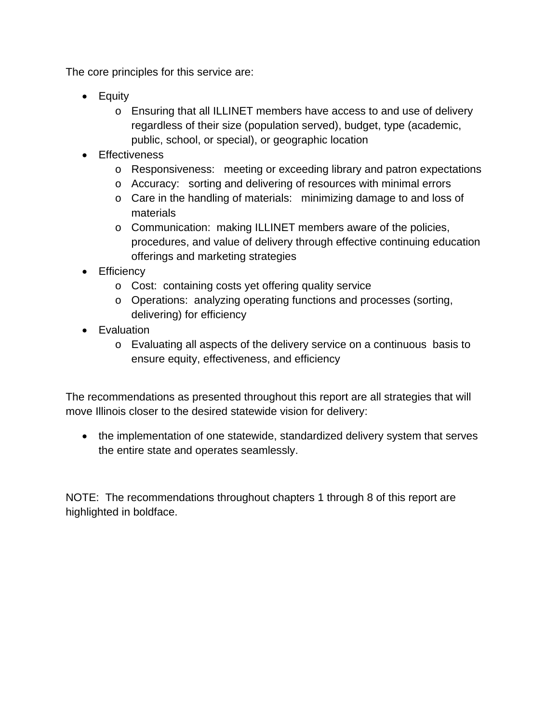The core principles for this service are:

- Equity
	- o Ensuring that all ILLINET members have access to and use of delivery regardless of their size (population served), budget, type (academic, public, school, or special), or geographic location
- Effectiveness
	- o Responsiveness: meeting or exceeding library and patron expectations
	- o Accuracy: sorting and delivering of resources with minimal errors
	- o Care in the handling of materials: minimizing damage to and loss of materials
	- o Communication: making ILLINET members aware of the policies, procedures, and value of delivery through effective continuing education offerings and marketing strategies
- Efficiency
	- o Cost: containing costs yet offering quality service
	- o Operations: analyzing operating functions and processes (sorting, delivering) for efficiency
- Evaluation
	- o Evaluating all aspects of the delivery service on a continuous basis to ensure equity, effectiveness, and efficiency

The recommendations as presented throughout this report are all strategies that will move Illinois closer to the desired statewide vision for delivery:

• the implementation of one statewide, standardized delivery system that serves the entire state and operates seamlessly.

NOTE: The recommendations throughout chapters 1 through 8 of this report are highlighted in boldface.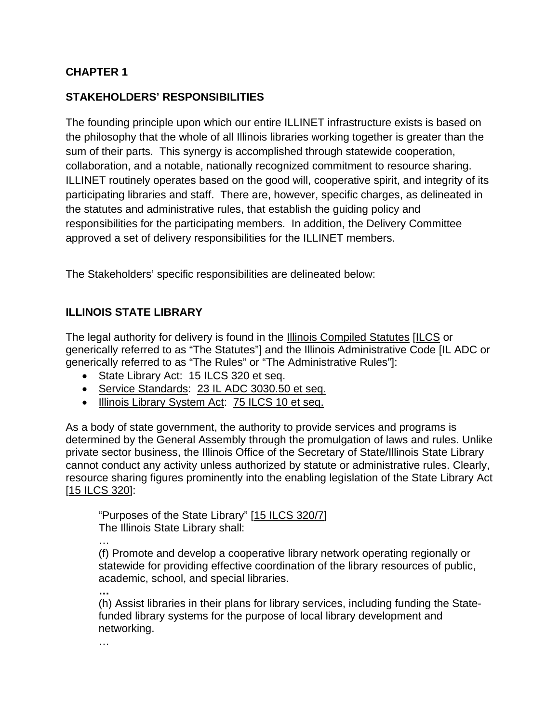## <span id="page-25-0"></span>**CHAPTER 1**

### **STAKEHOLDERS' RESPONSIBILITIES**

The founding principle upon which our entire ILLINET infrastructure exists is based on the philosophy that the whole of all Illinois libraries working together is greater than the sum of their parts. This synergy is accomplished through statewide cooperation, collaboration, and a notable, nationally recognized commitment to resource sharing. ILLINET routinely operates based on the good will, cooperative spirit, and integrity of its participating libraries and staff. There are, however, specific charges, as delineated in the statutes and administrative rules, that establish the guiding policy and responsibilities for the participating members. In addition, the Delivery Committee approved a set of delivery responsibilities for the ILLINET members.

The Stakeholders' specific responsibilities are delineated below:

## **ILLINOIS STATE LIBRARY**

The legal authority for delivery is found in the Illinois Compiled Statutes [ILCS or generically referred to as "The Statutes"] and the **Illinois Administrative Code [IL ADC** or generically referred to as "The Rules" or "The Administrative Rules"]:

- State Library Act: 15 ILCS 320 et seq.
- Service Standards: 23 IL ADC 3030.50 et seq.
- Illinois Library System Act: 75 ILCS 10 et seq.

As a body of state government, the authority to provide services and programs is determined by the General Assembly through the promulgation of laws and rules. Unlike private sector business, the Illinois Office of the Secretary of State/Illinois State Library cannot conduct any activity unless authorized by statute or administrative rules. Clearly, resource sharing figures prominently into the enabling legislation of the State Library Act [15 ILCS 320]:

"Purposes of the State Library" [15 ILCS 320/7] The Illinois State Library shall:

…

(f) Promote and develop a cooperative library network operating regionally or statewide for providing effective coordination of the library resources of public, academic, school, and special libraries.

**…** 

(h) Assist libraries in their plans for library services, including funding the Statefunded library systems for the purpose of local library development and networking.

…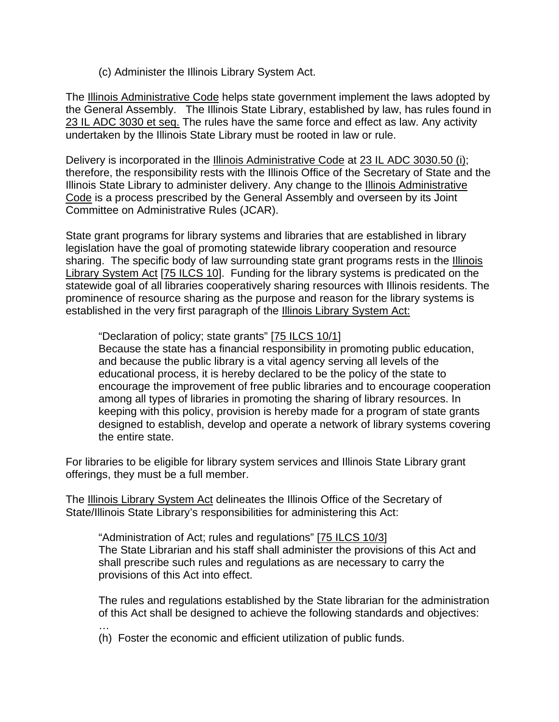(c) Administer the Illinois Library System Act.

The Illinois Administrative Code helps state government implement the laws adopted by the General Assembly. The Illinois State Library, established by law, has rules found in 23 IL ADC 3030 et seq. The rules have the same force and effect as law. Any activity undertaken by the Illinois State Library must be rooted in law or rule.

Delivery is incorporated in the Illinois Administrative Code at 23 IL ADC 3030.50 (i); therefore, the responsibility rests with the Illinois Office of the Secretary of State and the Illinois State Library to administer delivery. Any change to the Illinois Administrative Code is a process prescribed by the General Assembly and overseen by its Joint Committee on Administrative Rules (JCAR).

State grant programs for library systems and libraries that are established in library legislation have the goal of promoting statewide library cooperation and resource sharing. The specific body of law surrounding state grant programs rests in the Illinois Library System Act [75 ILCS 10]. Funding for the library systems is predicated on the statewide goal of all libraries cooperatively sharing resources with Illinois residents. The prominence of resource sharing as the purpose and reason for the library systems is established in the very first paragraph of the Illinois Library System Act:

#### "Declaration of policy; state grants" [75 ILCS 10/1]

Because the state has a financial responsibility in promoting public education, and because the public library is a vital agency serving all levels of the educational process, it is hereby declared to be the policy of the state to encourage the improvement of free public libraries and to encourage cooperation among all types of libraries in promoting the sharing of library resources. In keeping with this policy, provision is hereby made for a program of state grants designed to establish, develop and operate a network of library systems covering the entire state.

For libraries to be eligible for library system services and Illinois State Library grant offerings, they must be a full member.

The Illinois Library System Act delineates the Illinois Office of the Secretary of State/Illinois State Library's responsibilities for administering this Act:

"Administration of Act; rules and regulations" [75 ILCS 10/3] The State Librarian and his staff shall administer the provisions of this Act and shall prescribe such rules and regulations as are necessary to carry the provisions of this Act into effect.

The rules and regulations established by the State librarian for the administration of this Act shall be designed to achieve the following standards and objectives: …

(h) Foster the economic and efficient utilization of public funds.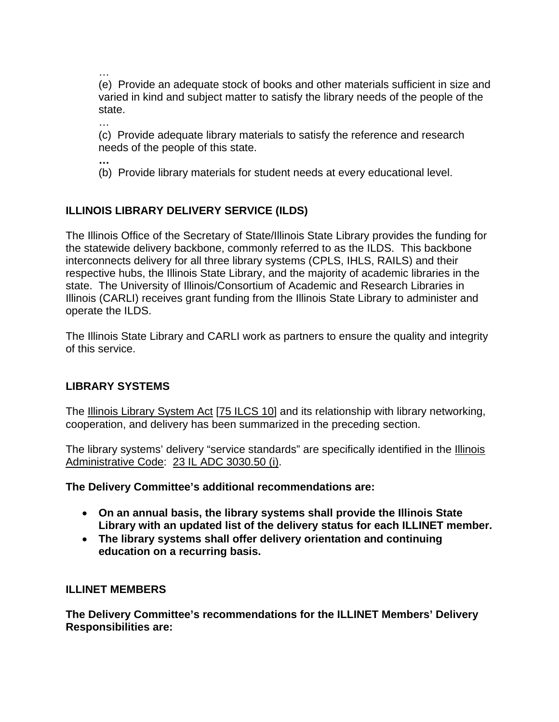… (e) Provide an adequate stock of books and other materials sufficient in size and varied in kind and subject matter to satisfy the library needs of the people of the state.

…

(c) Provide adequate library materials to satisfy the reference and research needs of the people of this state.

**…**

(b) Provide library materials for student needs at every educational level.

## **ILLINOIS LIBRARY DELIVERY SERVICE (ILDS)**

The Illinois Office of the Secretary of State/Illinois State Library provides the funding for the statewide delivery backbone, commonly referred to as the ILDS. This backbone interconnects delivery for all three library systems (CPLS, IHLS, RAILS) and their respective hubs, the Illinois State Library, and the majority of academic libraries in the state. The University of Illinois/Consortium of Academic and Research Libraries in Illinois (CARLI) receives grant funding from the Illinois State Library to administer and operate the ILDS.

The Illinois State Library and CARLI work as partners to ensure the quality and integrity of this service.

### **LIBRARY SYSTEMS**

The Illinois Library System Act [75 ILCS 10] and its relationship with library networking, cooperation, and delivery has been summarized in the preceding section.

The library systems' delivery "service standards" are specifically identified in the **Illinois** Administrative Code: 23 IL ADC 3030.50 (i).

**The Delivery Committee's additional recommendations are:**

- **On an annual basis, the library systems shall provide the Illinois State Library with an updated list of the delivery status for each ILLINET member.**
- **The library systems shall offer delivery orientation and continuing education on a recurring basis.**

#### **ILLINET MEMBERS**

**The Delivery Committee's recommendations for the ILLINET Members' Delivery Responsibilities are:**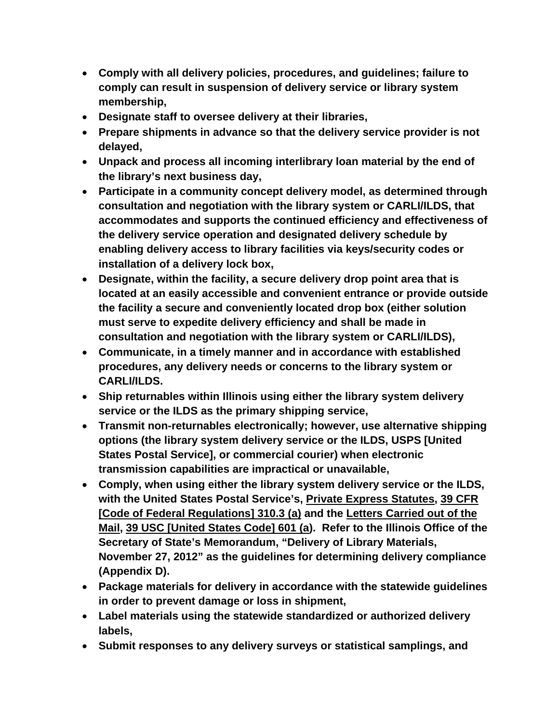- **Comply with all delivery policies, procedures, and guidelines; failure to comply can result in suspension of delivery service or library system membership,**
- **Designate staff to oversee delivery at their libraries,**
- **Prepare shipments in advance so that the delivery service provider is not delayed,**
- **Unpack and process all incoming interlibrary loan material by the end of the library's next business day,**
- **Participate in a community concept delivery model, as determined through consultation and negotiation with the library system or CARLI/ILDS, that accommodates and supports the continued efficiency and effectiveness of the delivery service operation and designated delivery schedule by enabling delivery access to library facilities via keys/security codes or installation of a delivery lock box,**
- **Designate, within the facility, a secure delivery drop point area that is located at an easily accessible and convenient entrance or provide outside the facility a secure and conveniently located drop box (either solution must serve to expedite delivery efficiency and shall be made in consultation and negotiation with the library system or CARLI/ILDS),**
- **Communicate, in a timely manner and in accordance with established procedures, any delivery needs or concerns to the library system or CARLI/ILDS.**
- **Ship returnables within Illinois using either the library system delivery service or the ILDS as the primary shipping service,**
- **Transmit non-returnables electronically; however, use alternative shipping options (the library system delivery service or the ILDS, USPS [United States Postal Service], or commercial courier) when electronic transmission capabilities are impractical or unavailable,**
- **Comply, when using either the library system delivery service or the ILDS, with the United States Postal Service's, Private Express Statutes, 39 CFR [Code of Federal Regulations] 310.3 (a) and the Letters Carried out of the Mail, 39 USC [United States Code] 601 (a). Refer to the Illinois Office of the Secretary of State's Memorandum, "Delivery of Library Materials, November 27, 2012" as the guidelines for determining delivery compliance (Appendix D).**
- **Package materials for delivery in accordance with the statewide guidelines in order to prevent damage or loss in shipment,**
- **Label materials using the statewide standardized or authorized delivery labels,**
- **Submit responses to any delivery surveys or statistical samplings, and**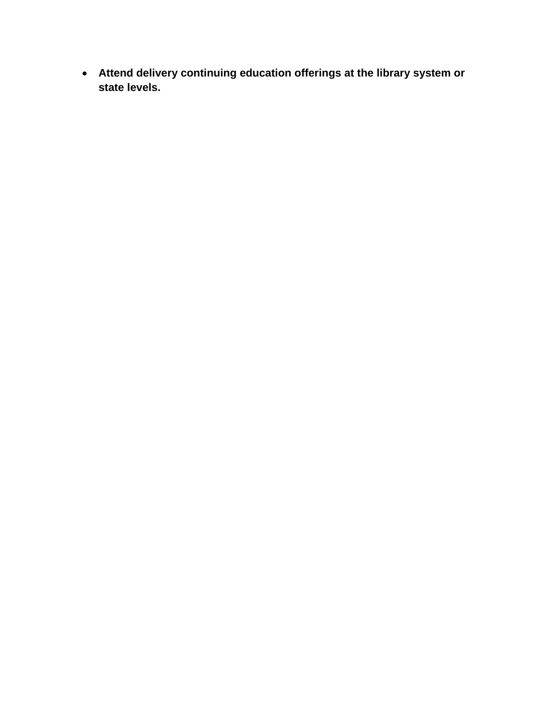• **Attend delivery continuing education offerings at the library system or state levels.**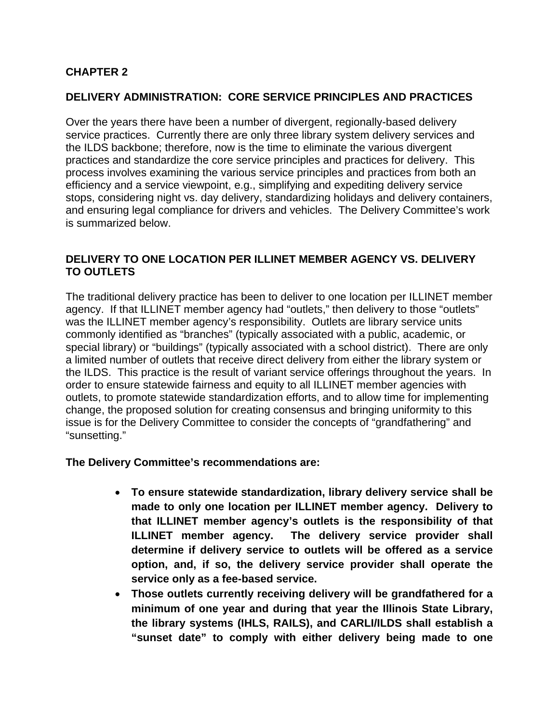### <span id="page-30-0"></span>**CHAPTER 2**

#### **DELIVERY ADMINISTRATION: CORE SERVICE PRINCIPLES AND PRACTICES**

Over the years there have been a number of divergent, regionally-based delivery service practices. Currently there are only three library system delivery services and the ILDS backbone; therefore, now is the time to eliminate the various divergent practices and standardize the core service principles and practices for delivery. This process involves examining the various service principles and practices from both an efficiency and a service viewpoint, e.g., simplifying and expediting delivery service stops, considering night vs. day delivery, standardizing holidays and delivery containers, and ensuring legal compliance for drivers and vehicles. The Delivery Committee's work is summarized below.

#### **DELIVERY TO ONE LOCATION PER ILLINET MEMBER AGENCY VS. DELIVERY TO OUTLETS**

The traditional delivery practice has been to deliver to one location per ILLINET member agency. If that ILLINET member agency had "outlets," then delivery to those "outlets" was the ILLINET member agency's responsibility. Outlets are library service units commonly identified as "branches" (typically associated with a public, academic, or special library) or "buildings" (typically associated with a school district). There are only a limited number of outlets that receive direct delivery from either the library system or the ILDS. This practice is the result of variant service offerings throughout the years. In order to ensure statewide fairness and equity to all ILLINET member agencies with outlets, to promote statewide standardization efforts, and to allow time for implementing change, the proposed solution for creating consensus and bringing uniformity to this issue is for the Delivery Committee to consider the concepts of "grandfathering" and "sunsetting."

#### **The Delivery Committee's recommendations are:**

- **To ensure statewide standardization, library delivery service shall be made to only one location per ILLINET member agency. Delivery to that ILLINET member agency's outlets is the responsibility of that ILLINET member agency. The delivery service provider shall determine if delivery service to outlets will be offered as a service option, and, if so, the delivery service provider shall operate the service only as a fee-based service.**
- **Those outlets currently receiving delivery will be grandfathered for a minimum of one year and during that year the Illinois State Library, the library systems (IHLS, RAILS), and CARLI/ILDS shall establish a "sunset date" to comply with either delivery being made to one**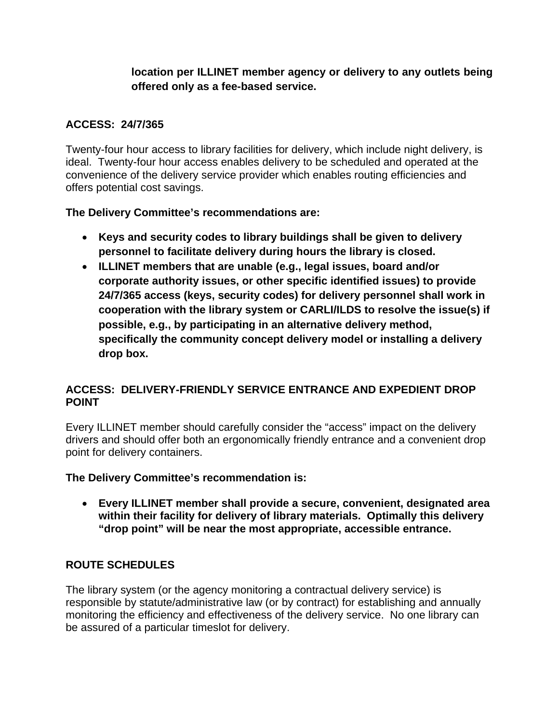## **location per ILLINET member agency or delivery to any outlets being offered only as a fee-based service.**

### **ACCESS: 24/7/365**

Twenty-four hour access to library facilities for delivery, which include night delivery, is ideal. Twenty-four hour access enables delivery to be scheduled and operated at the convenience of the delivery service provider which enables routing efficiencies and offers potential cost savings.

### **The Delivery Committee's recommendations are:**

- **Keys and security codes to library buildings shall be given to delivery personnel to facilitate delivery during hours the library is closed.**
- **ILLINET members that are unable (e.g., legal issues, board and/or corporate authority issues, or other specific identified issues) to provide 24/7/365 access (keys, security codes) for delivery personnel shall work in cooperation with the library system or CARLI/ILDS to resolve the issue(s) if possible, e.g., by participating in an alternative delivery method, specifically the community concept delivery model or installing a delivery drop box.**

## **ACCESS: DELIVERY-FRIENDLY SERVICE ENTRANCE AND EXPEDIENT DROP POINT**

Every ILLINET member should carefully consider the "access" impact on the delivery drivers and should offer both an ergonomically friendly entrance and a convenient drop point for delivery containers.

**The Delivery Committee's recommendation is:**

• **Every ILLINET member shall provide a secure, convenient, designated area within their facility for delivery of library materials. Optimally this delivery "drop point" will be near the most appropriate, accessible entrance.**

## **ROUTE SCHEDULES**

The library system (or the agency monitoring a contractual delivery service) is responsible by statute/administrative law (or by contract) for establishing and annually monitoring the efficiency and effectiveness of the delivery service. No one library can be assured of a particular timeslot for delivery.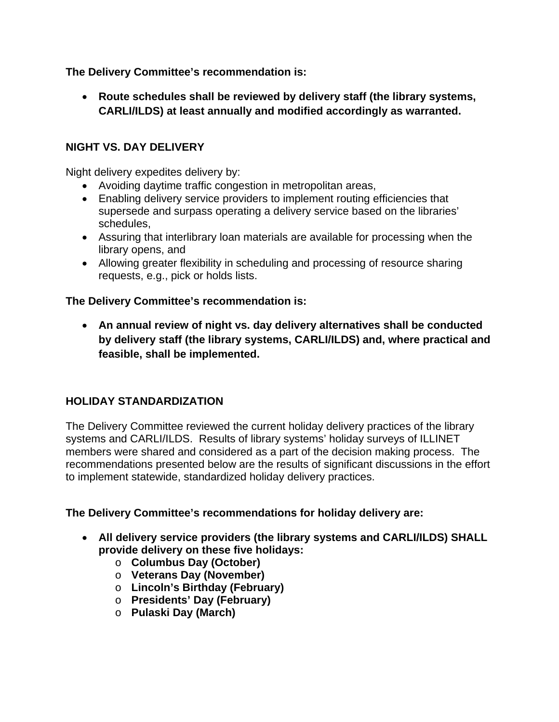**The Delivery Committee's recommendation is:**

• **Route schedules shall be reviewed by delivery staff (the library systems, CARLI/ILDS) at least annually and modified accordingly as warranted.**

## **NIGHT VS. DAY DELIVERY**

Night delivery expedites delivery by:

- Avoiding daytime traffic congestion in metropolitan areas,
- Enabling delivery service providers to implement routing efficiencies that supersede and surpass operating a delivery service based on the libraries' schedules,
- Assuring that interlibrary loan materials are available for processing when the library opens, and
- Allowing greater flexibility in scheduling and processing of resource sharing requests, e.g., pick or holds lists.

#### **The Delivery Committee's recommendation is:**

• **An annual review of night vs. day delivery alternatives shall be conducted by delivery staff (the library systems, CARLI/ILDS) and, where practical and feasible, shall be implemented.** 

### **HOLIDAY STANDARDIZATION**

The Delivery Committee reviewed the current holiday delivery practices of the library systems and CARLI/ILDS. Results of library systems' holiday surveys of ILLINET members were shared and considered as a part of the decision making process. The recommendations presented below are the results of significant discussions in the effort to implement statewide, standardized holiday delivery practices.

#### **The Delivery Committee's recommendations for holiday delivery are:**

- **All delivery service providers (the library systems and CARLI/ILDS) SHALL provide delivery on these five holidays:**
	- o **Columbus Day (October)**
	- o **Veterans Day (November)**
	- o **Lincoln's Birthday (February)**
	- o **Presidents' Day (February)**
	- o **Pulaski Day (March)**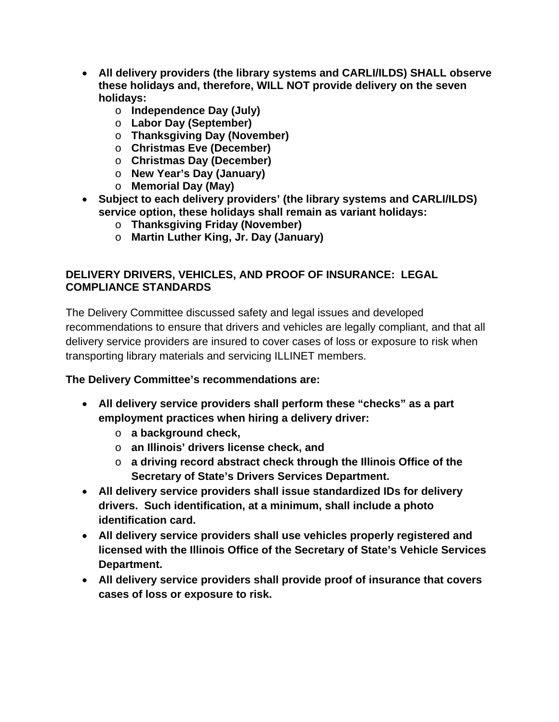- **All delivery providers (the library systems and CARLI/ILDS) SHALL observe these holidays and, therefore, WILL NOT provide delivery on the seven holidays:**
	- o **Independence Day (July)**
	- o **Labor Day (September)**
	- o **Thanksgiving Day (November)**
	- o **Christmas Eve (December)**
	- o **Christmas Day (December)**
	- o **New Year's Day (January)**
	- o **Memorial Day (May)**
- **Subject to each delivery providers' (the library systems and CARLI/ILDS) service option, these holidays shall remain as variant holidays:**
	- o **Thanksgiving Friday (November)**
	- o **Martin Luther King, Jr. Day (January)**

## **DELIVERY DRIVERS, VEHICLES, AND PROOF OF INSURANCE: LEGAL COMPLIANCE STANDARDS**

The Delivery Committee discussed safety and legal issues and developed recommendations to ensure that drivers and vehicles are legally compliant, and that all delivery service providers are insured to cover cases of loss or exposure to risk when transporting library materials and servicing ILLINET members.

# **The Delivery Committee's recommendations are:**

- **All delivery service providers shall perform these "checks" as a part employment practices when hiring a delivery driver:** 
	- o **a background check,**
	- o **an Illinois' drivers license check, and**
	- o **a driving record abstract check through the Illinois Office of the Secretary of State's Drivers Services Department.**
- **All delivery service providers shall issue standardized IDs for delivery drivers. Such identification, at a minimum, shall include a photo identification card.**
- **All delivery service providers shall use vehicles properly registered and licensed with the Illinois Office of the Secretary of State's Vehicle Services Department.**
- **All delivery service providers shall provide proof of insurance that covers cases of loss or exposure to risk.**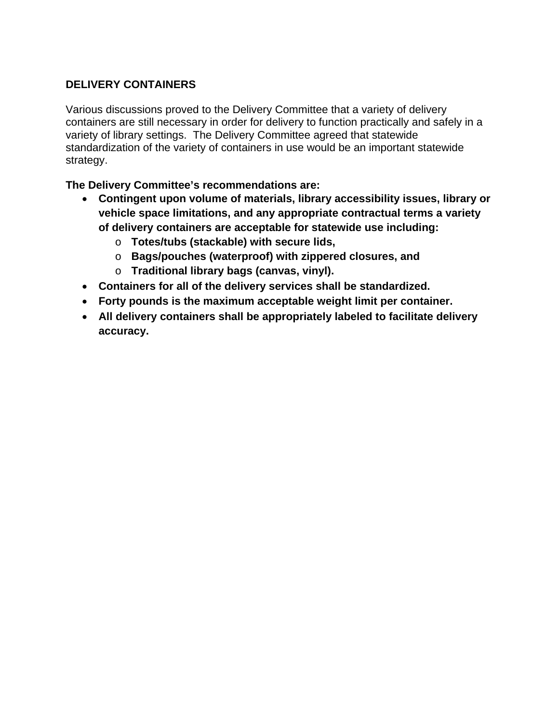## **DELIVERY CONTAINERS**

Various discussions proved to the Delivery Committee that a variety of delivery containers are still necessary in order for delivery to function practically and safely in a variety of library settings. The Delivery Committee agreed that statewide standardization of the variety of containers in use would be an important statewide strategy.

**The Delivery Committee's recommendations are:**

- **Contingent upon volume of materials, library accessibility issues, library or vehicle space limitations, and any appropriate contractual terms a variety of delivery containers are acceptable for statewide use including:**
	- o **Totes/tubs (stackable) with secure lids,**
	- o **Bags/pouches (waterproof) with zippered closures, and**
	- o **Traditional library bags (canvas, vinyl).**
- **Containers for all of the delivery services shall be standardized.**
- **Forty pounds is the maximum acceptable weight limit per container.**
- **All delivery containers shall be appropriately labeled to facilitate delivery accuracy.**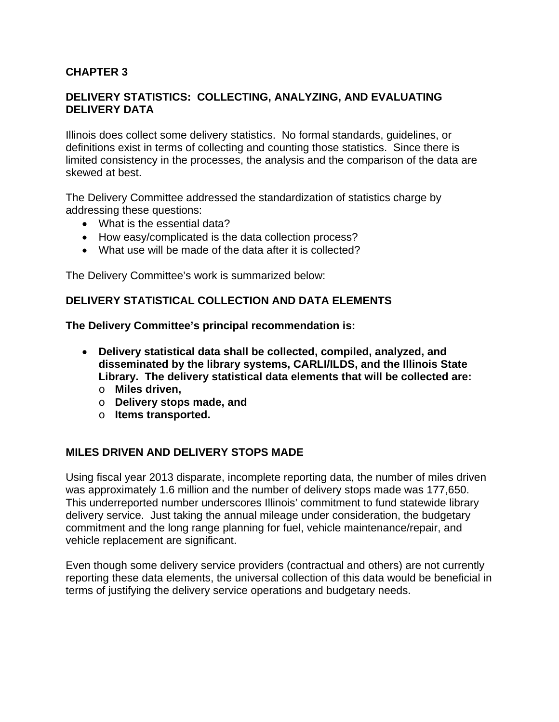#### <span id="page-35-0"></span>**CHAPTER 3**

#### **DELIVERY STATISTICS: COLLECTING, ANALYZING, AND EVALUATING DELIVERY DATA**

Illinois does collect some delivery statistics. No formal standards, guidelines, or definitions exist in terms of collecting and counting those statistics. Since there is limited consistency in the processes, the analysis and the comparison of the data are skewed at best.

The Delivery Committee addressed the standardization of statistics charge by addressing these questions:

- What is the essential data?
- How easy/complicated is the data collection process?
- What use will be made of the data after it is collected?

The Delivery Committee's work is summarized below:

#### **DELIVERY STATISTICAL COLLECTION AND DATA ELEMENTS**

**The Delivery Committee's principal recommendation is:**

- **Delivery statistical data shall be collected, compiled, analyzed, and disseminated by the library systems, CARLI/ILDS, and the Illinois State Library. The delivery statistical data elements that will be collected are:**
	- o **Miles driven,**
	- o **Delivery stops made, and**
	- o **Items transported.**

#### **MILES DRIVEN AND DELIVERY STOPS MADE**

Using fiscal year 2013 disparate, incomplete reporting data, the number of miles driven was approximately 1.6 million and the number of delivery stops made was 177,650. This underreported number underscores Illinois' commitment to fund statewide library delivery service. Just taking the annual mileage under consideration, the budgetary commitment and the long range planning for fuel, vehicle maintenance/repair, and vehicle replacement are significant.

Even though some delivery service providers (contractual and others) are not currently reporting these data elements, the universal collection of this data would be beneficial in terms of justifying the delivery service operations and budgetary needs.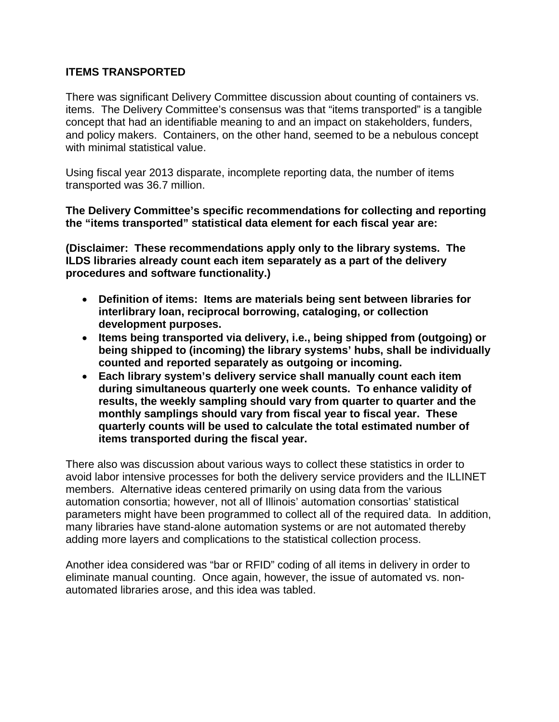# **ITEMS TRANSPORTED**

There was significant Delivery Committee discussion about counting of containers vs. items. The Delivery Committee's consensus was that "items transported" is a tangible concept that had an identifiable meaning to and an impact on stakeholders, funders, and policy makers. Containers, on the other hand, seemed to be a nebulous concept with minimal statistical value.

Using fiscal year 2013 disparate, incomplete reporting data, the number of items transported was 36.7 million.

**The Delivery Committee's specific recommendations for collecting and reporting the "items transported" statistical data element for each fiscal year are:**

**(Disclaimer: These recommendations apply only to the library systems. The ILDS libraries already count each item separately as a part of the delivery procedures and software functionality.)**

- **Definition of items: Items are materials being sent between libraries for interlibrary loan, reciprocal borrowing, cataloging, or collection development purposes.**
- **Items being transported via delivery, i.e., being shipped from (outgoing) or being shipped to (incoming) the library systems' hubs, shall be individually counted and reported separately as outgoing or incoming.**
- **Each library system's delivery service shall manually count each item during simultaneous quarterly one week counts. To enhance validity of results, the weekly sampling should vary from quarter to quarter and the monthly samplings should vary from fiscal year to fiscal year. These quarterly counts will be used to calculate the total estimated number of items transported during the fiscal year.**

There also was discussion about various ways to collect these statistics in order to avoid labor intensive processes for both the delivery service providers and the ILLINET members. Alternative ideas centered primarily on using data from the various automation consortia; however, not all of Illinois' automation consortias' statistical parameters might have been programmed to collect all of the required data. In addition, many libraries have stand-alone automation systems or are not automated thereby adding more layers and complications to the statistical collection process.

Another idea considered was "bar or RFID" coding of all items in delivery in order to eliminate manual counting. Once again, however, the issue of automated vs. nonautomated libraries arose, and this idea was tabled.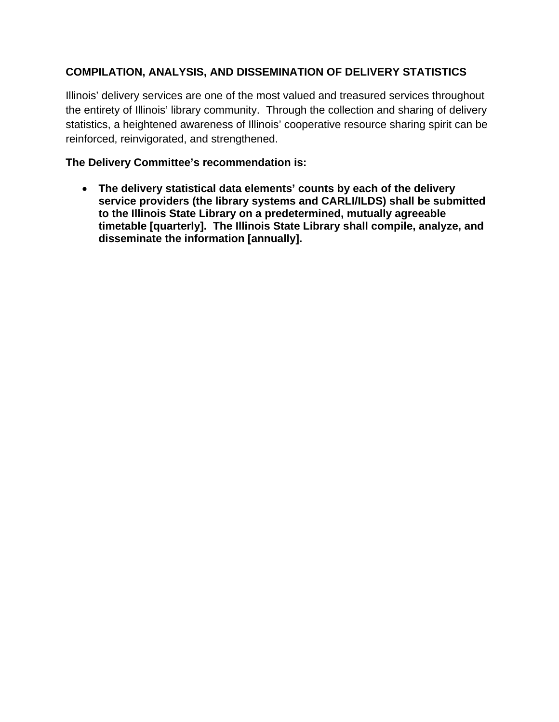# **COMPILATION, ANALYSIS, AND DISSEMINATION OF DELIVERY STATISTICS**

Illinois' delivery services are one of the most valued and treasured services throughout the entirety of Illinois' library community. Through the collection and sharing of delivery statistics, a heightened awareness of Illinois' cooperative resource sharing spirit can be reinforced, reinvigorated, and strengthened.

# **The Delivery Committee's recommendation is:**

• **The delivery statistical data elements' counts by each of the delivery service providers (the library systems and CARLI/ILDS) shall be submitted to the Illinois State Library on a predetermined, mutually agreeable timetable [quarterly]. The Illinois State Library shall compile, analyze, and disseminate the information [annually].**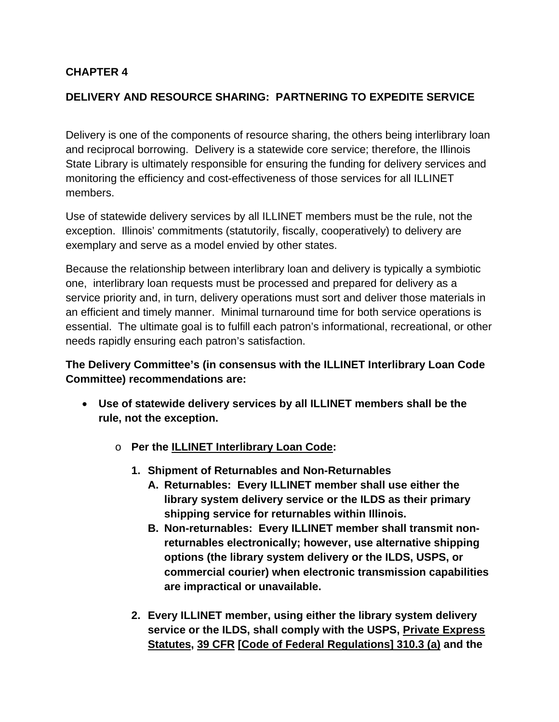# **CHAPTER 4**

# **DELIVERY AND RESOURCE SHARING: PARTNERING TO EXPEDITE SERVICE**

Delivery is one of the components of resource sharing, the others being interlibrary loan and reciprocal borrowing. Delivery is a statewide core service; therefore, the Illinois State Library is ultimately responsible for ensuring the funding for delivery services and monitoring the efficiency and cost-effectiveness of those services for all ILLINET members.

Use of statewide delivery services by all ILLINET members must be the rule, not the exception. Illinois' commitments (statutorily, fiscally, cooperatively) to delivery are exemplary and serve as a model envied by other states.

Because the relationship between interlibrary loan and delivery is typically a symbiotic one, interlibrary loan requests must be processed and prepared for delivery as a service priority and, in turn, delivery operations must sort and deliver those materials in an efficient and timely manner. Minimal turnaround time for both service operations is essential. The ultimate goal is to fulfill each patron's informational, recreational, or other needs rapidly ensuring each patron's satisfaction.

# **The Delivery Committee's (in consensus with the ILLINET Interlibrary Loan Code Committee) recommendations are:**

- **Use of statewide delivery services by all ILLINET members shall be the rule, not the exception.** 
	- o **Per the ILLINET Interlibrary Loan Code:**
		- **1. Shipment of Returnables and Non-Returnables**
			- **A. Returnables: Every ILLINET member shall use either the library system delivery service or the ILDS as their primary shipping service for returnables within Illinois.**
			- **B. Non-returnables: Every ILLINET member shall transmit nonreturnables electronically; however, use alternative shipping options (the library system delivery or the ILDS, USPS, or commercial courier) when electronic transmission capabilities are impractical or unavailable.**
		- **2. Every ILLINET member, using either the library system delivery service or the ILDS, shall comply with the USPS, Private Express Statutes, 39 CFR [Code of Federal Regulations] 310.3 (a) and the**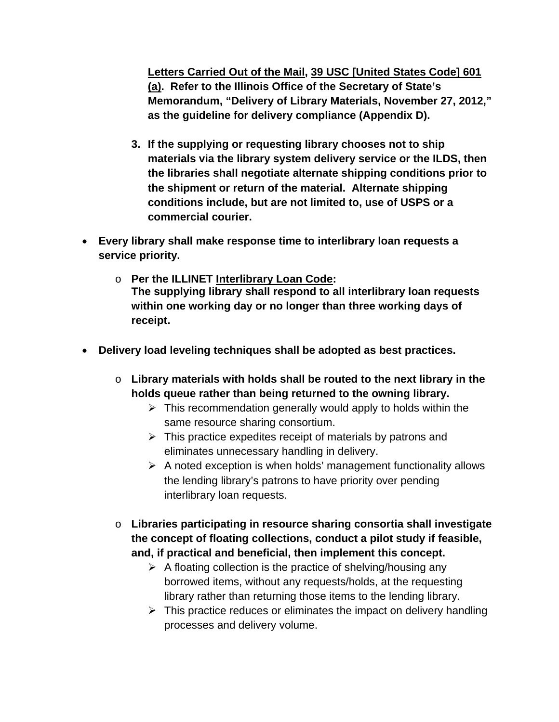**Letters Carried Out of the Mail, 39 USC [United States Code] 601 (a). Refer to the Illinois Office of the Secretary of State's Memorandum, "Delivery of Library Materials, November 27, 2012," as the guideline for delivery compliance (Appendix D).**

- **3. If the supplying or requesting library chooses not to ship materials via the library system delivery service or the ILDS, then the libraries shall negotiate alternate shipping conditions prior to the shipment or return of the material. Alternate shipping conditions include, but are not limited to, use of USPS or a commercial courier.**
- **Every library shall make response time to interlibrary loan requests a service priority.**
	- o **Per the ILLINET Interlibrary Loan Code: The supplying library shall respond to all interlibrary loan requests within one working day or no longer than three working days of receipt.**
- **Delivery load leveling techniques shall be adopted as best practices.**
	- o **Library materials with holds shall be routed to the next library in the holds queue rather than being returned to the owning library.**
		- $\triangleright$  This recommendation generally would apply to holds within the same resource sharing consortium.
		- $\triangleright$  This practice expedites receipt of materials by patrons and eliminates unnecessary handling in delivery.
		- $\triangleright$  A noted exception is when holds' management functionality allows the lending library's patrons to have priority over pending interlibrary loan requests.
	- o **Libraries participating in resource sharing consortia shall investigate the concept of floating collections, conduct a pilot study if feasible, and, if practical and beneficial, then implement this concept.** 
		- $\triangleright$  A floating collection is the practice of shelving/housing any borrowed items, without any requests/holds, at the requesting library rather than returning those items to the lending library.
		- $\triangleright$  This practice reduces or eliminates the impact on delivery handling processes and delivery volume.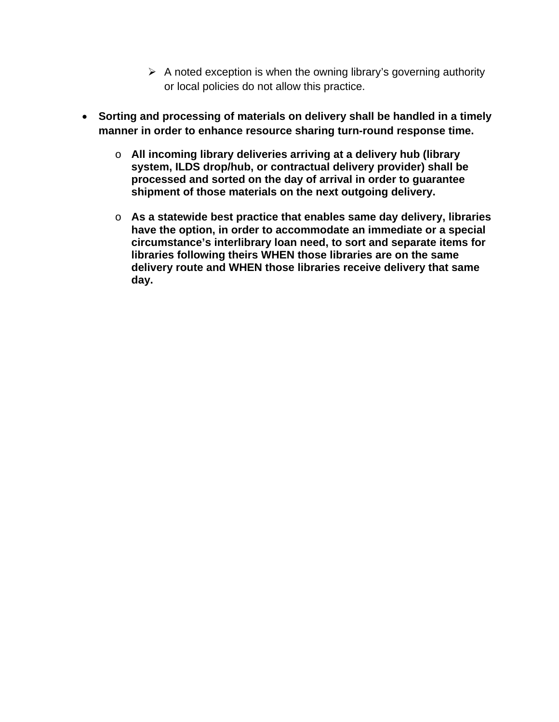- $\triangleright$  A noted exception is when the owning library's governing authority or local policies do not allow this practice.
- **Sorting and processing of materials on delivery shall be handled in a timely manner in order to enhance resource sharing turn-round response time.**
	- o **All incoming library deliveries arriving at a delivery hub (library system, ILDS drop/hub, or contractual delivery provider) shall be processed and sorted on the day of arrival in order to guarantee shipment of those materials on the next outgoing delivery.**
	- o **As a statewide best practice that enables same day delivery, libraries have the option, in order to accommodate an immediate or a special circumstance's interlibrary loan need, to sort and separate items for libraries following theirs WHEN those libraries are on the same delivery route and WHEN those libraries receive delivery that same day.**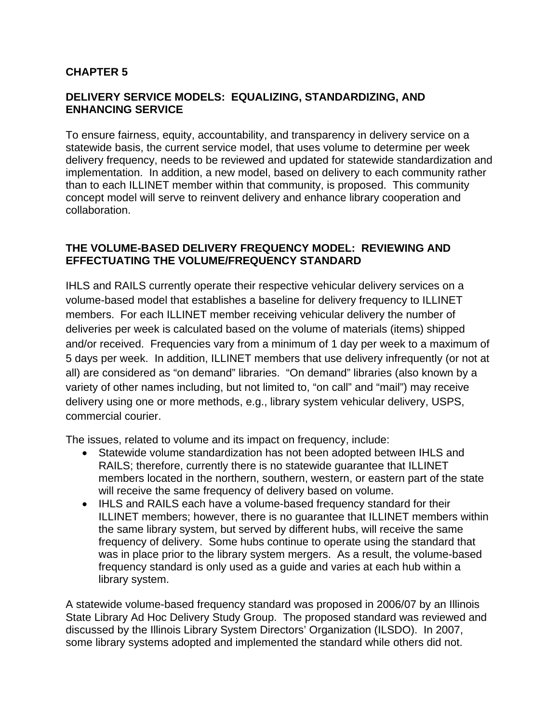# **CHAPTER 5**

#### **DELIVERY SERVICE MODELS: EQUALIZING, STANDARDIZING, AND ENHANCING SERVICE**

To ensure fairness, equity, accountability, and transparency in delivery service on a statewide basis, the current service model, that uses volume to determine per week delivery frequency, needs to be reviewed and updated for statewide standardization and implementation. In addition, a new model, based on delivery to each community rather than to each ILLINET member within that community, is proposed. This community concept model will serve to reinvent delivery and enhance library cooperation and collaboration.

# **THE VOLUME-BASED DELIVERY FREQUENCY MODEL: REVIEWING AND EFFECTUATING THE VOLUME/FREQUENCY STANDARD**

IHLS and RAILS currently operate their respective vehicular delivery services on a volume-based model that establishes a baseline for delivery frequency to ILLINET members. For each ILLINET member receiving vehicular delivery the number of deliveries per week is calculated based on the volume of materials (items) shipped and/or received. Frequencies vary from a minimum of 1 day per week to a maximum of 5 days per week. In addition, ILLINET members that use delivery infrequently (or not at all) are considered as "on demand" libraries. "On demand" libraries (also known by a variety of other names including, but not limited to, "on call" and "mail") may receive delivery using one or more methods, e.g., library system vehicular delivery, USPS, commercial courier.

The issues, related to volume and its impact on frequency, include:

- Statewide volume standardization has not been adopted between IHLS and RAILS; therefore, currently there is no statewide guarantee that ILLINET members located in the northern, southern, western, or eastern part of the state will receive the same frequency of delivery based on volume.
- IHLS and RAILS each have a volume-based frequency standard for their ILLINET members; however, there is no guarantee that ILLINET members within the same library system, but served by different hubs, will receive the same frequency of delivery. Some hubs continue to operate using the standard that was in place prior to the library system mergers. As a result, the volume-based frequency standard is only used as a guide and varies at each hub within a library system.

A statewide volume-based frequency standard was proposed in 2006/07 by an Illinois State Library Ad Hoc Delivery Study Group. The proposed standard was reviewed and discussed by the Illinois Library System Directors' Organization (ILSDO). In 2007, some library systems adopted and implemented the standard while others did not.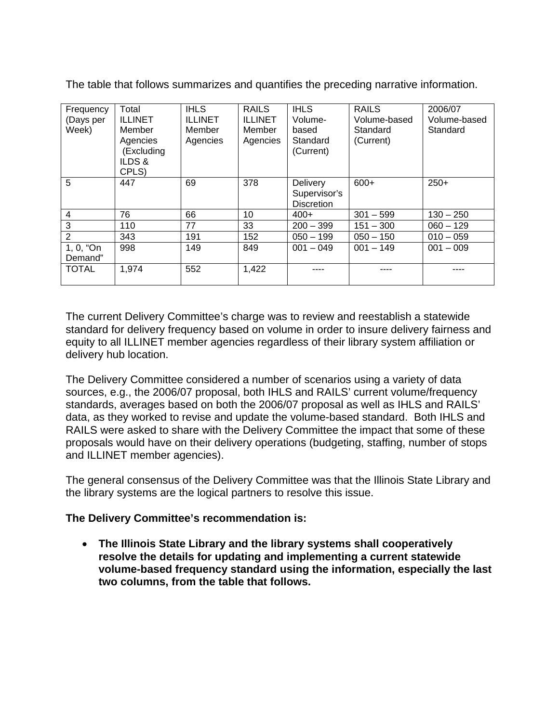The table that follows summarizes and quantifies the preceding narrative information.

| Frequency<br>(Days per<br>Week) | Total<br><b>ILLINET</b><br>Member<br>Agencies<br>(Excluding | <b>IHLS</b><br><b>ILLINET</b><br>Member<br>Agencies | <b>RAILS</b><br><b>ILLINET</b><br>Member<br>Agencies | <b>IHLS</b><br>Volume-<br>based<br>Standard<br>(Current) | <b>RAILS</b><br>Volume-based<br>Standard<br>(Current) | 2006/07<br>Volume-based<br>Standard |
|---------------------------------|-------------------------------------------------------------|-----------------------------------------------------|------------------------------------------------------|----------------------------------------------------------|-------------------------------------------------------|-------------------------------------|
|                                 | ILDS &<br>CPLS)                                             |                                                     |                                                      |                                                          |                                                       |                                     |
| 5                               | 447                                                         | 69                                                  | 378                                                  | Delivery<br>Supervisor's<br><b>Discretion</b>            | $600+$                                                | $250+$                              |
| $\overline{4}$                  | 76                                                          | 66                                                  | 10                                                   | $400+$                                                   | $301 - 599$                                           | $130 - 250$                         |
| 3                               | 110                                                         | 77                                                  | 33                                                   | $200 - 399$                                              | $151 - 300$                                           | $060 - 129$                         |
| $\overline{2}$                  | 343                                                         | 191                                                 | 152                                                  | $050 - 199$                                              | $050 - 150$                                           | $010 - 059$                         |
| 1, 0, "On<br>Demand"            | 998                                                         | 149                                                 | 849                                                  | $001 - 049$                                              | $001 - 149$                                           | $001 - 009$                         |
| <b>TOTAL</b>                    | 1,974                                                       | 552                                                 | 1,422                                                |                                                          |                                                       |                                     |

The current Delivery Committee's charge was to review and reestablish a statewide standard for delivery frequency based on volume in order to insure delivery fairness and equity to all ILLINET member agencies regardless of their library system affiliation or delivery hub location.

The Delivery Committee considered a number of scenarios using a variety of data sources, e.g., the 2006/07 proposal, both IHLS and RAILS' current volume/frequency standards, averages based on both the 2006/07 proposal as well as IHLS and RAILS' data, as they worked to revise and update the volume-based standard. Both IHLS and RAILS were asked to share with the Delivery Committee the impact that some of these proposals would have on their delivery operations (budgeting, staffing, number of stops and ILLINET member agencies).

The general consensus of the Delivery Committee was that the Illinois State Library and the library systems are the logical partners to resolve this issue.

#### **The Delivery Committee's recommendation is:**

• **The Illinois State Library and the library systems shall cooperatively resolve the details for updating and implementing a current statewide volume-based frequency standard using the information, especially the last two columns, from the table that follows.**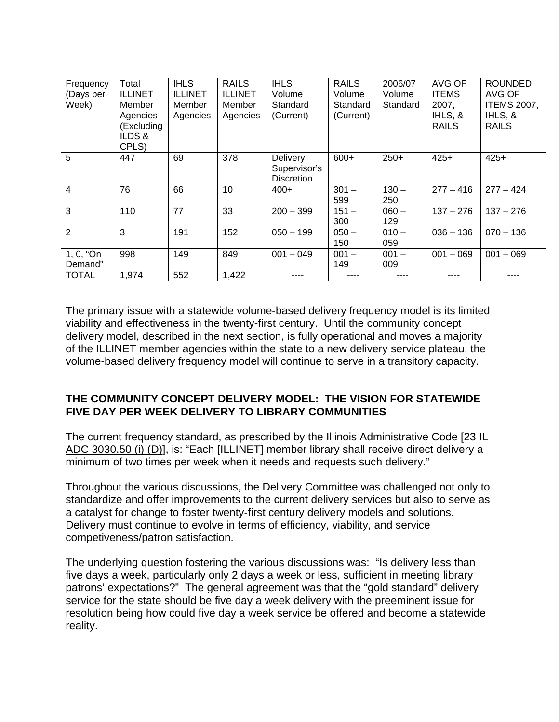| Frequency<br>(Days per<br>Week) | Total<br><b>ILLINET</b><br>Member<br>Agencies<br>(Excluding<br>ILDS&<br>CPLS) | <b>IHLS</b><br><b>ILLINET</b><br>Member<br>Agencies | <b>RAILS</b><br><b>ILLINET</b><br>Member<br>Agencies | <b>IHLS</b><br>Volume<br>Standard<br>(Current) | <b>RAILS</b><br>Volume<br>Standard<br>(Current) | 2006/07<br>Volume<br>Standard | AVG OF<br><b>ITEMS</b><br>2007,<br>IHLS, &<br><b>RAILS</b> | <b>ROUNDED</b><br>AVG OF<br><b>ITEMS 2007,</b><br>IHLS, &<br><b>RAILS</b> |
|---------------------------------|-------------------------------------------------------------------------------|-----------------------------------------------------|------------------------------------------------------|------------------------------------------------|-------------------------------------------------|-------------------------------|------------------------------------------------------------|---------------------------------------------------------------------------|
| 5                               | 447                                                                           | 69                                                  | 378                                                  | Delivery<br>Supervisor's<br><b>Discretion</b>  | $600+$                                          | $250+$                        | $425+$                                                     | $425+$                                                                    |
| 4                               | 76                                                                            | 66                                                  | 10                                                   | $400+$                                         | $301 -$<br>599                                  | $130 -$<br>250                | $277 - 416$                                                | $277 - 424$                                                               |
| 3                               | 110                                                                           | 77                                                  | 33                                                   | $200 - 399$                                    | $151 -$<br>300                                  | $060 -$<br>129                | $137 - 276$                                                | $137 - 276$                                                               |
| $\overline{2}$                  | 3                                                                             | 191                                                 | 152                                                  | $050 - 199$                                    | $050 -$<br>150                                  | $010 -$<br>059                | $036 - 136$                                                | $070 - 136$                                                               |
| 1, 0, "On<br>Demand"            | 998                                                                           | 149                                                 | 849                                                  | $001 - 049$                                    | $001 -$<br>149                                  | $001 -$<br>009                | $001 - 069$                                                | $001 - 069$                                                               |
| <b>TOTAL</b>                    | 1,974                                                                         | 552                                                 | 1,422                                                |                                                |                                                 |                               |                                                            |                                                                           |

The primary issue with a statewide volume-based delivery frequency model is its limited viability and effectiveness in the twenty-first century. Until the community concept delivery model, described in the next section, is fully operational and moves a majority of the ILLINET member agencies within the state to a new delivery service plateau, the volume-based delivery frequency model will continue to serve in a transitory capacity.

# **THE COMMUNITY CONCEPT DELIVERY MODEL: THE VISION FOR STATEWIDE FIVE DAY PER WEEK DELIVERY TO LIBRARY COMMUNITIES**

The current frequency standard, as prescribed by the Illinois Administrative Code [23 IL ADC 3030.50 (i) (D)], is: "Each [ILLINET] member library shall receive direct delivery a minimum of two times per week when it needs and requests such delivery."

Throughout the various discussions, the Delivery Committee was challenged not only to standardize and offer improvements to the current delivery services but also to serve as a catalyst for change to foster twenty-first century delivery models and solutions. Delivery must continue to evolve in terms of efficiency, viability, and service competiveness/patron satisfaction.

The underlying question fostering the various discussions was: "Is delivery less than five days a week, particularly only 2 days a week or less, sufficient in meeting library patrons' expectations?" The general agreement was that the "gold standard" delivery service for the state should be five day a week delivery with the preeminent issue for resolution being how could five day a week service be offered and become a statewide reality.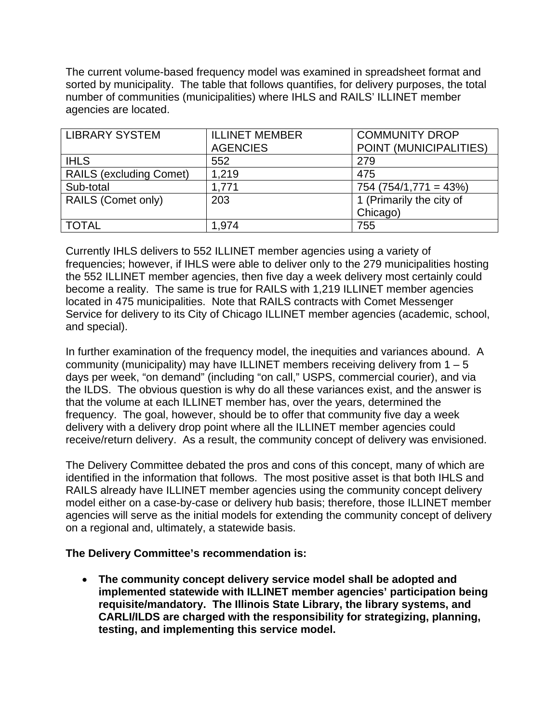The current volume-based frequency model was examined in spreadsheet format and sorted by municipality. The table that follows quantifies, for delivery purposes, the total number of communities (municipalities) where IHLS and RAILS' ILLINET member agencies are located.

| <b>LIBRARY SYSTEM</b>          | <b>ILLINET MEMBER</b> | <b>COMMUNITY DROP</b>    |
|--------------------------------|-----------------------|--------------------------|
|                                | <b>AGENCIES</b>       | POINT (MUNICIPALITIES)   |
| <b>IHLS</b>                    | 552                   | 279                      |
| <b>RAILS (excluding Comet)</b> | 1,219                 | 475                      |
| Sub-total                      | 1,771                 | $754 (754/1,771 = 43%)$  |
| <b>RAILS (Comet only)</b>      | 203                   | 1 (Primarily the city of |
|                                |                       | Chicago)                 |
| <b>TOTAL</b>                   | 1,974                 | 755                      |

Currently IHLS delivers to 552 ILLINET member agencies using a variety of frequencies; however, if IHLS were able to deliver only to the 279 municipalities hosting the 552 ILLINET member agencies, then five day a week delivery most certainly could become a reality. The same is true for RAILS with 1,219 ILLINET member agencies located in 475 municipalities. Note that RAILS contracts with Comet Messenger Service for delivery to its City of Chicago ILLINET member agencies (academic, school, and special).

In further examination of the frequency model, the inequities and variances abound. A community (municipality) may have ILLINET members receiving delivery from  $1 - 5$ days per week, "on demand" (including "on call," USPS, commercial courier), and via the ILDS. The obvious question is why do all these variances exist, and the answer is that the volume at each ILLINET member has, over the years, determined the frequency. The goal, however, should be to offer that community five day a week delivery with a delivery drop point where all the ILLINET member agencies could receive/return delivery. As a result, the community concept of delivery was envisioned.

The Delivery Committee debated the pros and cons of this concept, many of which are identified in the information that follows. The most positive asset is that both IHLS and RAILS already have ILLINET member agencies using the community concept delivery model either on a case-by-case or delivery hub basis; therefore, those ILLINET member agencies will serve as the initial models for extending the community concept of delivery on a regional and, ultimately, a statewide basis.

#### **The Delivery Committee's recommendation is:**

• **The community concept delivery service model shall be adopted and implemented statewide with ILLINET member agencies' participation being requisite/mandatory. The Illinois State Library, the library systems, and CARLI/ILDS are charged with the responsibility for strategizing, planning, testing, and implementing this service model.**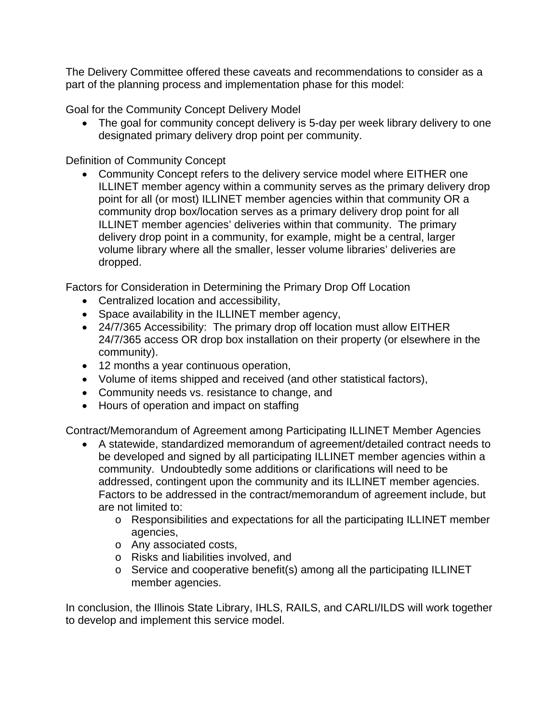The Delivery Committee offered these caveats and recommendations to consider as a part of the planning process and implementation phase for this model:

Goal for the Community Concept Delivery Model

• The goal for community concept delivery is 5-day per week library delivery to one designated primary delivery drop point per community.

# Definition of Community Concept

• Community Concept refers to the delivery service model where EITHER one ILLINET member agency within a community serves as the primary delivery drop point for all (or most) ILLINET member agencies within that community OR a community drop box/location serves as a primary delivery drop point for all ILLINET member agencies' deliveries within that community. The primary delivery drop point in a community, for example, might be a central, larger volume library where all the smaller, lesser volume libraries' deliveries are dropped.

Factors for Consideration in Determining the Primary Drop Off Location

- Centralized location and accessibility,
- Space availability in the ILLINET member agency,
- 24/7/365 Accessibility: The primary drop off location must allow EITHER 24/7/365 access OR drop box installation on their property (or elsewhere in the community).
- 12 months a year continuous operation,
- Volume of items shipped and received (and other statistical factors),
- Community needs vs. resistance to change, and
- Hours of operation and impact on staffing

Contract/Memorandum of Agreement among Participating ILLINET Member Agencies

- A statewide, standardized memorandum of agreement/detailed contract needs to be developed and signed by all participating ILLINET member agencies within a community. Undoubtedly some additions or clarifications will need to be addressed, contingent upon the community and its ILLINET member agencies. Factors to be addressed in the contract/memorandum of agreement include, but are not limited to:
	- o Responsibilities and expectations for all the participating ILLINET member agencies,
	- o Any associated costs,
	- o Risks and liabilities involved, and
	- o Service and cooperative benefit(s) among all the participating ILLINET member agencies.

In conclusion, the Illinois State Library, IHLS, RAILS, and CARLI/ILDS will work together to develop and implement this service model.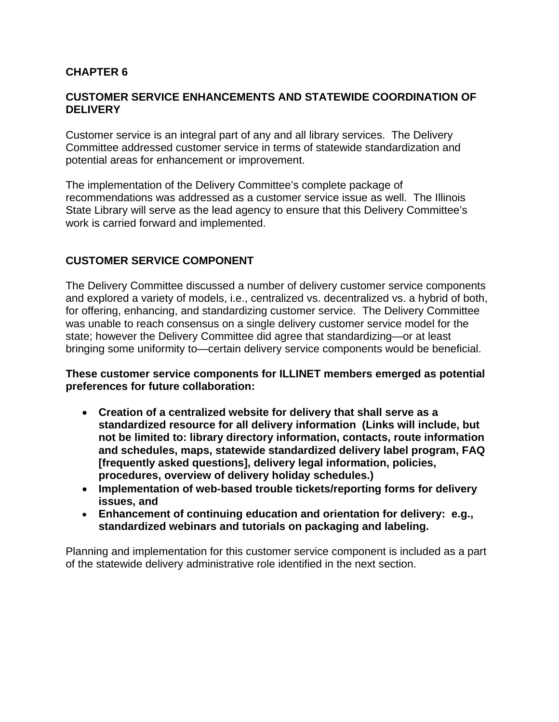# **CHAPTER 6**

#### **CUSTOMER SERVICE ENHANCEMENTS AND STATEWIDE COORDINATION OF DELIVERY**

Customer service is an integral part of any and all library services. The Delivery Committee addressed customer service in terms of statewide standardization and potential areas for enhancement or improvement.

The implementation of the Delivery Committee's complete package of recommendations was addressed as a customer service issue as well. The Illinois State Library will serve as the lead agency to ensure that this Delivery Committee's work is carried forward and implemented.

# **CUSTOMER SERVICE COMPONENT**

The Delivery Committee discussed a number of delivery customer service components and explored a variety of models, i.e., centralized vs. decentralized vs. a hybrid of both, for offering, enhancing, and standardizing customer service. The Delivery Committee was unable to reach consensus on a single delivery customer service model for the state; however the Delivery Committee did agree that standardizing—or at least bringing some uniformity to—certain delivery service components would be beneficial.

**These customer service components for ILLINET members emerged as potential preferences for future collaboration:**

- **Creation of a centralized website for delivery that shall serve as a standardized resource for all delivery information (Links will include, but not be limited to: library directory information, contacts, route information and schedules, maps, statewide standardized delivery label program, FAQ [frequently asked questions], delivery legal information, policies, procedures, overview of delivery holiday schedules.)**
- **Implementation of web-based trouble tickets/reporting forms for delivery issues, and**
- **Enhancement of continuing education and orientation for delivery: e.g., standardized webinars and tutorials on packaging and labeling.**

Planning and implementation for this customer service component is included as a part of the statewide delivery administrative role identified in the next section.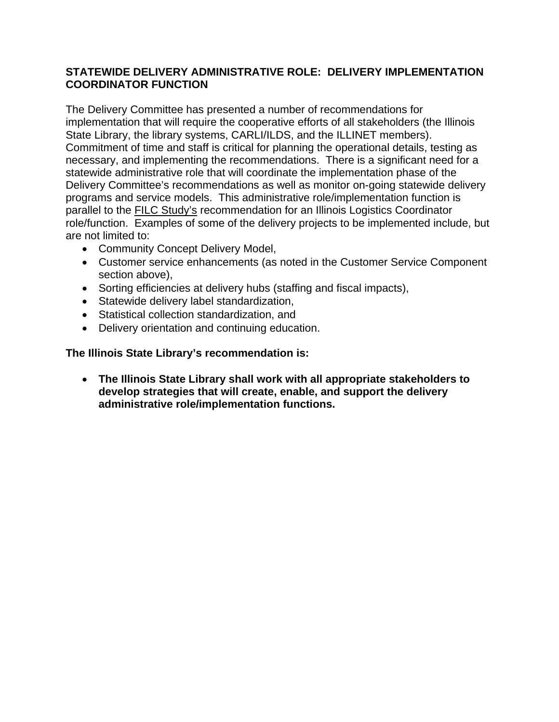# **STATEWIDE DELIVERY ADMINISTRATIVE ROLE: DELIVERY IMPLEMENTATION COORDINATOR FUNCTION**

The Delivery Committee has presented a number of recommendations for implementation that will require the cooperative efforts of all stakeholders (the Illinois State Library, the library systems, CARLI/ILDS, and the ILLINET members). Commitment of time and staff is critical for planning the operational details, testing as necessary, and implementing the recommendations. There is a significant need for a statewide administrative role that will coordinate the implementation phase of the Delivery Committee's recommendations as well as monitor on-going statewide delivery programs and service models. This administrative role/implementation function is parallel to the **FILC Study's recommendation for an Illinois Logistics Coordinator** role/function. Examples of some of the delivery projects to be implemented include, but are not limited to:

- Community Concept Delivery Model,
- Customer service enhancements (as noted in the Customer Service Component section above),
- Sorting efficiencies at delivery hubs (staffing and fiscal impacts),
- Statewide delivery label standardization,
- Statistical collection standardization, and
- Delivery orientation and continuing education.

#### **The Illinois State Library's recommendation is:**

• **The Illinois State Library shall work with all appropriate stakeholders to develop strategies that will create, enable, and support the delivery administrative role/implementation functions.**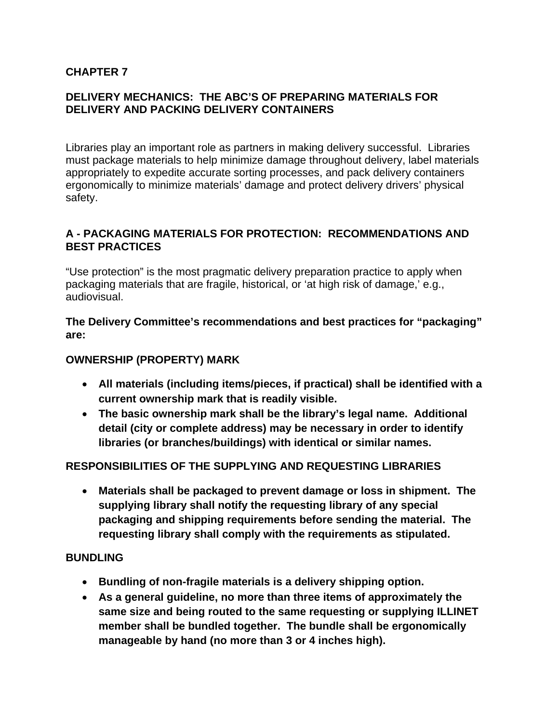# **CHAPTER 7**

# **DELIVERY MECHANICS: THE ABC'S OF PREPARING MATERIALS FOR DELIVERY AND PACKING DELIVERY CONTAINERS**

Libraries play an important role as partners in making delivery successful. Libraries must package materials to help minimize damage throughout delivery, label materials appropriately to expedite accurate sorting processes, and pack delivery containers ergonomically to minimize materials' damage and protect delivery drivers' physical safety.

# **A - PACKAGING MATERIALS FOR PROTECTION: RECOMMENDATIONS AND BEST PRACTICES**

"Use protection" is the most pragmatic delivery preparation practice to apply when packaging materials that are fragile, historical, or 'at high risk of damage,' e.g., audiovisual.

**The Delivery Committee's recommendations and best practices for "packaging" are:** 

# **OWNERSHIP (PROPERTY) MARK**

- **All materials (including items/pieces, if practical) shall be identified with a current ownership mark that is readily visible.**
- **The basic ownership mark shall be the library's legal name. Additional detail (city or complete address) may be necessary in order to identify libraries (or branches/buildings) with identical or similar names.**

# **RESPONSIBILITIES OF THE SUPPLYING AND REQUESTING LIBRARIES**

• **Materials shall be packaged to prevent damage or loss in shipment. The supplying library shall notify the requesting library of any special packaging and shipping requirements before sending the material. The requesting library shall comply with the requirements as stipulated.**

#### **BUNDLING**

- **Bundling of non-fragile materials is a delivery shipping option.**
- **As a general guideline, no more than three items of approximately the same size and being routed to the same requesting or supplying ILLINET member shall be bundled together. The bundle shall be ergonomically manageable by hand (no more than 3 or 4 inches high).**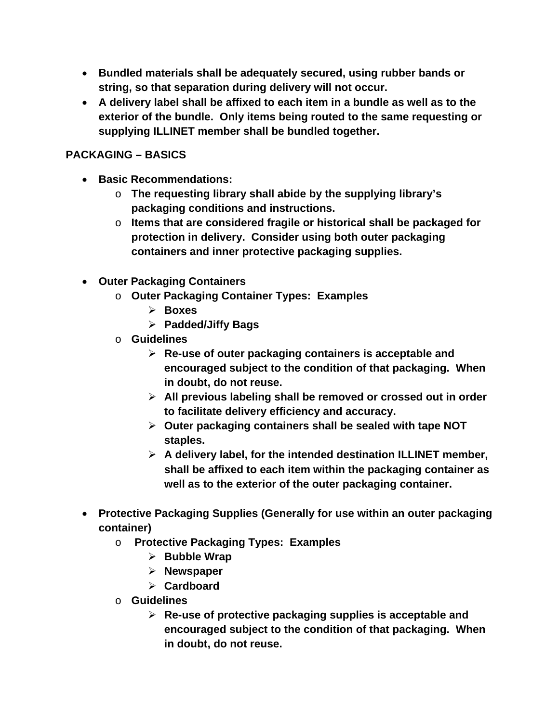- **Bundled materials shall be adequately secured, using rubber bands or string, so that separation during delivery will not occur.**
- **A delivery label shall be affixed to each item in a bundle as well as to the exterior of the bundle. Only items being routed to the same requesting or supplying ILLINET member shall be bundled together.**

# **PACKAGING – BASICS**

- **Basic Recommendations:**
	- o **The requesting library shall abide by the supplying library's packaging conditions and instructions.**
	- o **Items that are considered fragile or historical shall be packaged for protection in delivery. Consider using both outer packaging containers and inner protective packaging supplies.**
- **Outer Packaging Containers** 
	- o **Outer Packaging Container Types: Examples**
		- **Boxes**
		- **Padded/Jiffy Bags**
	- o **Guidelines**
		- **Re-use of outer packaging containers is acceptable and encouraged subject to the condition of that packaging. When in doubt, do not reuse.**
		- **All previous labeling shall be removed or crossed out in order to facilitate delivery efficiency and accuracy.**
		- **Outer packaging containers shall be sealed with tape NOT staples.**
		- **A delivery label, for the intended destination ILLINET member, shall be affixed to each item within the packaging container as well as to the exterior of the outer packaging container.**
- **Protective Packaging Supplies (Generally for use within an outer packaging container)**
	- o **Protective Packaging Types: Examples**
		- **Bubble Wrap**
		- **Newspaper**
		- **Cardboard**
	- o **Guidelines**
		- **Re-use of protective packaging supplies is acceptable and encouraged subject to the condition of that packaging. When in doubt, do not reuse.**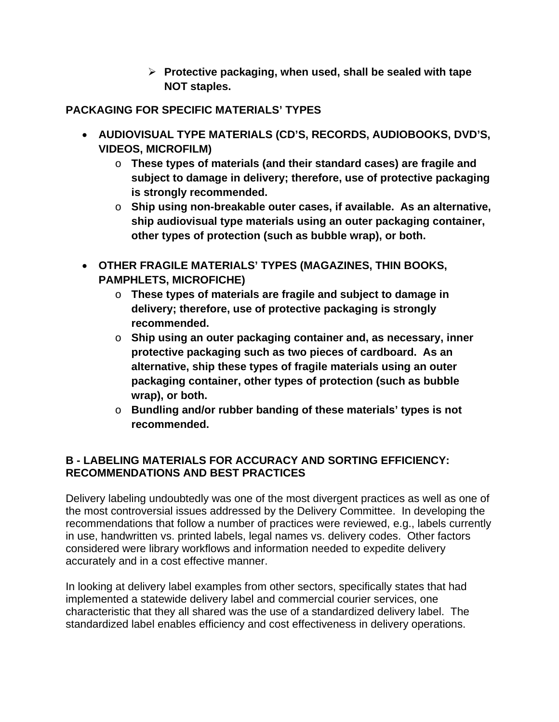**Protective packaging, when used, shall be sealed with tape NOT staples.**

**PACKAGING FOR SPECIFIC MATERIALS' TYPES** 

- **AUDIOVISUAL TYPE MATERIALS (CD'S, RECORDS, AUDIOBOOKS, DVD'S, VIDEOS, MICROFILM)**
	- o **These types of materials (and their standard cases) are fragile and subject to damage in delivery; therefore, use of protective packaging is strongly recommended.**
	- o **Ship using non-breakable outer cases, if available. As an alternative, ship audiovisual type materials using an outer packaging container, other types of protection (such as bubble wrap), or both.**
- **OTHER FRAGILE MATERIALS' TYPES (MAGAZINES, THIN BOOKS, PAMPHLETS, MICROFICHE)**
	- o **These types of materials are fragile and subject to damage in delivery; therefore, use of protective packaging is strongly recommended.**
	- o **Ship using an outer packaging container and, as necessary, inner protective packaging such as two pieces of cardboard. As an alternative, ship these types of fragile materials using an outer packaging container, other types of protection (such as bubble wrap), or both.**
	- o **Bundling and/or rubber banding of these materials' types is not recommended.**

# **B - LABELING MATERIALS FOR ACCURACY AND SORTING EFFICIENCY: RECOMMENDATIONS AND BEST PRACTICES**

Delivery labeling undoubtedly was one of the most divergent practices as well as one of the most controversial issues addressed by the Delivery Committee. In developing the recommendations that follow a number of practices were reviewed, e.g., labels currently in use, handwritten vs. printed labels, legal names vs. delivery codes. Other factors considered were library workflows and information needed to expedite delivery accurately and in a cost effective manner.

In looking at delivery label examples from other sectors, specifically states that had implemented a statewide delivery label and commercial courier services, one characteristic that they all shared was the use of a standardized delivery label. The standardized label enables efficiency and cost effectiveness in delivery operations.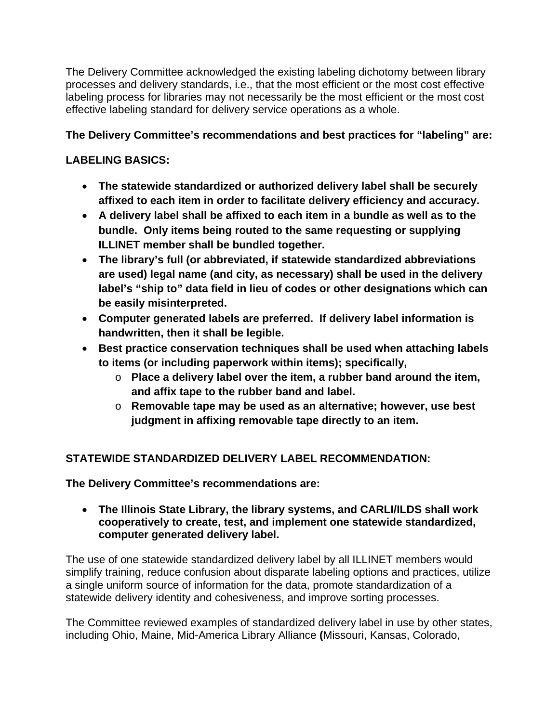The Delivery Committee acknowledged the existing labeling dichotomy between library processes and delivery standards, i.e., that the most efficient or the most cost effective labeling process for libraries may not necessarily be the most efficient or the most cost effective labeling standard for delivery service operations as a whole.

# **The Delivery Committee's recommendations and best practices for "labeling" are:**

# **LABELING BASICS:**

- **The statewide standardized or authorized delivery label shall be securely affixed to each item in order to facilitate delivery efficiency and accuracy.**
- **A delivery label shall be affixed to each item in a bundle as well as to the bundle. Only items being routed to the same requesting or supplying ILLINET member shall be bundled together.**
- **The library's full (or abbreviated, if statewide standardized abbreviations are used) legal name (and city, as necessary) shall be used in the delivery label's "ship to" data field in lieu of codes or other designations which can be easily misinterpreted.**
- **Computer generated labels are preferred. If delivery label information is handwritten, then it shall be legible.**
- **Best practice conservation techniques shall be used when attaching labels to items (or including paperwork within items); specifically,**
	- o **Place a delivery label over the item, a rubber band around the item, and affix tape to the rubber band and label.**
	- o **Removable tape may be used as an alternative; however, use best judgment in affixing removable tape directly to an item.**

# **STATEWIDE STANDARDIZED DELIVERY LABEL RECOMMENDATION:**

**The Delivery Committee's recommendations are:** 

• **The Illinois State Library, the library systems, and CARLI/ILDS shall work cooperatively to create, test, and implement one statewide standardized, computer generated delivery label.** 

The use of one statewide standardized delivery label by all ILLINET members would simplify training, reduce confusion about disparate labeling options and practices, utilize a single uniform source of information for the data, promote standardization of a statewide delivery identity and cohesiveness, and improve sorting processes.

The Committee reviewed examples of standardized delivery label in use by other states, including Ohio, Maine, Mid-America Library Alliance **(**Missouri, Kansas, Colorado,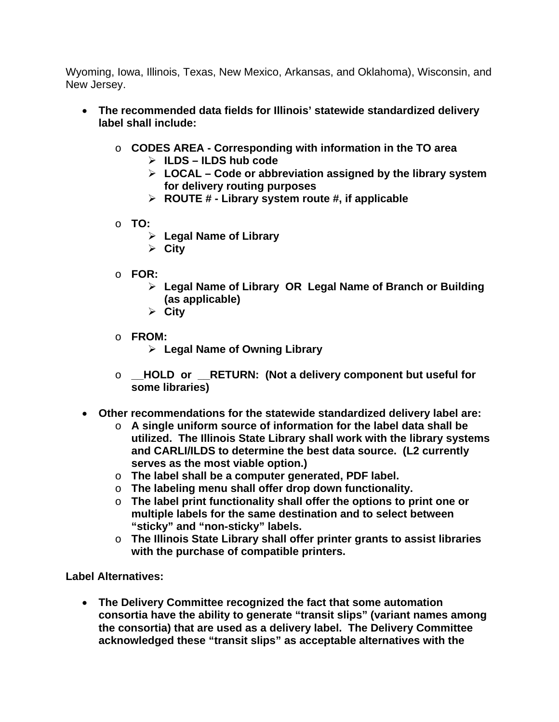Wyoming, Iowa, Illinois, Texas, New Mexico, Arkansas, and Oklahoma), Wisconsin, and New Jersey.

- **The recommended data fields for Illinois' statewide standardized delivery label shall include:**
	- o **CODES AREA - Corresponding with information in the TO area**
		- **ILDS – ILDS hub code**
		- **LOCAL – Code or abbreviation assigned by the library system for delivery routing purposes**
		- **ROUTE # - Library system route #, if applicable**
	- o **TO:**
		- **Legal Name of Library**
		- **City**
	- o **FOR:**
		- **Legal Name of Library OR Legal Name of Branch or Building (as applicable)**
		- **City**
	- o **FROM:**
		- **Legal Name of Owning Library**
	- o **\_\_HOLD or \_\_RETURN: (Not a delivery component but useful for some libraries)**
- **Other recommendations for the statewide standardized delivery label are:**
	- o **A single uniform source of information for the label data shall be utilized. The Illinois State Library shall work with the library systems and CARLI/ILDS to determine the best data source. (L2 currently serves as the most viable option.)**
	- o **The label shall be a computer generated, PDF label.**
	- o **The labeling menu shall offer drop down functionality.**
	- o **The label print functionality shall offer the options to print one or multiple labels for the same destination and to select between "sticky" and "non-sticky" labels.**
	- o **The Illinois State Library shall offer printer grants to assist libraries with the purchase of compatible printers.**

**Label Alternatives:**

• **The Delivery Committee recognized the fact that some automation consortia have the ability to generate "transit slips" (variant names among the consortia) that are used as a delivery label. The Delivery Committee acknowledged these "transit slips" as acceptable alternatives with the**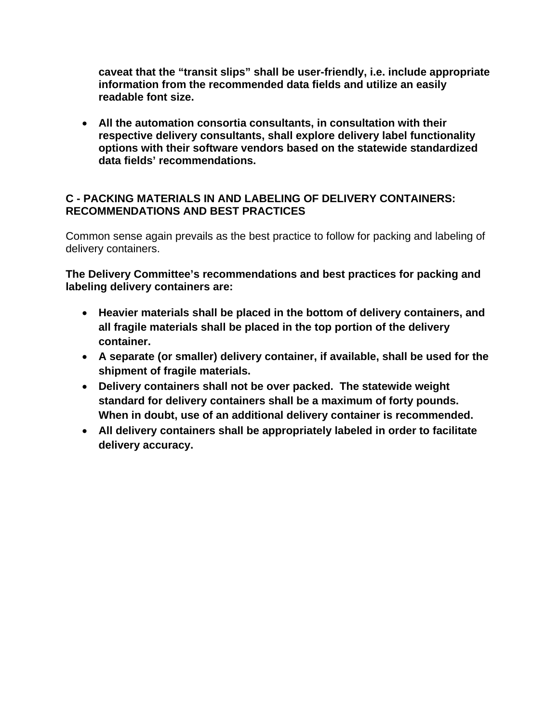**caveat that the "transit slips" shall be user-friendly, i.e. include appropriate information from the recommended data fields and utilize an easily readable font size.** 

• **All the automation consortia consultants, in consultation with their respective delivery consultants, shall explore delivery label functionality options with their software vendors based on the statewide standardized data fields' recommendations.**

# **C - PACKING MATERIALS IN AND LABELING OF DELIVERY CONTAINERS: RECOMMENDATIONS AND BEST PRACTICES**

Common sense again prevails as the best practice to follow for packing and labeling of delivery containers.

**The Delivery Committee's recommendations and best practices for packing and labeling delivery containers are:**

- **Heavier materials shall be placed in the bottom of delivery containers, and all fragile materials shall be placed in the top portion of the delivery container.**
- **A separate (or smaller) delivery container, if available, shall be used for the shipment of fragile materials.**
- **Delivery containers shall not be over packed. The statewide weight standard for delivery containers shall be a maximum of forty pounds. When in doubt, use of an additional delivery container is recommended.**
- **All delivery containers shall be appropriately labeled in order to facilitate delivery accuracy.**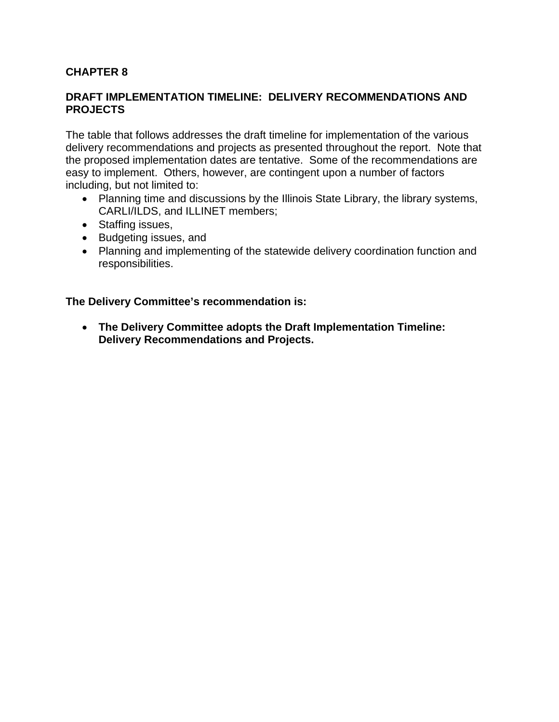# **CHAPTER 8**

#### **DRAFT IMPLEMENTATION TIMELINE: DELIVERY RECOMMENDATIONS AND PROJECTS**

The table that follows addresses the draft timeline for implementation of the various delivery recommendations and projects as presented throughout the report. Note that the proposed implementation dates are tentative. Some of the recommendations are easy to implement. Others, however, are contingent upon a number of factors including, but not limited to:

- Planning time and discussions by the Illinois State Library, the library systems, CARLI/ILDS, and ILLINET members;
- Staffing issues,
- Budgeting issues, and
- Planning and implementing of the statewide delivery coordination function and responsibilities.

**The Delivery Committee's recommendation is:**

• **The Delivery Committee adopts the Draft Implementation Timeline: Delivery Recommendations and Projects.**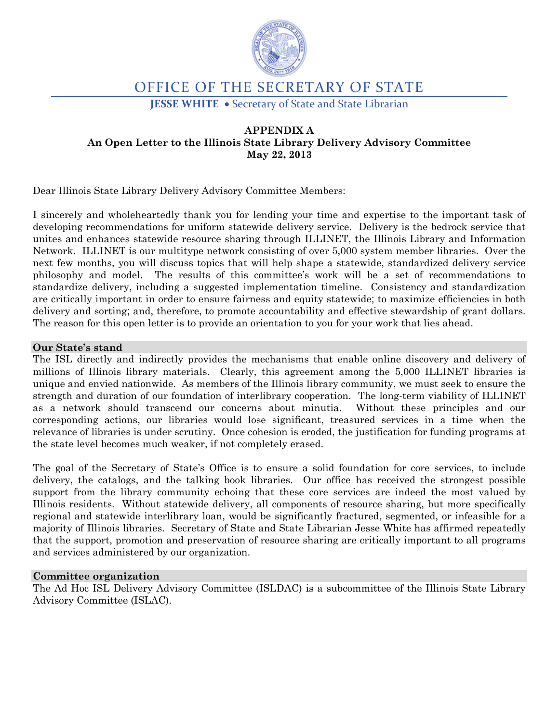

# OFFICE OF THE SECRETARY OF STATE

**JESSE WHITE** • Secretary of State and State Librarian

#### **APPENDIX A An Open Letter to the Illinois State Library Delivery Advisory Committee May 22, 2013**

Dear Illinois State Library Delivery Advisory Committee Members:

I sincerely and wholeheartedly thank you for lending your time and expertise to the important task of developing recommendations for uniform statewide delivery service. Delivery is the bedrock service that unites and enhances statewide resource sharing through ILLINET, the Illinois Library and Information Network. ILLINET is our multitype network consisting of over 5,000 system member libraries. Over the next few months, you will discuss topics that will help shape a statewide, standardized delivery service philosophy and model. The results of this committee's work will be a set of recommendations to standardize delivery, including a suggested implementation timeline. Consistency and standardization are critically important in order to ensure fairness and equity statewide; to maximize efficiencies in both delivery and sorting; and, therefore, to promote accountability and effective stewardship of grant dollars. The reason for this open letter is to provide an orientation to you for your work that lies ahead.

#### **Our State's stand**

The ISL directly and indirectly provides the mechanisms that enable online discovery and delivery of millions of Illinois library materials. Clearly, this agreement among the 5,000 ILLINET libraries is unique and envied nationwide. As members of the Illinois library community, we must seek to ensure the strength and duration of our foundation of interlibrary cooperation. The long-term viability of ILLINET as a network should transcend our concerns about minutia. Without these principles and our corresponding actions, our libraries would lose significant, treasured services in a time when the relevance of libraries is under scrutiny. Once cohesion is eroded, the justification for funding programs at the state level becomes much weaker, if not completely erased.

The goal of the Secretary of State's Office is to ensure a solid foundation for core services, to include delivery, the catalogs, and the talking book libraries. Our office has received the strongest possible support from the library community echoing that these core services are indeed the most valued by Illinois residents. Without statewide delivery, all components of resource sharing, but more specifically regional and statewide interlibrary loan, would be significantly fractured, segmented, or infeasible for a majority of Illinois libraries. Secretary of State and State Librarian Jesse White has affirmed repeatedly that the support, promotion and preservation of resource sharing are critically important to all programs and services administered by our organization.

#### **Committee organization**

The Ad Hoc ISL Delivery Advisory Committee (ISLDAC) is a subcommittee of the Illinois State Library Advisory Committee (ISLAC).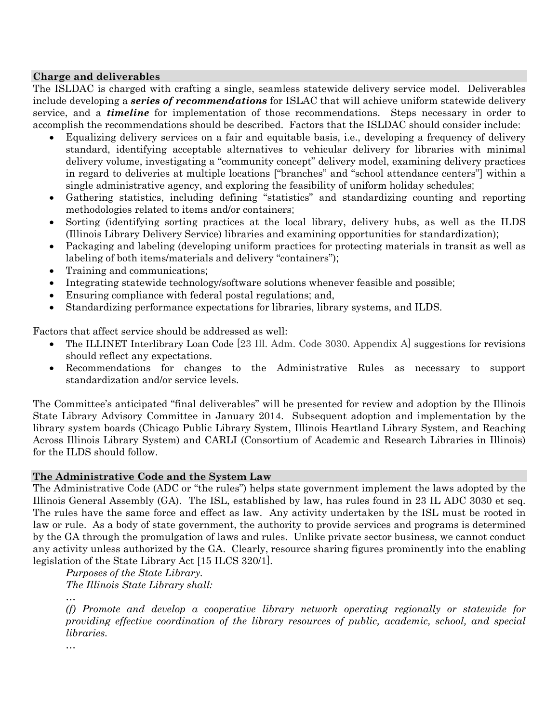#### **Charge and deliverables**

The ISLDAC is charged with crafting a single, seamless statewide delivery service model. Deliverables include developing a *series of recommendations* for ISLAC that will achieve uniform statewide delivery service, and a *timeline* for implementation of those recommendations. Steps necessary in order to accomplish the recommendations should be described. Factors that the ISLDAC should consider include:

- Equalizing delivery services on a fair and equitable basis, i.e., developing a frequency of delivery standard, identifying acceptable alternatives to vehicular delivery for libraries with minimal delivery volume, investigating a "community concept" delivery model, examining delivery practices in regard to deliveries at multiple locations ["branches" and "school attendance centers"] within a single administrative agency, and exploring the feasibility of uniform holiday schedules;
- Gathering statistics, including defining "statistics" and standardizing counting and reporting methodologies related to items and/or containers;
- Sorting (identifying sorting practices at the local library, delivery hubs, as well as the ILDS (Illinois Library Delivery Service) libraries and examining opportunities for standardization);
- Packaging and labeling (developing uniform practices for protecting materials in transit as well as labeling of both items/materials and delivery "containers");
- Training and communications;
- Integrating statewide technology/software solutions whenever feasible and possible;
- Ensuring compliance with federal postal regulations; and,
- Standardizing performance expectations for libraries, library systems, and ILDS.

Factors that affect service should be addressed as well:

- The ILLINET Interlibrary Loan Code [23 III. Adm. Code 3030. Appendix A] suggestions for revisions should reflect any expectations.
- Recommendations for changes to the Administrative Rules as necessary to support standardization and/or service levels.

The Committee's anticipated "final deliverables" will be presented for review and adoption by the Illinois State Library Advisory Committee in January 2014. Subsequent adoption and implementation by the library system boards (Chicago Public Library System, Illinois Heartland Library System, and Reaching Across Illinois Library System) and CARLI (Consortium of Academic and Research Libraries in Illinois) for the ILDS should follow.

#### **The Administrative Code and the System Law**

The Administrative Code (ADC or "the rules") helps state government implement the laws adopted by the Illinois General Assembly (GA). The ISL, established by law, has rules found in 23 IL ADC 3030 et seq. The rules have the same force and effect as law. Any activity undertaken by the ISL must be rooted in law or rule. As a body of state government, the authority to provide services and programs is determined by the GA through the promulgation of laws and rules. Unlike private sector business, we cannot conduct any activity unless authorized by the GA. Clearly, resource sharing figures prominently into the enabling legislation of the State Library Act [15 ILCS 320/1].

*Purposes of the State Library. The Illinois State Library shall:*

*(f) Promote and develop a cooperative library network operating regionally or statewide for providing effective coordination of the library resources of public, academic, school, and special libraries.*

*…*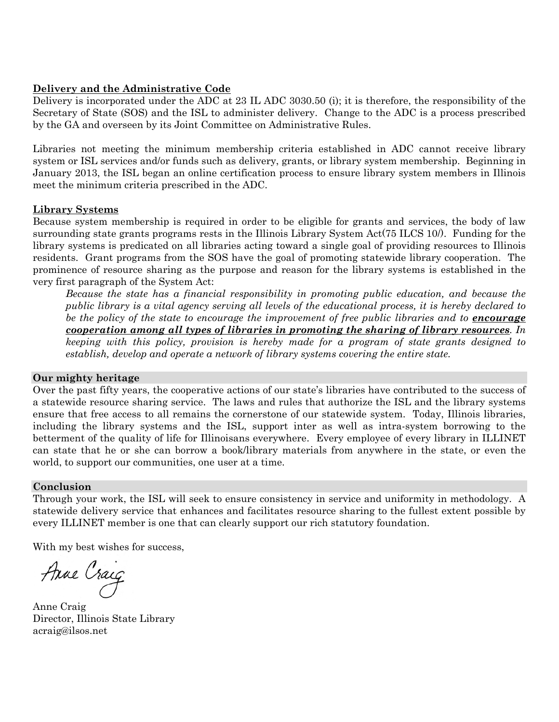#### **Delivery and the Administrative Code**

Delivery is incorporated under the ADC at 23 IL ADC 3030.50 (i); it is therefore, the responsibility of the Secretary of State (SOS) and the ISL to administer delivery. Change to the ADC is a process prescribed by the GA and overseen by its Joint Committee on Administrative Rules.

Libraries not meeting the minimum membership criteria established in ADC cannot receive library system or ISL services and/or funds such as delivery, grants, or library system membership. Beginning in January 2013, the ISL began an online certification process to ensure library system members in Illinois meet the minimum criteria prescribed in the ADC.

#### **Library Systems**

Because system membership is required in order to be eligible for grants and services, the body of law surrounding state grants programs rests in the Illinois Library System Act(75 ILCS 10/). Funding for the library systems is predicated on all libraries acting toward a single goal of providing resources to Illinois residents. Grant programs from the SOS have the goal of promoting statewide library cooperation. The prominence of resource sharing as the purpose and reason for the library systems is established in the very first paragraph of the System Act:

*Because the state has a financial responsibility in promoting public education, and because the public library is a vital agency serving all levels of the educational process, it is hereby declared to be the policy of the state to encourage the improvement of free public libraries and to encourage cooperation among all types of libraries in promoting the sharing of library resources. In keeping with this policy, provision is hereby made for a program of state grants designed to establish, develop and operate a network of library systems covering the entire state.*

#### **Our mighty heritage**

Over the past fifty years, the cooperative actions of our state's libraries have contributed to the success of a statewide resource sharing service. The laws and rules that authorize the ISL and the library systems ensure that free access to all remains the cornerstone of our statewide system. Today, Illinois libraries, including the library systems and the ISL, support inter as well as intra-system borrowing to the betterment of the quality of life for Illinoisans everywhere. Every employee of every library in ILLINET can state that he or she can borrow a book/library materials from anywhere in the state, or even the world, to support our communities, one user at a time.

#### **Conclusion**

Through your work, the ISL will seek to ensure consistency in service and uniformity in methodology. A statewide delivery service that enhances and facilitates resource sharing to the fullest extent possible by every ILLINET member is one that can clearly support our rich statutory foundation.

With my best wishes for success,

Anne Craig

Anne Craig Director, Illinois State Library acraig@ilsos.net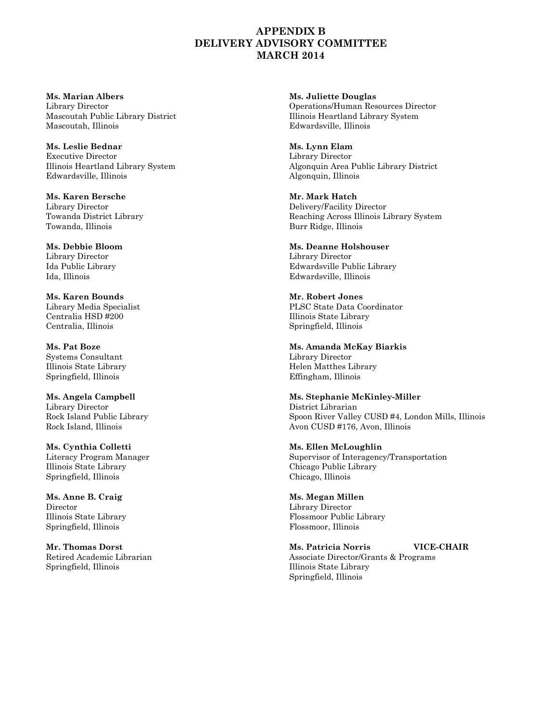#### **APPENDIX B DELIVERY ADVISORY COMMITTEE MARCH 2014**

**Ms. Marian Albers Ms. Juliette Douglas** Mascoutah Public Library District **Illinois Heartland Library System** Mascoutah, Illinois Edwardsville, Illinois

**Ms. Leslie Bednar Ms. Lynn Elam** Executive Director Library Director Edwardsville, Illinois Algonquin, Illinois

**Ms. Karen Bersche Mr. Mark Hatch** Towanda, Illinois **Burr Ridge, Illinois** Burr Ridge, Illinois

Library Director Ida, Illinois Edwardsville, Illinois

**Ms. Karen Bounds Mr. Robert Jones** Centralia $\rm{HSD~\#200}$ Centralia, Illinois Springfield, Illinois

Systems Consultant Springfield, Illinois Effingham, Illinois

**Ms. Angela Campbell Ms. Stephanie McKinley-Miller** Library Director District Librarian

**Ms. Cynthia Colletti Ms. Ellen McLoughlin** Illinois State Library Chicago Public Library Springfield, Illinois Chicago, Illinois

**Ms. Anne B. Craig Ms. Megan Millen** Director Library Director Springfield, Illinois **Flossmoor**, Illinois **Flossmoor**, Illinois

Library Director Operations/Human Resources Director

Illinois Heartland Library System Algonquin Area Public Library District

Library Director Delivery/Facility Director Towanda District Library Towanda District Library Reaching Across Illinois Library System

**Ms. Debbie Bloom Ms. Deanne Holshouser** Ida Public Library Edwardsville Public Library

Library Media Specialist PLSC State Data Coordinator<br>Centralia HSD #200 Ullinois State Library

**Ms. Pat Boze Ms. Amanda McKay Biarkis** Illinois State Library Helen Matthes Library

Rock Island Public Library (Spoon River Valley CUSD #4, London Mills, Illinois (Spoon River Valley CUSD #4, London Mills, Illinois (Spoon River Valley CUSD #4, London Mills, Illinois (Spoon River Valley CUSD #176, Avon CUS Avon CUSD #176, Avon, Illinois

Literacy Program Manager Supervisor of Interagency/Transportation

Illinois State Library Flossmoor Public Library

**Mr. Thomas Dorst Ms. Patricia Norris VICE-CHAIR** Retired Academic Librarian Associate Director/Grants & Programs<br>
Springfield, Illinois State Library Illinois State Library Springfield, Illinois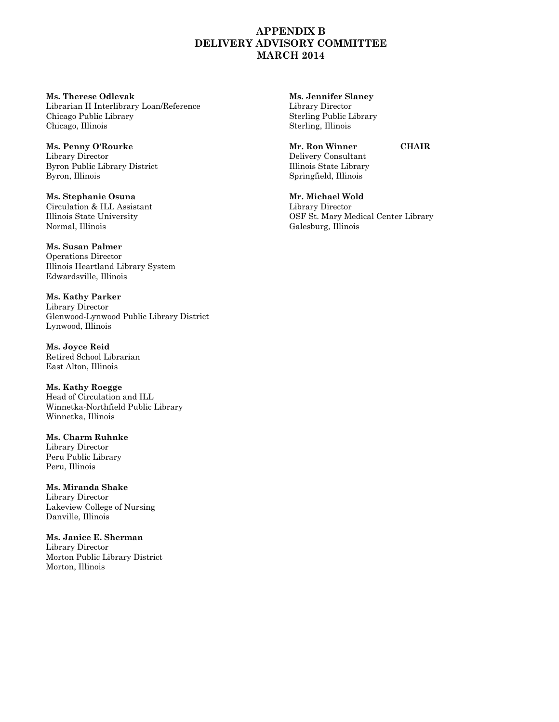#### **APPENDIX B DELIVERY ADVISORY COMMITTEE MARCH 2014**

**Ms. Therese Odlevak Ms. Jennifer Slaney** Librarian II Interlibrary Loan/Reference Library Director Chicago, Illinois Sterling, Illinois

**Ms. Penny O'Rourke Mr. Ron Winner CHAIR** Library Director **Delivery Consultant** Byron Public Library District Illinois State Library Byron, Illinois Springfield, Illinois

**Ms. Stephanie Osuna Mr. Michael Wold** Circulation & ILL Assistant Library Director Normal, Illinois Galesburg, Illinois

**Ms. Susan Palmer** Operations Director Illinois Heartland Library System Edwardsville, Illinois

**Ms. Kathy Parker** Library Director Glenwood-Lynwood Public Library District Lynwood, Illinois

**Ms. Joyce Reid** Retired School Librarian East Alton, Illinois

**Ms. Kathy Roegge** Head of Circulation and ILL Winnetka-Northfield Public Library Winnetka, Illinois

**Ms. Charm Ruhnke** Library Director Peru Public Library Peru, Illinois

**Ms. Miranda Shake** Library Director Lakeview College of Nursing Danville, Illinois

**Ms. Janice E. Sherman** Library Director Morton Public Library District Morton, Illinois

Sterling Public Library

Illinois State University OSF St. Mary Medical Center Library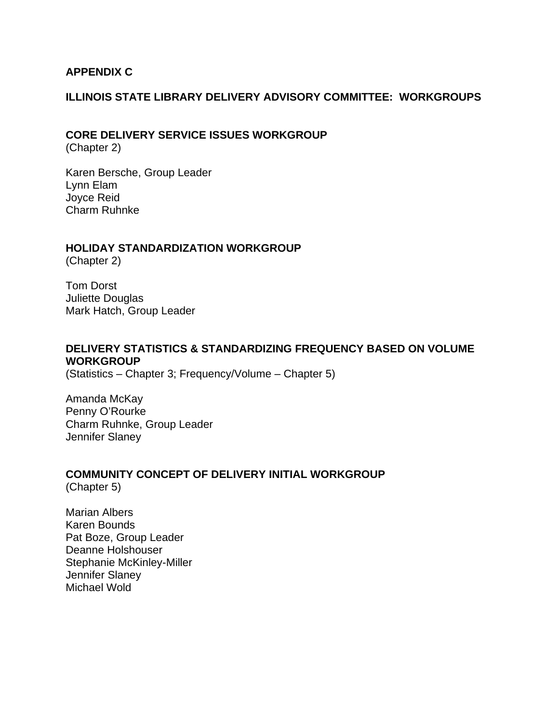# **APPENDIX C**

#### **ILLINOIS STATE LIBRARY DELIVERY ADVISORY COMMITTEE: WORKGROUPS**

# **CORE DELIVERY SERVICE ISSUES WORKGROUP**

(Chapter 2)

Karen Bersche, Group Leader Lynn Elam Joyce Reid Charm Ruhnke

#### **HOLIDAY STANDARDIZATION WORKGROUP**

(Chapter 2)

Tom Dorst Juliette Douglas Mark Hatch, Group Leader

# **DELIVERY STATISTICS & STANDARDIZING FREQUENCY BASED ON VOLUME WORKGROUP**

(Statistics – Chapter 3; Frequency/Volume – Chapter 5)

Amanda McKay Penny O'Rourke Charm Ruhnke, Group Leader Jennifer Slaney

# **COMMUNITY CONCEPT OF DELIVERY INITIAL WORKGROUP**

(Chapter 5)

Marian Albers Karen Bounds Pat Boze, Group Leader Deanne Holshouser Stephanie McKinley-Miller Jennifer Slaney Michael Wold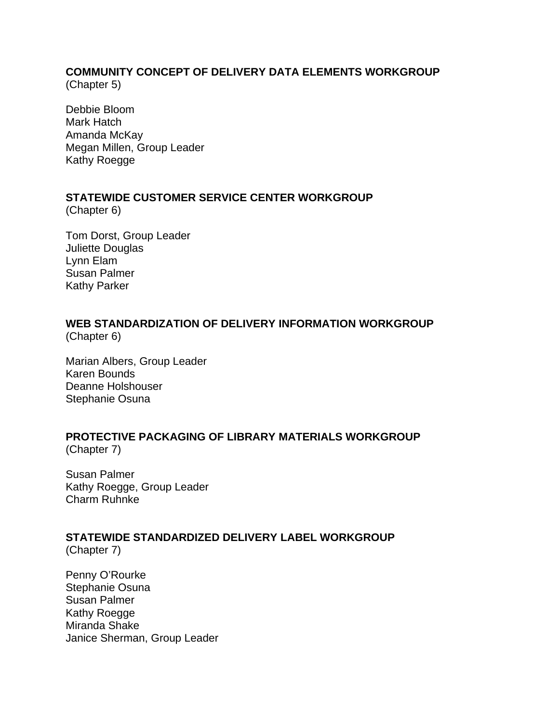# **COMMUNITY CONCEPT OF DELIVERY DATA ELEMENTS WORKGROUP**

(Chapter 5)

Debbie Bloom Mark Hatch Amanda McKay Megan Millen, Group Leader Kathy Roegge

# **STATEWIDE CUSTOMER SERVICE CENTER WORKGROUP**

(Chapter 6)

Tom Dorst, Group Leader Juliette Douglas Lynn Elam Susan Palmer Kathy Parker

# **WEB STANDARDIZATION OF DELIVERY INFORMATION WORKGROUP**

(Chapter 6)

Marian Albers, Group Leader Karen Bounds Deanne Holshouser Stephanie Osuna

# **PROTECTIVE PACKAGING OF LIBRARY MATERIALS WORKGROUP**

(Chapter 7)

Susan Palmer Kathy Roegge, Group Leader Charm Ruhnke

# **STATEWIDE STANDARDIZED DELIVERY LABEL WORKGROUP**

(Chapter 7)

Penny O'Rourke Stephanie Osuna Susan Palmer Kathy Roegge Miranda Shake Janice Sherman, Group Leader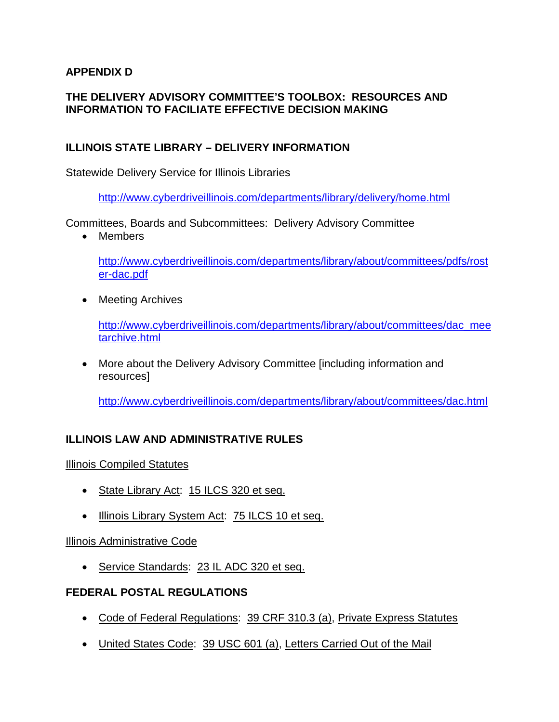# **APPENDIX D**

# **THE DELIVERY ADVISORY COMMITTEE'S TOOLBOX: RESOURCES AND INFORMATION TO FACILIATE EFFECTIVE DECISION MAKING**

# **ILLINOIS STATE LIBRARY – DELIVERY INFORMATION**

Statewide Delivery Service for Illinois Libraries

[http://www.cyberdriveillinois.com/departments/library/delivery](http://www.cyberdriveillinois.com/departments/library/delivery/home.html)/home.html

Committees, Boards and Subcommittees: Delivery Advisory Committee

• Members

[http://www.cyberdriveillinois.com/departments/library/about/committees/pdfs/rost](http://www.cyberdriveillinois.com/departments/library/about/committees/pdfs/roster-dac.pdf) [er-dac.pdf](http://www.cyberdriveillinois.com/departments/library/about/committees/pdfs/roster-dac.pdf)

• Meeting Archives

[http://www.cyberdriveillinois.com/departments/library/about/committees/dac\\_mee](http://www.cyberdriveillinois.com/departments/library/about/committees/dac_meetarchive.html) [tarchive.html](http://www.cyberdriveillinois.com/departments/library/about/committees/dac_meetarchive.html)

• More about the Delivery Advisory Committee [including information and resources]

<http://www.cyberdriveillinois.com/departments/library/about/committees/dac.html>

# **ILLINOIS LAW AND ADMINISTRATIVE RULES**

Illinois Compiled Statutes

- State Library Act: 15 ILCS 320 et seq.
- Illinois Library System Act: 75 ILCS 10 et seq.

# Illinois Administrative Code

• Service Standards: 23 IL ADC 320 et seq.

# **FEDERAL POSTAL REGULATIONS**

- Code of Federal Regulations: 39 CRF 310.3 (a), Private Express Statutes
- United States Code: 39 USC 601 (a), Letters Carried Out of the Mail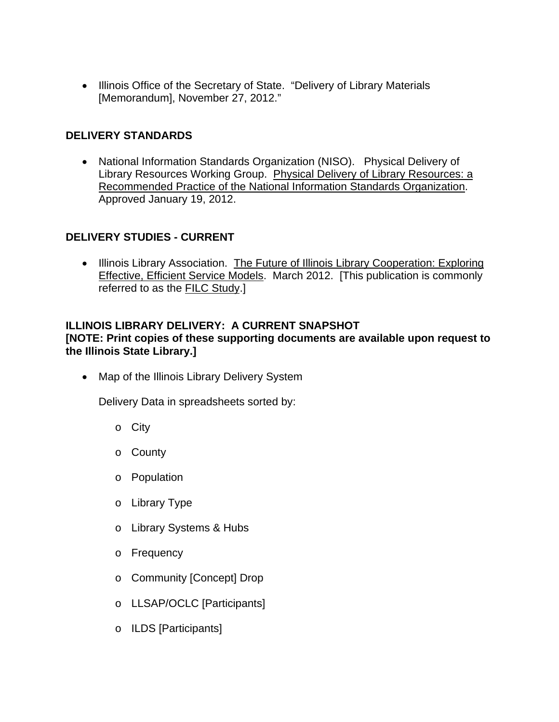• Illinois Office of the Secretary of State. "Delivery of Library Materials [Memorandum], November 27, 2012."

# **DELIVERY STANDARDS**

• National Information Standards Organization (NISO). Physical Delivery of Library Resources Working Group. Physical Delivery of Library Resources: a Recommended Practice of the National Information Standards Organization. Approved January 19, 2012.

# **DELIVERY STUDIES - CURRENT**

• Illinois Library Association. The Future of Illinois Library Cooperation: Exploring Effective, Efficient Service Models. March 2012. [This publication is commonly referred to as the FILC Study.]

# **ILLINOIS LIBRARY DELIVERY: A CURRENT SNAPSHOT**

**[NOTE: Print copies of these supporting documents are available upon request to the Illinois State Library.]**

• Map of the Illinois Library Delivery System

Delivery Data in spreadsheets sorted by:

- o City
- o County
- o Population
- o Library Type
- o Library Systems & Hubs
- o Frequency
- o Community [Concept] Drop
- o LLSAP/OCLC [Participants]
- o ILDS [Participants]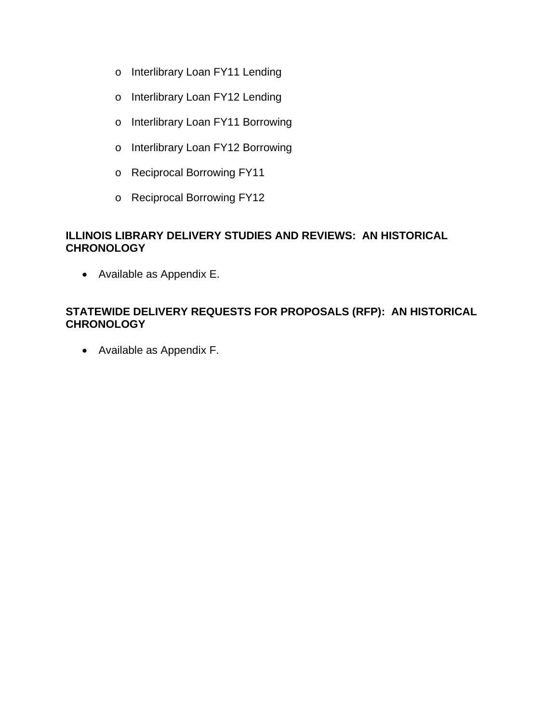- o Interlibrary Loan FY11 Lending
- o Interlibrary Loan FY12 Lending
- o Interlibrary Loan FY11 Borrowing
- o Interlibrary Loan FY12 Borrowing
- o Reciprocal Borrowing FY11
- o Reciprocal Borrowing FY12

# **ILLINOIS LIBRARY DELIVERY STUDIES AND REVIEWS: AN HISTORICAL CHRONOLOGY**

• Available as Appendix E.

# **STATEWIDE DELIVERY REQUESTS FOR PROPOSALS (RFP): AN HISTORICAL CHRONOLOGY**

• Available as Appendix F.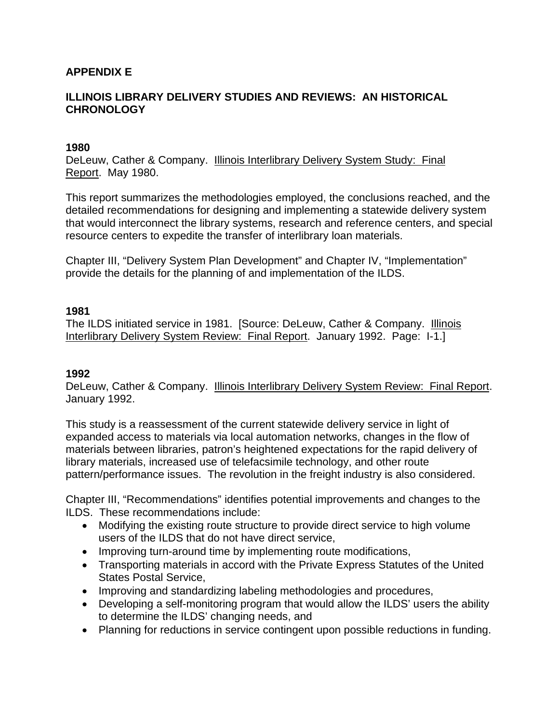# **APPENDIX E**

# **ILLINOIS LIBRARY DELIVERY STUDIES AND REVIEWS: AN HISTORICAL CHRONOLOGY**

#### **1980**

DeLeuw, Cather & Company. Illinois Interlibrary Delivery System Study: Final Report. May 1980.

This report summarizes the methodologies employed, the conclusions reached, and the detailed recommendations for designing and implementing a statewide delivery system that would interconnect the library systems, research and reference centers, and special resource centers to expedite the transfer of interlibrary loan materials.

Chapter III, "Delivery System Plan Development" and Chapter IV, "Implementation" provide the details for the planning of and implementation of the ILDS.

#### **1981**

The ILDS initiated service in 1981. [Source: DeLeuw, Cather & Company. Illinois Interlibrary Delivery System Review: Final Report. January 1992. Page: I-1.]

#### **1992**

DeLeuw, Cather & Company. Illinois Interlibrary Delivery System Review: Final Report. January 1992.

This study is a reassessment of the current statewide delivery service in light of expanded access to materials via local automation networks, changes in the flow of materials between libraries, patron's heightened expectations for the rapid delivery of library materials, increased use of telefacsimile technology, and other route pattern/performance issues. The revolution in the freight industry is also considered.

Chapter III, "Recommendations" identifies potential improvements and changes to the ILDS. These recommendations include:

- Modifying the existing route structure to provide direct service to high volume users of the ILDS that do not have direct service,
- Improving turn-around time by implementing route modifications,
- Transporting materials in accord with the Private Express Statutes of the United States Postal Service,
- Improving and standardizing labeling methodologies and procedures,
- Developing a self-monitoring program that would allow the ILDS' users the ability to determine the ILDS' changing needs, and
- Planning for reductions in service contingent upon possible reductions in funding.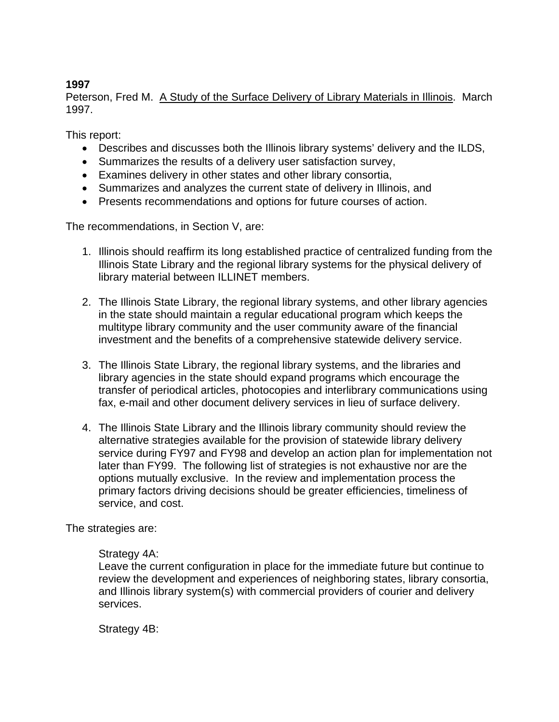# **1997**

Peterson, Fred M. A Study of the Surface Delivery of Library Materials in Illinois. March 1997.

This report:

- Describes and discusses both the Illinois library systems' delivery and the ILDS,
- Summarizes the results of a delivery user satisfaction survey,
- Examines delivery in other states and other library consortia,
- Summarizes and analyzes the current state of delivery in Illinois, and
- Presents recommendations and options for future courses of action.

The recommendations, in Section V, are:

- 1. Illinois should reaffirm its long established practice of centralized funding from the Illinois State Library and the regional library systems for the physical delivery of library material between ILLINET members.
- 2. The Illinois State Library, the regional library systems, and other library agencies in the state should maintain a regular educational program which keeps the multitype library community and the user community aware of the financial investment and the benefits of a comprehensive statewide delivery service.
- 3. The Illinois State Library, the regional library systems, and the libraries and library agencies in the state should expand programs which encourage the transfer of periodical articles, photocopies and interlibrary communications using fax, e-mail and other document delivery services in lieu of surface delivery.
- 4. The Illinois State Library and the Illinois library community should review the alternative strategies available for the provision of statewide library delivery service during FY97 and FY98 and develop an action plan for implementation not later than FY99. The following list of strategies is not exhaustive nor are the options mutually exclusive. In the review and implementation process the primary factors driving decisions should be greater efficiencies, timeliness of service, and cost.

The strategies are:

#### Strategy 4A:

Leave the current configuration in place for the immediate future but continue to review the development and experiences of neighboring states, library consortia, and Illinois library system(s) with commercial providers of courier and delivery services.

Strategy 4B: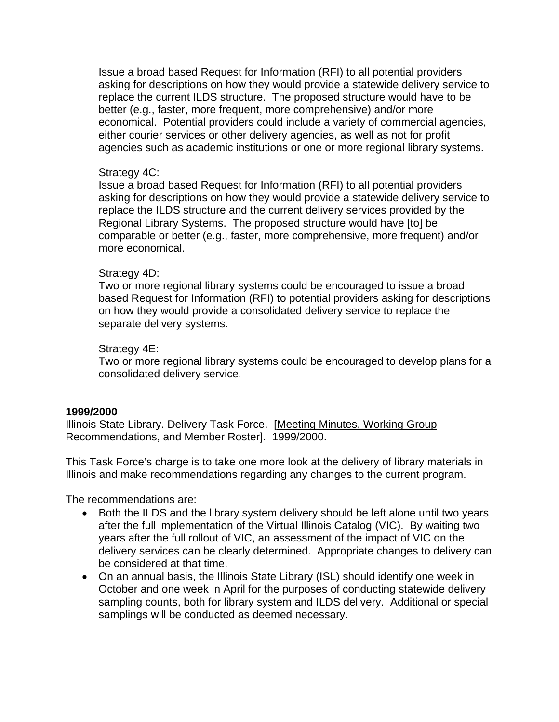Issue a broad based Request for Information (RFI) to all potential providers asking for descriptions on how they would provide a statewide delivery service to replace the current ILDS structure. The proposed structure would have to be better (e.g., faster, more frequent, more comprehensive) and/or more economical. Potential providers could include a variety of commercial agencies, either courier services or other delivery agencies, as well as not for profit agencies such as academic institutions or one or more regional library systems.

#### Strategy 4C:

Issue a broad based Request for Information (RFI) to all potential providers asking for descriptions on how they would provide a statewide delivery service to replace the ILDS structure and the current delivery services provided by the Regional Library Systems. The proposed structure would have [to] be comparable or better (e.g., faster, more comprehensive, more frequent) and/or more economical.

#### Strategy 4D:

Two or more regional library systems could be encouraged to issue a broad based Request for Information (RFI) to potential providers asking for descriptions on how they would provide a consolidated delivery service to replace the separate delivery systems.

#### Strategy 4E:

Two or more regional library systems could be encouraged to develop plans for a consolidated delivery service.

#### **1999/2000**

Illinois State Library. Delivery Task Force. [Meeting Minutes, Working Group Recommendations, and Member Roster]. 1999/2000.

This Task Force's charge is to take one more look at the delivery of library materials in Illinois and make recommendations regarding any changes to the current program.

The recommendations are:

- Both the ILDS and the library system delivery should be left alone until two years after the full implementation of the Virtual Illinois Catalog (VIC). By waiting two years after the full rollout of VIC, an assessment of the impact of VIC on the delivery services can be clearly determined. Appropriate changes to delivery can be considered at that time.
- On an annual basis, the Illinois State Library (ISL) should identify one week in October and one week in April for the purposes of conducting statewide delivery sampling counts, both for library system and ILDS delivery. Additional or special samplings will be conducted as deemed necessary.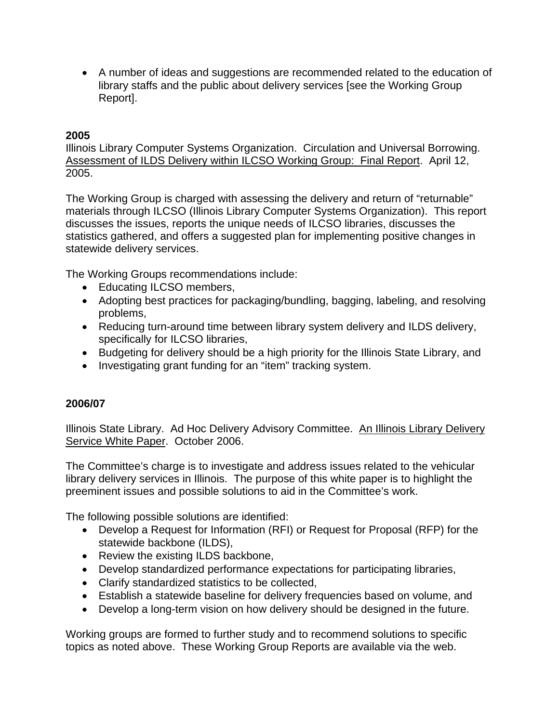• A number of ideas and suggestions are recommended related to the education of library staffs and the public about delivery services [see the Working Group Report].

# **2005**

Illinois Library Computer Systems Organization. Circulation and Universal Borrowing. Assessment of ILDS Delivery within ILCSO Working Group: Final Report. April 12, 2005.

The Working Group is charged with assessing the delivery and return of "returnable" materials through ILCSO (Illinois Library Computer Systems Organization). This report discusses the issues, reports the unique needs of ILCSO libraries, discusses the statistics gathered, and offers a suggested plan for implementing positive changes in statewide delivery services.

The Working Groups recommendations include:

- Educating ILCSO members,
- Adopting best practices for packaging/bundling, bagging, labeling, and resolving problems,
- Reducing turn-around time between library system delivery and ILDS delivery, specifically for ILCSO libraries,
- Budgeting for delivery should be a high priority for the Illinois State Library, and
- Investigating grant funding for an "item" tracking system.

#### **2006/07**

Illinois State Library. Ad Hoc Delivery Advisory Committee. An Illinois Library Delivery Service White Paper. October 2006.

The Committee's charge is to investigate and address issues related to the vehicular library delivery services in Illinois. The purpose of this white paper is to highlight the preeminent issues and possible solutions to aid in the Committee's work.

The following possible solutions are identified:

- Develop a Request for Information (RFI) or Request for Proposal (RFP) for the statewide backbone (ILDS),
- Review the existing ILDS backbone,
- Develop standardized performance expectations for participating libraries,
- Clarify standardized statistics to be collected,
- Establish a statewide baseline for delivery frequencies based on volume, and
- Develop a long-term vision on how delivery should be designed in the future.

Working groups are formed to further study and to recommend solutions to specific topics as noted above. These Working Group Reports are available via the web.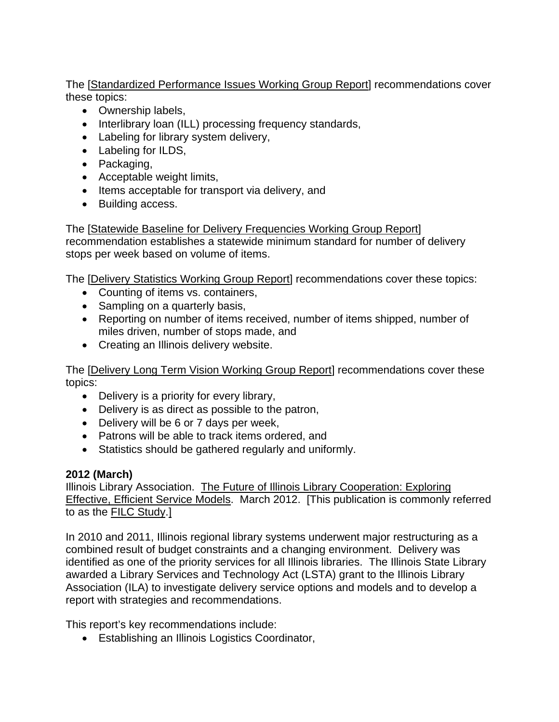The [Standardized Performance Issues Working Group Report] recommendations cover these topics:

- Ownership labels,
- Interlibrary loan (ILL) processing frequency standards,
- Labeling for library system delivery,
- Labeling for ILDS,
- Packaging,
- Acceptable weight limits,
- Items acceptable for transport via delivery, and
- Building access.

The [Statewide Baseline for Delivery Frequencies Working Group Report] recommendation establishes a statewide minimum standard for number of delivery stops per week based on volume of items.

The [Delivery Statistics Working Group Report] recommendations cover these topics:

- Counting of items vs. containers,
- Sampling on a quarterly basis,
- Reporting on number of items received, number of items shipped, number of miles driven, number of stops made, and
- Creating an Illinois delivery website.

The [Delivery Long Term Vision Working Group Report] recommendations cover these topics:

- Delivery is a priority for every library,
- Delivery is as direct as possible to the patron,
- Delivery will be 6 or 7 days per week,
- Patrons will be able to track items ordered, and
- Statistics should be gathered regularly and uniformly.

# **2012 (March)**

Illinois Library Association. The Future of Illinois Library Cooperation: Exploring Effective, Efficient Service Models. March 2012. [This publication is commonly referred to as the FILC Study.]

In 2010 and 2011, Illinois regional library systems underwent major restructuring as a combined result of budget constraints and a changing environment. Delivery was identified as one of the priority services for all Illinois libraries. The Illinois State Library awarded a Library Services and Technology Act (LSTA) grant to the Illinois Library Association (ILA) to investigate delivery service options and models and to develop a report with strategies and recommendations.

This report's key recommendations include:

• Establishing an Illinois Logistics Coordinator,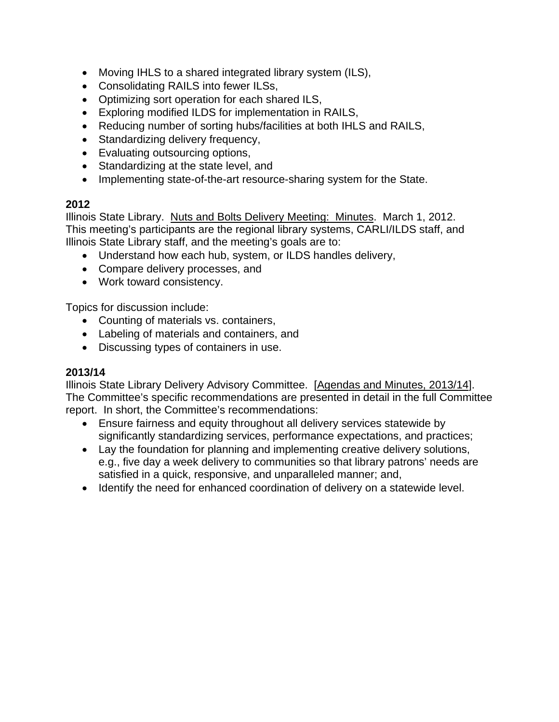- Moving IHLS to a shared integrated library system (ILS),
- Consolidating RAILS into fewer ILSs,
- Optimizing sort operation for each shared ILS,
- Exploring modified ILDS for implementation in RAILS,
- Reducing number of sorting hubs/facilities at both IHLS and RAILS,
- Standardizing delivery frequency,
- Evaluating outsourcing options,
- Standardizing at the state level, and
- Implementing state-of-the-art resource-sharing system for the State.

# **2012**

Illinois State Library. Nuts and Bolts Delivery Meeting: Minutes. March 1, 2012. This meeting's participants are the regional library systems, CARLI/ILDS staff, and Illinois State Library staff, and the meeting's goals are to:

- Understand how each hub, system, or ILDS handles delivery,
- Compare delivery processes, and
- Work toward consistency.

Topics for discussion include:

- Counting of materials vs. containers,
- Labeling of materials and containers, and
- Discussing types of containers in use.

# **2013/14**

Illinois State Library Delivery Advisory Committee. [Agendas and Minutes, 2013/14]. The Committee's specific recommendations are presented in detail in the full Committee report. In short, the Committee's recommendations:

- Ensure fairness and equity throughout all delivery services statewide by significantly standardizing services, performance expectations, and practices;
- Lay the foundation for planning and implementing creative delivery solutions, e.g., five day a week delivery to communities so that library patrons' needs are satisfied in a quick, responsive, and unparalleled manner; and,
- Identify the need for enhanced coordination of delivery on a statewide level.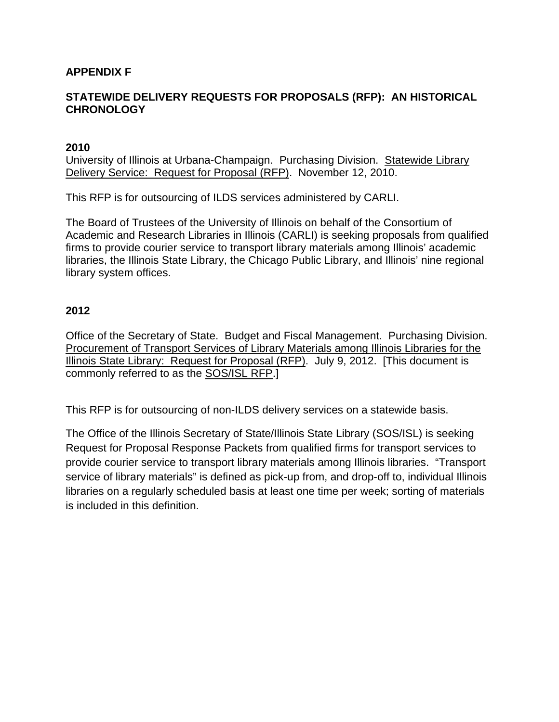# **APPENDIX F**

# **STATEWIDE DELIVERY REQUESTS FOR PROPOSALS (RFP): AN HISTORICAL CHRONOLOGY**

#### **2010**

University of Illinois at Urbana-Champaign. Purchasing Division. Statewide Library Delivery Service: Request for Proposal (RFP). November 12, 2010.

This RFP is for outsourcing of ILDS services administered by CARLI.

The Board of Trustees of the University of Illinois on behalf of the Consortium of Academic and Research Libraries in Illinois (CARLI) is seeking proposals from qualified firms to provide courier service to transport library materials among Illinois' academic libraries, the Illinois State Library, the Chicago Public Library, and Illinois' nine regional library system offices.

#### **2012**

Office of the Secretary of State. Budget and Fiscal Management. Purchasing Division. Procurement of Transport Services of Library Materials among Illinois Libraries for the Illinois State Library: Request for Proposal (RFP). July 9, 2012. [This document is commonly referred to as the SOS/ISL RFP.]

This RFP is for outsourcing of non-ILDS delivery services on a statewide basis.

The Office of the Illinois Secretary of State/Illinois State Library (SOS/ISL) is seeking Request for Proposal Response Packets from qualified firms for transport services to provide courier service to transport library materials among Illinois libraries. "Transport service of library materials" is defined as pick-up from, and drop-off to, individual Illinois libraries on a regularly scheduled basis at least one time per week; sorting of materials is included in this definition.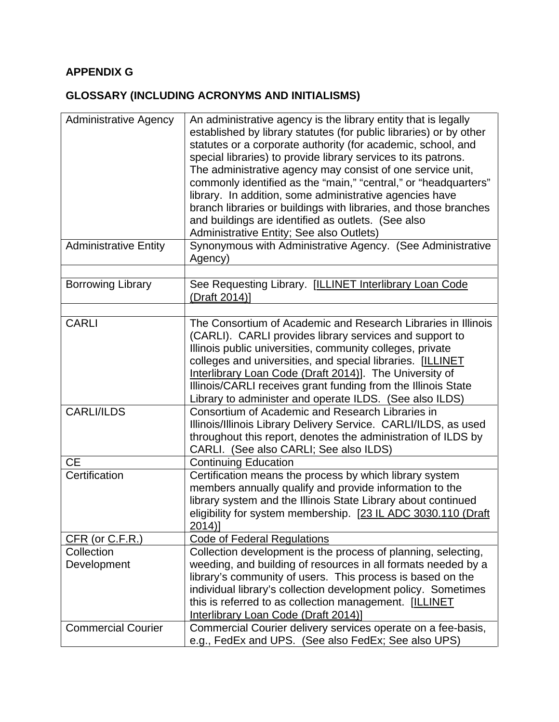## **APPENDIX G**

## **GLOSSARY (INCLUDING ACRONYMS AND INITIALISMS)**

| <b>Administrative Agency</b> | An administrative agency is the library entity that is legally<br>established by library statutes (for public libraries) or by other<br>statutes or a corporate authority (for academic, school, and<br>special libraries) to provide library services to its patrons.<br>The administrative agency may consist of one service unit,<br>commonly identified as the "main," "central," or "headquarters"<br>library. In addition, some administrative agencies have<br>branch libraries or buildings with libraries, and those branches<br>and buildings are identified as outlets. (See also<br>Administrative Entity; See also Outlets) |
|------------------------------|------------------------------------------------------------------------------------------------------------------------------------------------------------------------------------------------------------------------------------------------------------------------------------------------------------------------------------------------------------------------------------------------------------------------------------------------------------------------------------------------------------------------------------------------------------------------------------------------------------------------------------------|
| <b>Administrative Entity</b> | Synonymous with Administrative Agency. (See Administrative<br>Agency)                                                                                                                                                                                                                                                                                                                                                                                                                                                                                                                                                                    |
| <b>Borrowing Library</b>     | See Requesting Library. [ILLINET Interlibrary Loan Code<br>(Draft 2014)]                                                                                                                                                                                                                                                                                                                                                                                                                                                                                                                                                                 |
| <b>CARLI</b>                 | The Consortium of Academic and Research Libraries in Illinois                                                                                                                                                                                                                                                                                                                                                                                                                                                                                                                                                                            |
|                              | (CARLI). CARLI provides library services and support to<br>Illinois public universities, community colleges, private<br>colleges and universities, and special libraries. [ILLINET<br>Interlibrary Loan Code (Draft 2014)]. The University of<br>Illinois/CARLI receives grant funding from the Illinois State<br>Library to administer and operate ILDS. (See also ILDS)                                                                                                                                                                                                                                                                |
| <b>CARLI/ILDS</b>            | Consortium of Academic and Research Libraries in<br>Illinois/Illinois Library Delivery Service. CARLI/ILDS, as used<br>throughout this report, denotes the administration of ILDS by<br>CARLI. (See also CARLI; See also ILDS)                                                                                                                                                                                                                                                                                                                                                                                                           |
| CE                           | <b>Continuing Education</b>                                                                                                                                                                                                                                                                                                                                                                                                                                                                                                                                                                                                              |
| Certification                | Certification means the process by which library system<br>members annually qualify and provide information to the<br>library system and the Illinois State Library about continued<br>eligibility for system membership. [23 IL ADC 3030.110 (Draft<br>$2014$ ]                                                                                                                                                                                                                                                                                                                                                                         |
| CFR (or C.F.R.)              | <b>Code of Federal Regulations</b>                                                                                                                                                                                                                                                                                                                                                                                                                                                                                                                                                                                                       |
| Collection<br>Development    | Collection development is the process of planning, selecting,<br>weeding, and building of resources in all formats needed by a<br>library's community of users. This process is based on the<br>individual library's collection development policy. Sometimes<br>this is referred to as collection management. [ILLINET<br><b>Interlibrary Loan Code (Draft 2014)]</b>                                                                                                                                                                                                                                                                   |
| <b>Commercial Courier</b>    | Commercial Courier delivery services operate on a fee-basis,<br>e.g., FedEx and UPS. (See also FedEx; See also UPS)                                                                                                                                                                                                                                                                                                                                                                                                                                                                                                                      |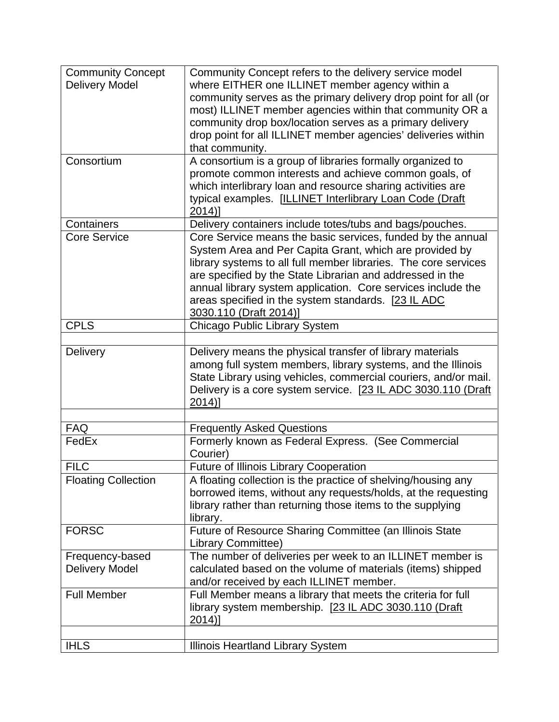| <b>Community Concept</b>   | Community Concept refers to the delivery service model          |
|----------------------------|-----------------------------------------------------------------|
| <b>Delivery Model</b>      | where EITHER one ILLINET member agency within a                 |
|                            | community serves as the primary delivery drop point for all (or |
|                            | most) ILLINET member agencies within that community OR a        |
|                            | community drop box/location serves as a primary delivery        |
|                            | drop point for all ILLINET member agencies' deliveries within   |
|                            | that community.                                                 |
| Consortium                 | A consortium is a group of libraries formally organized to      |
|                            | promote common interests and achieve common goals, of           |
|                            | which interlibrary loan and resource sharing activities are     |
|                            | typical examples. [ILLINET Interlibrary Loan Code (Draft        |
|                            | $2014$ ]                                                        |
| Containers                 | Delivery containers include totes/tubs and bags/pouches.        |
| <b>Core Service</b>        | Core Service means the basic services, funded by the annual     |
|                            | System Area and Per Capita Grant, which are provided by         |
|                            |                                                                 |
|                            | library systems to all full member libraries. The core services |
|                            | are specified by the State Librarian and addressed in the       |
|                            | annual library system application. Core services include the    |
|                            | areas specified in the system standards. [23 IL ADC             |
|                            | 3030.110 (Draft 2014)]                                          |
| <b>CPLS</b>                | Chicago Public Library System                                   |
|                            |                                                                 |
| Delivery                   | Delivery means the physical transfer of library materials       |
|                            | among full system members, library systems, and the Illinois    |
|                            | State Library using vehicles, commercial couriers, and/or mail. |
|                            | Delivery is a core system service. [23 IL ADC 3030.110 (Draft   |
|                            | $2014$ ]                                                        |
|                            |                                                                 |
| <b>FAQ</b>                 | <b>Frequently Asked Questions</b>                               |
| FedEx                      | Formerly known as Federal Express. (See Commercial<br>Courier)  |
| <b>FILC</b>                | <b>Future of Illinois Library Cooperation</b>                   |
| <b>Floating Collection</b> | A floating collection is the practice of shelving/housing any   |
|                            | borrowed items, without any requests/holds, at the requesting   |
|                            | library rather than returning those items to the supplying      |
|                            | library.                                                        |
| <b>FORSC</b>               | Future of Resource Sharing Committee (an Illinois State         |
|                            | <b>Library Committee)</b>                                       |
| Frequency-based            | The number of deliveries per week to an ILLINET member is       |
| <b>Delivery Model</b>      | calculated based on the volume of materials (items) shipped     |
|                            |                                                                 |
|                            | and/or received by each ILLINET member.                         |
| <b>Full Member</b>         | Full Member means a library that meets the criteria for full    |
|                            | library system membership. [23 IL ADC 3030.110 (Draft           |
|                            | $2014$ ]                                                        |
|                            |                                                                 |
| <b>IHLS</b>                | Illinois Heartland Library System                               |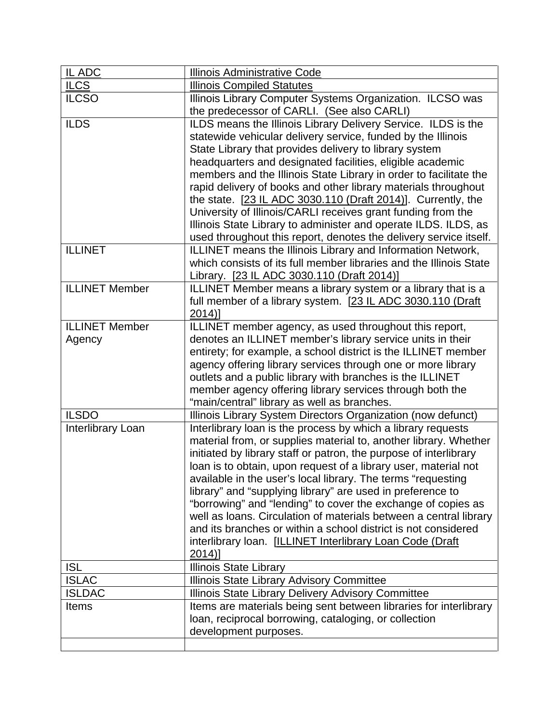| IL ADC                | <b>Illinois Administrative Code</b>                                                                                  |
|-----------------------|----------------------------------------------------------------------------------------------------------------------|
| <b>ILCS</b>           | <b>Illinois Compiled Statutes</b>                                                                                    |
| <b>ILCSO</b>          | Illinois Library Computer Systems Organization. ILCSO was                                                            |
|                       | the predecessor of CARLI. (See also CARLI)                                                                           |
| <b>ILDS</b>           | ILDS means the Illinois Library Delivery Service. ILDS is the                                                        |
|                       | statewide vehicular delivery service, funded by the Illinois                                                         |
|                       | State Library that provides delivery to library system                                                               |
|                       | headquarters and designated facilities, eligible academic                                                            |
|                       | members and the Illinois State Library in order to facilitate the                                                    |
|                       | rapid delivery of books and other library materials throughout                                                       |
|                       | the state. [23 IL ADC 3030.110 (Draft 2014)]. Currently, the                                                         |
|                       | University of Illinois/CARLI receives grant funding from the                                                         |
|                       | Illinois State Library to administer and operate ILDS. ILDS, as                                                      |
|                       | used throughout this report, denotes the delivery service itself.                                                    |
| <b>ILLINET</b>        | ILLINET means the Illinois Library and Information Network,                                                          |
|                       | which consists of its full member libraries and the Illinois State                                                   |
|                       | Library. [23 IL ADC 3030.110 (Draft 2014)]                                                                           |
| <b>ILLINET Member</b> | ILLINET Member means a library system or a library that is a                                                         |
|                       | full member of a library system. [23 IL ADC 3030.110 (Draft                                                          |
| <b>ILLINET</b> Member | $2014$ ]                                                                                                             |
|                       | ILLINET member agency, as used throughout this report,<br>denotes an ILLINET member's library service units in their |
| Agency                | entirety; for example, a school district is the ILLINET member                                                       |
|                       | agency offering library services through one or more library                                                         |
|                       | outlets and a public library with branches is the ILLINET                                                            |
|                       | member agency offering library services through both the                                                             |
|                       | "main/central" library as well as branches.                                                                          |
| <b>ILSDO</b>          | Illinois Library System Directors Organization (now defunct)                                                         |
| Interlibrary Loan     | Interlibrary loan is the process by which a library requests                                                         |
|                       | material from, or supplies material to, another library. Whether                                                     |
|                       | initiated by library staff or patron, the purpose of interlibrary                                                    |
|                       | loan is to obtain, upon request of a library user, material not                                                      |
|                       | available in the user's local library. The terms "requesting                                                         |
|                       | library" and "supplying library" are used in preference to                                                           |
|                       | "borrowing" and "lending" to cover the exchange of copies as                                                         |
|                       | well as loans. Circulation of materials between a central library                                                    |
|                       | and its branches or within a school district is not considered                                                       |
|                       | interlibrary Ioan. [ILLINET Interlibrary Loan Code (Draft                                                            |
|                       | $2014$ ]                                                                                                             |
| <b>ISL</b>            | <b>Illinois State Library</b>                                                                                        |
| <b>ISLAC</b>          | Illinois State Library Advisory Committee                                                                            |
| <b>ISLDAC</b>         | Illinois State Library Delivery Advisory Committee                                                                   |
| <b>Items</b>          | Items are materials being sent between libraries for interlibrary                                                    |
|                       | loan, reciprocal borrowing, cataloging, or collection                                                                |
|                       | development purposes.                                                                                                |
|                       |                                                                                                                      |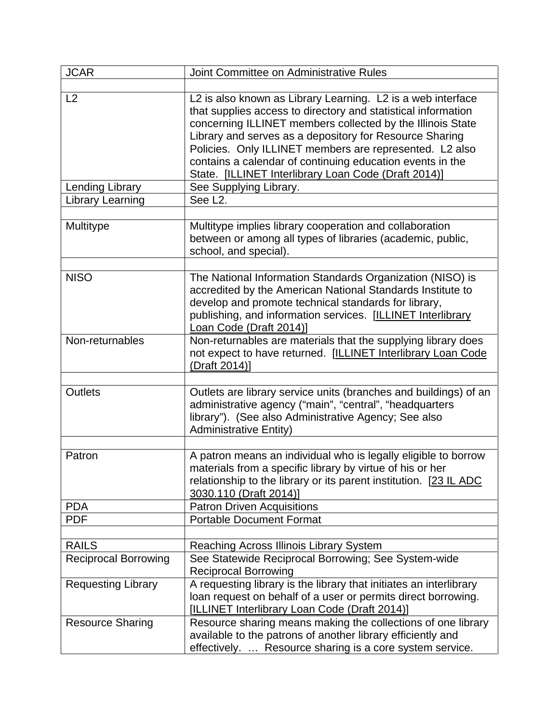| <b>JCAR</b>                 | Joint Committee on Administrative Rules                                                                                                                                                                                                                                                                                                                                                                                                                         |
|-----------------------------|-----------------------------------------------------------------------------------------------------------------------------------------------------------------------------------------------------------------------------------------------------------------------------------------------------------------------------------------------------------------------------------------------------------------------------------------------------------------|
|                             |                                                                                                                                                                                                                                                                                                                                                                                                                                                                 |
| L2<br>Lending Library       | L2 is also known as Library Learning. L2 is a web interface<br>that supplies access to directory and statistical information<br>concerning ILLINET members collected by the Illinois State<br>Library and serves as a depository for Resource Sharing<br>Policies. Only ILLINET members are represented. L2 also<br>contains a calendar of continuing education events in the<br>State. [ILLINET Interlibrary Loan Code (Draft 2014)]<br>See Supplying Library. |
| Library Learning            | See L <sub>2</sub> .                                                                                                                                                                                                                                                                                                                                                                                                                                            |
|                             |                                                                                                                                                                                                                                                                                                                                                                                                                                                                 |
| Multitype                   | Multitype implies library cooperation and collaboration<br>between or among all types of libraries (academic, public,<br>school, and special).                                                                                                                                                                                                                                                                                                                  |
| <b>NISO</b>                 | The National Information Standards Organization (NISO) is<br>accredited by the American National Standards Institute to<br>develop and promote technical standards for library,<br>publishing, and information services. [ILLINET Interlibrary<br>Loan Code (Draft 2014)]                                                                                                                                                                                       |
| Non-returnables             | Non-returnables are materials that the supplying library does<br>not expect to have returned. [ILLINET Interlibrary Loan Code<br>(Draft 2014)]                                                                                                                                                                                                                                                                                                                  |
| <b>Outlets</b>              | Outlets are library service units (branches and buildings) of an<br>administrative agency ("main", "central", "headquarters<br>library"). (See also Administrative Agency; See also<br><b>Administrative Entity)</b>                                                                                                                                                                                                                                            |
| Patron                      | A patron means an individual who is legally eligible to borrow<br>materials from a specific library by virtue of his or her<br>relationship to the library or its parent institution. [23 IL ADC<br>3030.110 (Draft 2014)]                                                                                                                                                                                                                                      |
| <b>PDA</b>                  | <b>Patron Driven Acquisitions</b>                                                                                                                                                                                                                                                                                                                                                                                                                               |
| <b>PDF</b>                  | <b>Portable Document Format</b>                                                                                                                                                                                                                                                                                                                                                                                                                                 |
|                             |                                                                                                                                                                                                                                                                                                                                                                                                                                                                 |
| <b>RAILS</b>                | Reaching Across Illinois Library System                                                                                                                                                                                                                                                                                                                                                                                                                         |
| <b>Reciprocal Borrowing</b> | See Statewide Reciprocal Borrowing; See System-wide<br><b>Reciprocal Borrowing</b>                                                                                                                                                                                                                                                                                                                                                                              |
| <b>Requesting Library</b>   | A requesting library is the library that initiates an interlibrary<br>loan request on behalf of a user or permits direct borrowing.<br>[ILLINET Interlibrary Loan Code (Draft 2014)]                                                                                                                                                                                                                                                                            |
| <b>Resource Sharing</b>     | Resource sharing means making the collections of one library<br>available to the patrons of another library efficiently and<br>effectively.  Resource sharing is a core system service.                                                                                                                                                                                                                                                                         |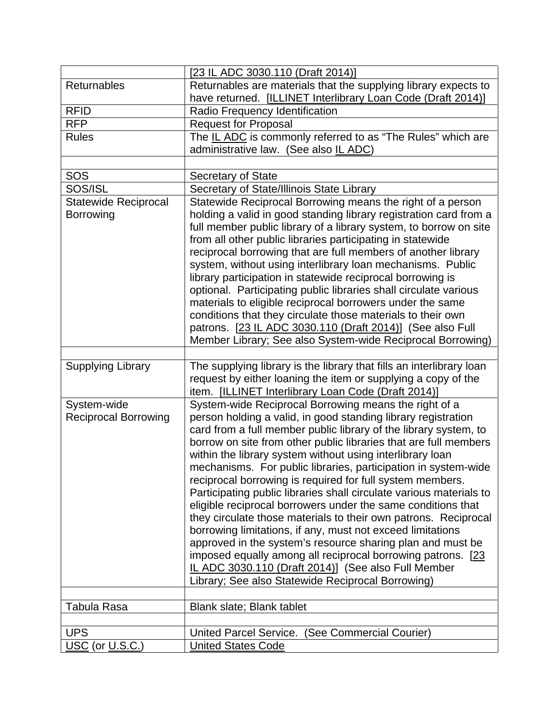|                             | [23 IL ADC 3030.110 (Draft 2014)]                                    |
|-----------------------------|----------------------------------------------------------------------|
| Returnables                 | Returnables are materials that the supplying library expects to      |
|                             | have returned. [ILLINET Interlibrary Loan Code (Draft 2014)]         |
| <b>RFID</b>                 | Radio Frequency Identification                                       |
| <b>RFP</b>                  | <b>Request for Proposal</b>                                          |
| <b>Rules</b>                | The IL ADC is commonly referred to as "The Rules" which are          |
|                             | administrative law. (See also IL ADC)                                |
|                             |                                                                      |
| SOS                         | <b>Secretary of State</b>                                            |
| SOS/ISL                     | Secretary of State/Illinois State Library                            |
| <b>Statewide Reciprocal</b> | Statewide Reciprocal Borrowing means the right of a person           |
| Borrowing                   | holding a valid in good standing library registration card from a    |
|                             | full member public library of a library system, to borrow on site    |
|                             | from all other public libraries participating in statewide           |
|                             | reciprocal borrowing that are full members of another library        |
|                             | system, without using interlibrary loan mechanisms. Public           |
|                             | library participation in statewide reciprocal borrowing is           |
|                             | optional. Participating public libraries shall circulate various     |
|                             | materials to eligible reciprocal borrowers under the same            |
|                             | conditions that they circulate those materials to their own          |
|                             | patrons. [23 IL ADC 3030.110 (Draft 2014)] (See also Full            |
|                             | Member Library; See also System-wide Reciprocal Borrowing)           |
|                             |                                                                      |
| <b>Supplying Library</b>    | The supplying library is the library that fills an interlibrary loan |
|                             | request by either loaning the item or supplying a copy of the        |
|                             | item. [ILLINET Interlibrary Loan Code (Draft 2014)]                  |
| System-wide                 | System-wide Reciprocal Borrowing means the right of a                |
| <b>Reciprocal Borrowing</b> | person holding a valid, in good standing library registration        |
|                             | card from a full member public library of the library system, to     |
|                             | borrow on site from other public libraries that are full members     |
|                             | within the library system without using interlibrary loan            |
|                             | mechanisms. For public libraries, participation in system-wide       |
|                             | reciprocal borrowing is required for full system members.            |
|                             | Participating public libraries shall circulate various materials to  |
|                             | eligible reciprocal borrowers under the same conditions that         |
|                             | they circulate those materials to their own patrons. Reciprocal      |
|                             | borrowing limitations, if any, must not exceed limitations           |
|                             | approved in the system's resource sharing plan and must be           |
|                             | imposed equally among all reciprocal borrowing patrons. [23]         |
|                             | IL ADC 3030.110 (Draft 2014)] (See also Full Member                  |
|                             | Library; See also Statewide Reciprocal Borrowing)                    |
|                             |                                                                      |
| Tabula Rasa                 | Blank slate; Blank tablet                                            |
|                             |                                                                      |
| <b>UPS</b>                  | United Parcel Service. (See Commercial Courier)                      |
| USC (or U.S.C.)             | <b>United States Code</b>                                            |